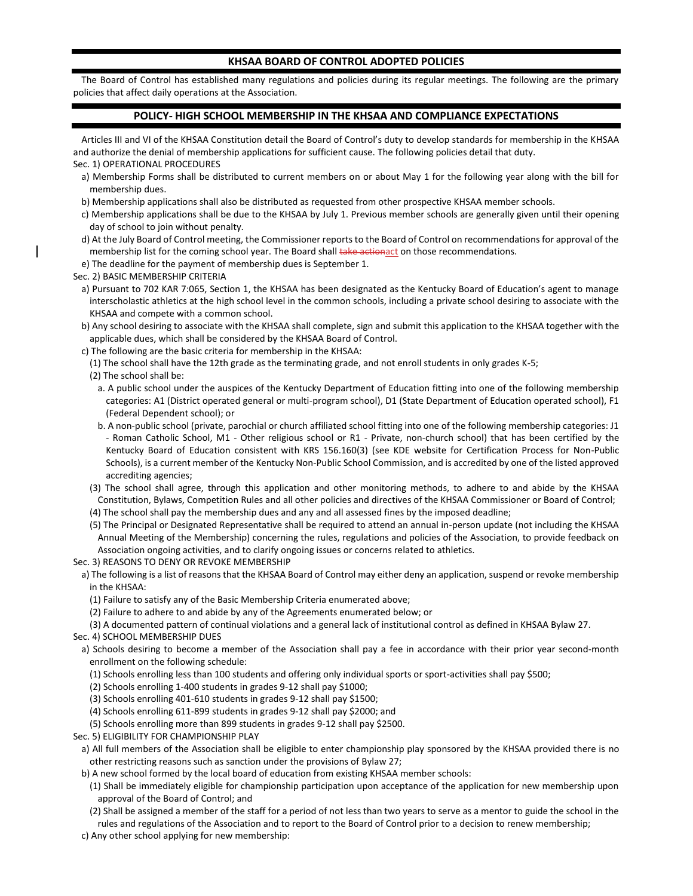## **KHSAA BOARD OF CONTROL ADOPTED POLICIES**

The Board of Control has established many regulations and policies during its regular meetings. The following are the primary policies that affect daily operations at the Association.

## **POLICY- HIGH SCHOOL MEMBERSHIP IN THE KHSAA AND COMPLIANCE EXPECTATIONS**

Articles III and VI of the KHSAA Constitution detail the Board of Control's duty to develop standards for membership in the KHSAA and authorize the denial of membership applications for sufficient cause. The following policies detail that duty.

Sec. 1) OPERATIONAL PROCEDURES

- a) Membership Forms shall be distributed to current members on or about May 1 for the following year along with the bill for membership dues.
- b) Membership applications shall also be distributed as requested from other prospective KHSAA member schools.
- c) Membership applications shall be due to the KHSAA by July 1. Previous member schools are generally given until their opening day of school to join without penalty.
- d) At the July Board of Control meeting, the Commissioner reports to the Board of Control on recommendations for approval of the membership list for the coming school year. The Board shall take actionact on those recommendations.
- e) The deadline for the payment of membership dues is September 1.

Sec. 2) BASIC MEMBERSHIP CRITERIA

- a) Pursuant to 702 KAR 7:065, Section 1, the KHSAA has been designated as the Kentucky Board of Education's agent to manage interscholastic athletics at the high school level in the common schools, including a private school desiring to associate with the KHSAA and compete with a common school.
- b) Any school desiring to associate with the KHSAA shall complete, sign and submit this application to the KHSAA together with the applicable dues, which shall be considered by the KHSAA Board of Control.
- c) The following are the basic criteria for membership in the KHSAA:
- (1) The school shall have the 12th grade as the terminating grade, and not enroll students in only grades K-5;
- (2) The school shall be:
	- a. A public school under the auspices of the Kentucky Department of Education fitting into one of the following membership categories: A1 (District operated general or multi-program school), D1 (State Department of Education operated school), F1 (Federal Dependent school); or
	- b. A non-public school (private, parochial or church affiliated school fitting into one of the following membership categories: J1 - Roman Catholic School, M1 - Other religious school or R1 - Private, non-church school) that has been certified by the Kentucky Board of Education consistent with KRS 156.160(3) (see KDE website for Certification Process for Non-Public Schools), is a current member of the Kentucky Non-Public School Commission, and is accredited by one of the listed approved accrediting agencies;
- (3) The school shall agree, through this application and other monitoring methods, to adhere to and abide by the KHSAA Constitution, Bylaws, Competition Rules and all other policies and directives of the KHSAA Commissioner or Board of Control;
- (4) The school shall pay the membership dues and any and all assessed fines by the imposed deadline;
- (5) The Principal or Designated Representative shall be required to attend an annual in-person update (not including the KHSAA Annual Meeting of the Membership) concerning the rules, regulations and policies of the Association, to provide feedback on Association ongoing activities, and to clarify ongoing issues or concerns related to athletics.

Sec. 3) REASONS TO DENY OR REVOKE MEMBERSHIP

- a) The following is a list of reasons that the KHSAA Board of Control may either deny an application, suspend or revoke membership in the KHSAA:
	- (1) Failure to satisfy any of the Basic Membership Criteria enumerated above;
	- (2) Failure to adhere to and abide by any of the Agreements enumerated below; or
	- (3) A documented pattern of continual violations and a general lack of institutional control as defined in KHSAA Bylaw 27.
- Sec. 4) SCHOOL MEMBERSHIP DUES
- a) Schools desiring to become a member of the Association shall pay a fee in accordance with their prior year second-month enrollment on the following schedule:
	- (1) Schools enrolling less than 100 students and offering only individual sports or sport-activities shall pay \$500;
	- (2) Schools enrolling 1-400 students in grades 9-12 shall pay \$1000;
	- (3) Schools enrolling 401-610 students in grades 9-12 shall pay \$1500;
	- (4) Schools enrolling 611-899 students in grades 9-12 shall pay \$2000; and
	- (5) Schools enrolling more than 899 students in grades 9-12 shall pay \$2500.
- Sec. 5) ELIGIBILITY FOR CHAMPIONSHIP PLAY
	- a) All full members of the Association shall be eligible to enter championship play sponsored by the KHSAA provided there is no other restricting reasons such as sanction under the provisions of Bylaw 27;
	- b) A new school formed by the local board of education from existing KHSAA member schools:
		- (1) Shall be immediately eligible for championship participation upon acceptance of the application for new membership upon approval of the Board of Control; and
		- (2) Shall be assigned a member of the staff for a period of not less than two years to serve as a mentor to guide the school in the rules and regulations of the Association and to report to the Board of Control prior to a decision to renew membership;

c) Any other school applying for new membership: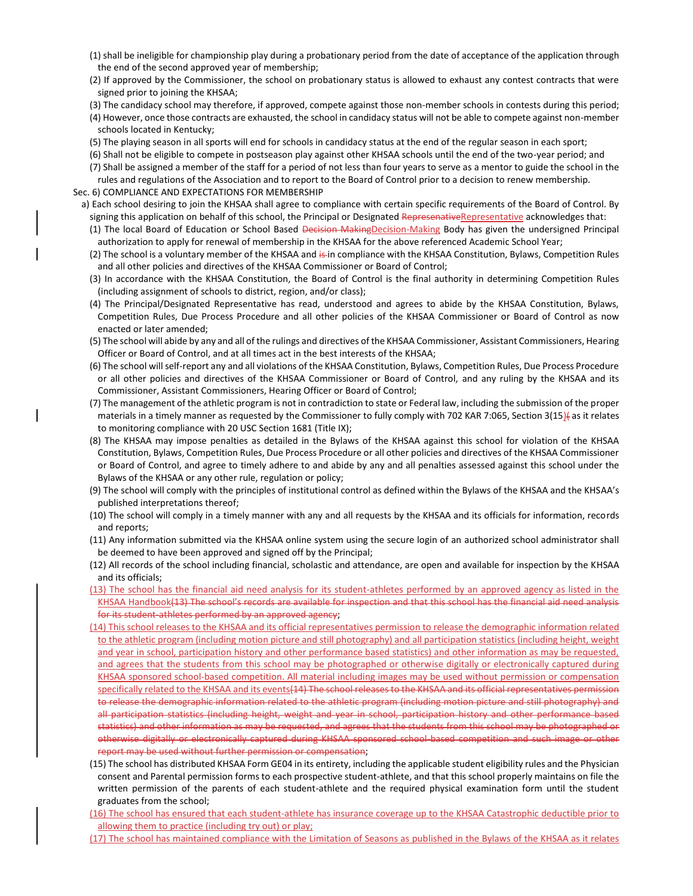- (1) shall be ineligible for championship play during a probationary period from the date of acceptance of the application through the end of the second approved year of membership;
- (2) If approved by the Commissioner, the school on probationary status is allowed to exhaust any contest contracts that were signed prior to joining the KHSAA;
- (3) The candidacy school may therefore, if approved, compete against those non-member schools in contests during this period;
- (4) However, once those contracts are exhausted, the school in candidacy status will not be able to compete against non-member schools located in Kentucky;
- (5) The playing season in all sports will end for schools in candidacy status at the end of the regular season in each sport;
- (6) Shall not be eligible to compete in postseason play against other KHSAA schools until the end of the two-year period; and
- (7) Shall be assigned a member of the staff for a period of not less than four years to serve as a mentor to guide the school in the rules and regulations of the Association and to report to the Board of Control prior to a decision to renew membership.

Sec. 6) COMPLIANCE AND EXPECTATIONS FOR MEMBERSHIP

- a) Each school desiring to join the KHSAA shall agree to compliance with certain specific requirements of the Board of Control. By signing this application on behalf of this school, the Principal or Designated RepresenativeRepresentative acknowledges that:
	- (1) The local Board of Education or School Based Decision MakingDecision-Making Body has given the undersigned Principal authorization to apply for renewal of membership in the KHSAA for the above referenced Academic School Year;
	- (2) The school is a voluntary member of the KHSAA and is in compliance with the KHSAA Constitution, Bylaws, Competition Rules and all other policies and directives of the KHSAA Commissioner or Board of Control;
	- (3) In accordance with the KHSAA Constitution, the Board of Control is the final authority in determining Competition Rules (including assignment of schools to district, region, and/or class);
	- (4) The Principal/Designated Representative has read, understood and agrees to abide by the KHSAA Constitution, Bylaws, Competition Rules, Due Process Procedure and all other policies of the KHSAA Commissioner or Board of Control as now enacted or later amended;
	- (5) The school will abide by any and all of the rulings and directives of the KHSAA Commissioner, Assistant Commissioners, Hearing Officer or Board of Control, and at all times act in the best interests of the KHSAA;
	- (6) The school will self-report any and all violations of the KHSAA Constitution, Bylaws, Competition Rules, Due Process Procedure or all other policies and directives of the KHSAA Commissioner or Board of Control, and any ruling by the KHSAA and its Commissioner, Assistant Commissioners, Hearing Officer or Board of Control;
	- (7) The management of the athletic program is not in contradiction to state or Federal law, including the submission of the proper materials in a timely manner as requested by the Commissioner to fully comply with 702 KAR 7:065, Section 3(15) as it relates to monitoring compliance with 20 USC Section 1681 (Title IX);
	- (8) The KHSAA may impose penalties as detailed in the Bylaws of the KHSAA against this school for violation of the KHSAA Constitution, Bylaws, Competition Rules, Due Process Procedure or all other policies and directives of the KHSAA Commissioner or Board of Control, and agree to timely adhere to and abide by any and all penalties assessed against this school under the Bylaws of the KHSAA or any other rule, regulation or policy;
	- (9) The school will comply with the principles of institutional control as defined within the Bylaws of the KHSAA and the KHSAA's published interpretations thereof;
	- (10) The school will comply in a timely manner with any and all requests by the KHSAA and its officials for information, records and reports;
	- (11) Any information submitted via the KHSAA online system using the secure login of an authorized school administrator shall be deemed to have been approved and signed off by the Principal;
	- (12) All records of the school including financial, scholastic and attendance, are open and available for inspection by the KHSAA and its officials;
	- (13) The school has the financial aid need analysis for its student-athletes performed by an approved agency as listed in the KHSAA Handbook(13) The school's records are available for inspection and that this school has the financial aid need analysis for its student-athletes performed by an approved agency;
	- (14) This school releases to the KHSAA and its official representatives permission to release the demographic information related to the athletic program (including motion picture and still photography) and all participation statistics (including height, weight and year in school, participation history and other performance based statistics) and other information as may be requested, and agrees that the students from this school may be photographed or otherwise digitally or electronically captured during KHSAA sponsored school-based competition. All material including images may be used without permission or compensation specifically related to the KHSAA and its events(14) The school releases to the KHSAA and its official representatives permission to release the demographic information related to the athletic program (including motion picture and still photography) and all participation statistics (including height, weight and year in school, participation history and other performance based statistics) and other information as may be requested, and agrees that the students from this school may be photographed or otherwise digitally or electronically captured during KHSAA sponsored school-based competition and such image or other report may be used without further permission or compensation;
	- (15) The school has distributed KHSAA Form GE04 in its entirety, including the applicable student eligibility rules and the Physician consent and Parental permission forms to each prospective student-athlete, and that this school properly maintains on file the written permission of the parents of each student-athlete and the required physical examination form until the student graduates from the school;
	- (16) The school has ensured that each student-athlete has insurance coverage up to the KHSAA Catastrophic deductible prior to allowing them to practice (including try out) or play;
	- (17) The school has maintained compliance with the Limitation of Seasons as published in the Bylaws of the KHSAA as it relates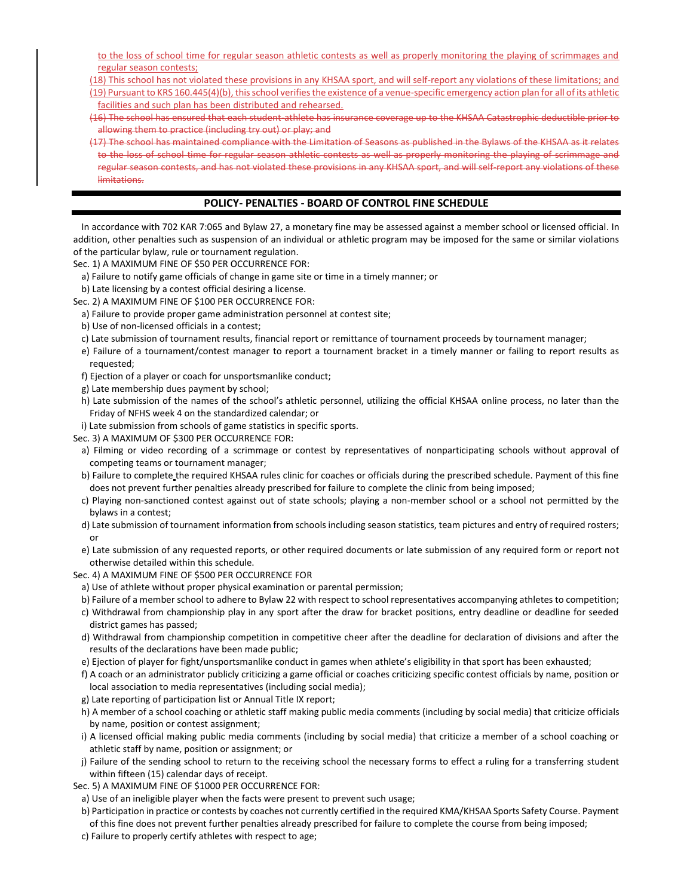to the loss of school time for regular season athletic contests as well as properly monitoring the playing of scrimmages and regular season contests;

(18) This school has not violated these provisions in any KHSAA sport, and will self-report any violations of these limitations; and

(19) Pursuant to KRS 160.445(4)(b), this school verifies the existence of a venue-specific emergency action plan for all of its athletic facilities and such plan has been distributed and rehearsed.

- (16) The school has ensured that each student-athlete has insurance coverage up to the KHSAA Catastrophic deductible prior to allowing them to practice (including try out) or play; and
- (17) The school has maintained compliance with the Limitation of Seasons as published in the Bylaws of the KHSAA as it relates to the loss of school time for regular season athletic contests as well as properly monitoring the playing of scrimmage and regular season contests, and has not violated these provisions in any KHSAA sport, and will self-report any violations of these limitations.

# **POLICY- PENALTIES - BOARD OF CONTROL FINE SCHEDULE**

In accordance with 702 KAR 7:065 and Bylaw 27, a monetary fine may be assessed against a member school or licensed official. In addition, other penalties such as suspension of an individual or athletic program may be imposed for the same or similar violations of the particular bylaw, rule or tournament regulation.

Sec. 1) A MAXIMUM FINE OF \$50 PER OCCURRENCE FOR:

- a) Failure to notify game officials of change in game site or time in a timely manner; or
- b) Late licensing by a contest official desiring a license.
- Sec. 2) A MAXIMUM FINE OF \$100 PER OCCURRENCE FOR:
- a) Failure to provide proper game administration personnel at contest site;
- b) Use of non-licensed officials in a contest;
- c) Late submission of tournament results, financial report or remittance of tournament proceeds by tournament manager;
- e) Failure of a tournament/contest manager to report a tournament bracket in a timely manner or failing to report results as requested;
- f) Ejection of a player or coach for unsportsmanlike conduct;
- g) Late membership dues payment by school;
- h) Late submission of the names of the school's athletic personnel, utilizing the official KHSAA online process, no later than the Friday of NFHS week 4 on the standardized calendar; or
- i) Late submission from schools of game statistics in specific sports.
- Sec. 3) A MAXIMUM OF \$300 PER OCCURRENCE FOR:
- a) Filming or video recording of a scrimmage or contest by representatives of nonparticipating schools without approval of competing teams or tournament manager;
- b) Failure to complete the required KHSAA rules clinic for coaches or officials during the prescribed schedule. Payment of this fine does not prevent further penalties already prescribed for failure to complete the clinic from being imposed;
- c) Playing non-sanctioned contest against out of state schools; playing a non-member school or a school not permitted by the bylaws in a contest;
- d) Late submission of tournament information from schools including season statistics, team pictures and entry of required rosters; or
- e) Late submission of any requested reports, or other required documents or late submission of any required form or report not otherwise detailed within this schedule.
- Sec. 4) A MAXIMUM FINE OF \$500 PER OCCURRENCE FOR
- a) Use of athlete without proper physical examination or parental permission;
- b) Failure of a member school to adhere to Bylaw 22 with respect to school representatives accompanying athletes to competition;
- c) Withdrawal from championship play in any sport after the draw for bracket positions, entry deadline or deadline for seeded district games has passed;
- d) Withdrawal from championship competition in competitive cheer after the deadline for declaration of divisions and after the results of the declarations have been made public;
- e) Ejection of player for fight/unsportsmanlike conduct in games when athlete's eligibility in that sport has been exhausted;
- f) A coach or an administrator publicly criticizing a game official or coaches criticizing specific contest officials by name, position or local association to media representatives (including social media);
- g) Late reporting of participation list or Annual Title IX report;
- h) A member of a school coaching or athletic staff making public media comments (including by social media) that criticize officials by name, position or contest assignment;
- i) A licensed official making public media comments (including by social media) that criticize a member of a school coaching or athletic staff by name, position or assignment; or
- j) Failure of the sending school to return to the receiving school the necessary forms to effect a ruling for a transferring student within fifteen (15) calendar days of receipt.
- Sec. 5) A MAXIMUM FINE OF \$1000 PER OCCURRENCE FOR:
	- a) Use of an ineligible player when the facts were present to prevent such usage;
	- b) Participation in practice or contests by coaches not currently certified in the required KMA/KHSAA Sports Safety Course. Payment
	- of this fine does not prevent further penalties already prescribed for failure to complete the course from being imposed;
	- c) Failure to properly certify athletes with respect to age;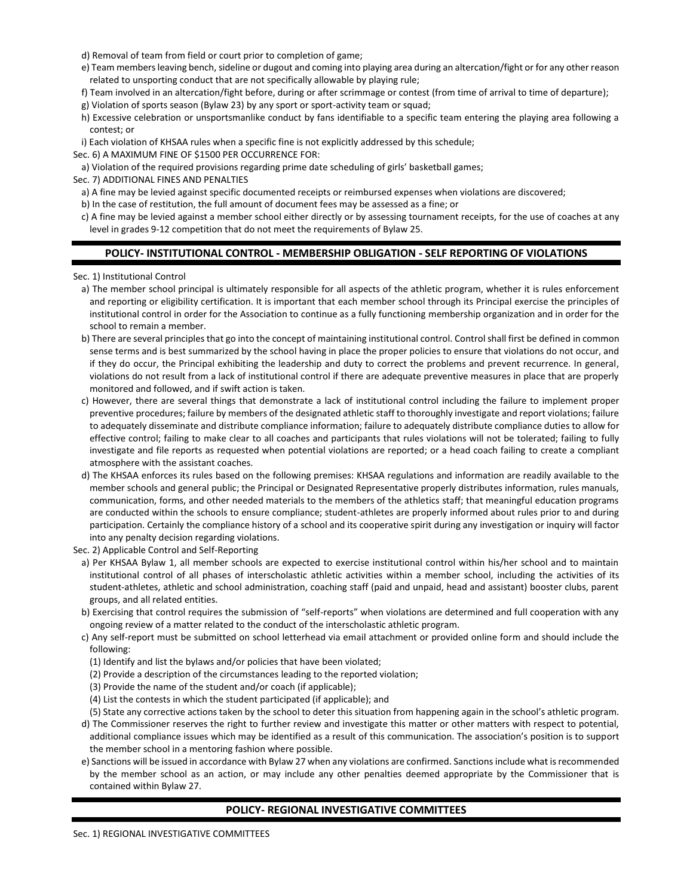- d) Removal of team from field or court prior to completion of game;
- e) Team members leaving bench, sideline or dugout and coming into playing area during an altercation/fight or for any other reason related to unsporting conduct that are not specifically allowable by playing rule;
- f) Team involved in an altercation/fight before, during or after scrimmage or contest (from time of arrival to time of departure);
- g) Violation of sports season (Bylaw 23) by any sport or sport-activity team or squad;
- h) Excessive celebration or unsportsmanlike conduct by fans identifiable to a specific team entering the playing area following a contest; or
- i) Each violation of KHSAA rules when a specific fine is not explicitly addressed by this schedule;
- Sec. 6) A MAXIMUM FINE OF \$1500 PER OCCURRENCE FOR:
- a) Violation of the required provisions regarding prime date scheduling of girls' basketball games;

Sec. 7) ADDITIONAL FINES AND PENALTIES

- a) A fine may be levied against specific documented receipts or reimbursed expenses when violations are discovered;
- b) In the case of restitution, the full amount of document fees may be assessed as a fine; or
- c) A fine may be levied against a member school either directly or by assessing tournament receipts, for the use of coaches at any level in grades 9-12 competition that do not meet the requirements of Bylaw 25.

### **POLICY- INSTITUTIONAL CONTROL - MEMBERSHIP OBLIGATION - SELF REPORTING OF VIOLATIONS**

Sec. 1) Institutional Control

- a) The member school principal is ultimately responsible for all aspects of the athletic program, whether it is rules enforcement and reporting or eligibility certification. It is important that each member school through its Principal exercise the principles of institutional control in order for the Association to continue as a fully functioning membership organization and in order for the school to remain a member.
- b) There are several principles that go into the concept of maintaining institutional control. Control shall first be defined in common sense terms and is best summarized by the school having in place the proper policies to ensure that violations do not occur, and if they do occur, the Principal exhibiting the leadership and duty to correct the problems and prevent recurrence. In general, violations do not result from a lack of institutional control if there are adequate preventive measures in place that are properly monitored and followed, and if swift action is taken.
- c) However, there are several things that demonstrate a lack of institutional control including the failure to implement proper preventive procedures; failure by members of the designated athletic staff to thoroughly investigate and report violations; failure to adequately disseminate and distribute compliance information; failure to adequately distribute compliance duties to allow for effective control; failing to make clear to all coaches and participants that rules violations will not be tolerated; failing to fully investigate and file reports as requested when potential violations are reported; or a head coach failing to create a compliant atmosphere with the assistant coaches.
- d) The KHSAA enforces its rules based on the following premises: KHSAA regulations and information are readily available to the member schools and general public; the Principal or Designated Representative properly distributes information, rules manuals, communication, forms, and other needed materials to the members of the athletics staff; that meaningful education programs are conducted within the schools to ensure compliance; student-athletes are properly informed about rules prior to and during participation. Certainly the compliance history of a school and its cooperative spirit during any investigation or inquiry will factor into any penalty decision regarding violations.
- Sec. 2) Applicable Control and Self-Reporting
	- a) Per KHSAA Bylaw 1, all member schools are expected to exercise institutional control within his/her school and to maintain institutional control of all phases of interscholastic athletic activities within a member school, including the activities of its student-athletes, athletic and school administration, coaching staff (paid and unpaid, head and assistant) booster clubs, parent groups, and all related entities.
	- b) Exercising that control requires the submission of "self-reports" when violations are determined and full cooperation with any ongoing review of a matter related to the conduct of the interscholastic athletic program.
	- c) Any self-report must be submitted on school letterhead via email attachment or provided online form and should include the following:
		- (1) Identify and list the bylaws and/or policies that have been violated;
		- (2) Provide a description of the circumstances leading to the reported violation;
		- (3) Provide the name of the student and/or coach (if applicable);
		- (4) List the contests in which the student participated (if applicable); and
	- (5) State any corrective actions taken by the school to deter this situation from happening again in the school's athletic program. d) The Commissioner reserves the right to further review and investigate this matter or other matters with respect to potential, additional compliance issues which may be identified as a result of this communication. The association's position is to support the member school in a mentoring fashion where possible.
	- e) Sanctions will be issued in accordance with Bylaw 27 when any violations are confirmed. Sanctions include what is recommended by the member school as an action, or may include any other penalties deemed appropriate by the Commissioner that is contained within Bylaw 27.

### **POLICY- REGIONAL INVESTIGATIVE COMMITTEES**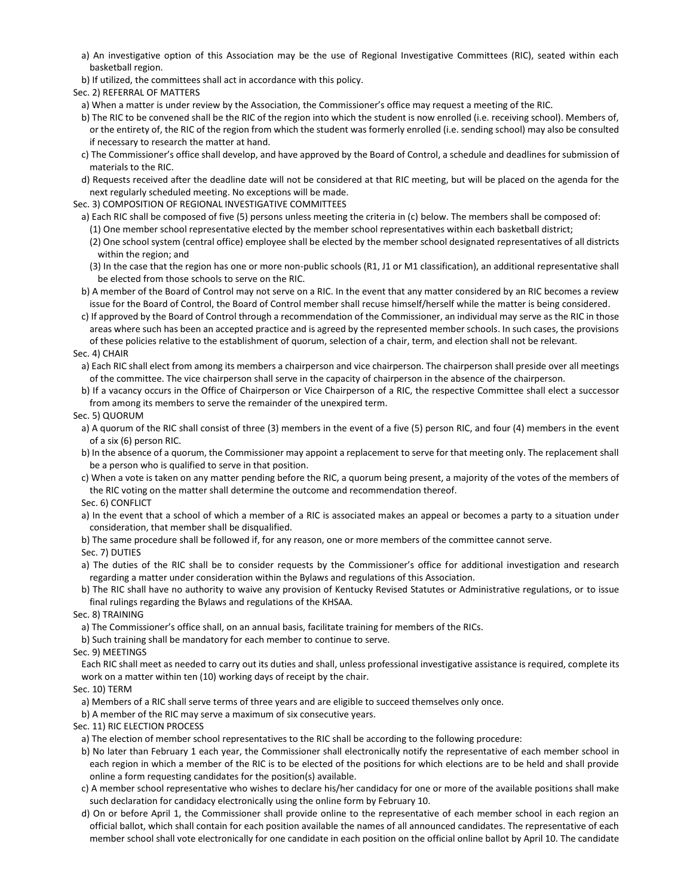- a) An investigative option of this Association may be the use of Regional Investigative Committees (RIC), seated within each basketball region.
- b) If utilized, the committees shall act in accordance with this policy.
- Sec. 2) REFERRAL OF MATTERS
- a) When a matter is under review by the Association, the Commissioner's office may request a meeting of the RIC.
- b) The RIC to be convened shall be the RIC of the region into which the student is now enrolled (i.e. receiving school). Members of, or the entirety of, the RIC of the region from which the student was formerly enrolled (i.e. sending school) may also be consulted if necessary to research the matter at hand.
- c) The Commissioner's office shall develop, and have approved by the Board of Control, a schedule and deadlines for submission of materials to the RIC.
- d) Requests received after the deadline date will not be considered at that RIC meeting, but will be placed on the agenda for the next regularly scheduled meeting. No exceptions will be made.
- Sec. 3) COMPOSITION OF REGIONAL INVESTIGATIVE COMMITTEES
	- a) Each RIC shall be composed of five (5) persons unless meeting the criteria in (c) below. The members shall be composed of:
	- (1) One member school representative elected by the member school representatives within each basketball district;
	- (2) One school system (central office) employee shall be elected by the member school designated representatives of all districts within the region; and
	- (3) In the case that the region has one or more non-public schools (R1, J1 or M1 classification), an additional representative shall be elected from those schools to serve on the RIC.
	- b) A member of the Board of Control may not serve on a RIC. In the event that any matter considered by an RIC becomes a review issue for the Board of Control, the Board of Control member shall recuse himself/herself while the matter is being considered.

c) If approved by the Board of Control through a recommendation of the Commissioner, an individual may serve as the RIC in those areas where such has been an accepted practice and is agreed by the represented member schools. In such cases, the provisions of these policies relative to the establishment of quorum, selection of a chair, term, and election shall not be relevant.

### Sec. 4) CHAIR

a) Each RIC shall elect from among its members a chairperson and vice chairperson. The chairperson shall preside over all meetings of the committee. The vice chairperson shall serve in the capacity of chairperson in the absence of the chairperson.

b) If a vacancy occurs in the Office of Chairperson or Vice Chairperson of a RIC, the respective Committee shall elect a successor from among its members to serve the remainder of the unexpired term.

### Sec. 5) QUORUM

- a) A quorum of the RIC shall consist of three (3) members in the event of a five (5) person RIC, and four (4) members in the event of a six (6) person RIC.
- b) In the absence of a quorum, the Commissioner may appoint a replacement to serve for that meeting only. The replacement shall be a person who is qualified to serve in that position.
- c) When a vote is taken on any matter pending before the RIC, a quorum being present, a majority of the votes of the members of the RIC voting on the matter shall determine the outcome and recommendation thereof.
- Sec. 6) CONFLICT
- a) In the event that a school of which a member of a RIC is associated makes an appeal or becomes a party to a situation under consideration, that member shall be disqualified.
- b) The same procedure shall be followed if, for any reason, one or more members of the committee cannot serve.

### Sec. 7) DUTIES

- a) The duties of the RIC shall be to consider requests by the Commissioner's office for additional investigation and research regarding a matter under consideration within the Bylaws and regulations of this Association.
- b) The RIC shall have no authority to waive any provision of Kentucky Revised Statutes or Administrative regulations, or to issue final rulings regarding the Bylaws and regulations of the KHSAA.
- Sec. 8) TRAINING
- a) The Commissioner's office shall, on an annual basis, facilitate training for members of the RICs.

b) Such training shall be mandatory for each member to continue to serve.

Sec. 9) MEETINGS

Each RIC shall meet as needed to carry out its duties and shall, unless professional investigative assistance is required, complete its work on a matter within ten (10) working days of receipt by the chair.

### Sec. 10) TERM

a) Members of a RIC shall serve terms of three years and are eligible to succeed themselves only once.

b) A member of the RIC may serve a maximum of six consecutive years.

Sec. 11) RIC ELECTION PROCESS

a) The election of member school representatives to the RIC shall be according to the following procedure:

- b) No later than February 1 each year, the Commissioner shall electronically notify the representative of each member school in each region in which a member of the RIC is to be elected of the positions for which elections are to be held and shall provide online a form requesting candidates for the position(s) available.
- c) A member school representative who wishes to declare his/her candidacy for one or more of the available positions shall make such declaration for candidacy electronically using the online form by February 10.
- d) On or before April 1, the Commissioner shall provide online to the representative of each member school in each region an official ballot, which shall contain for each position available the names of all announced candidates. The representative of each member school shall vote electronically for one candidate in each position on the official online ballot by April 10. The candidate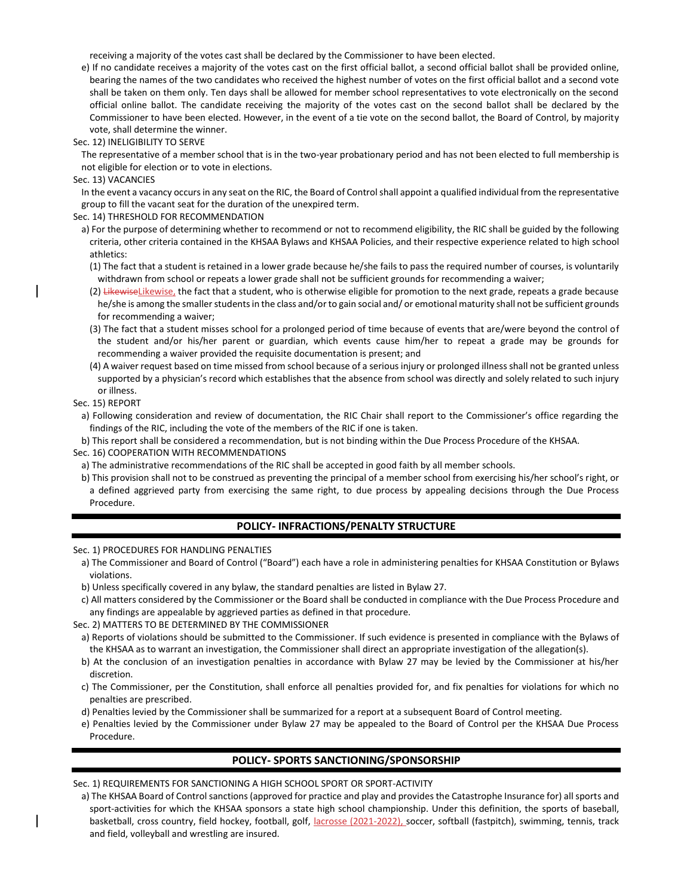receiving a majority of the votes cast shall be declared by the Commissioner to have been elected.

e) If no candidate receives a majority of the votes cast on the first official ballot, a second official ballot shall be provided online, bearing the names of the two candidates who received the highest number of votes on the first official ballot and a second vote shall be taken on them only. Ten days shall be allowed for member school representatives to vote electronically on the second official online ballot. The candidate receiving the majority of the votes cast on the second ballot shall be declared by the Commissioner to have been elected. However, in the event of a tie vote on the second ballot, the Board of Control, by majority vote, shall determine the winner.

Sec. 12) INELIGIBILITY TO SERVE

The representative of a member school that is in the two-year probationary period and has not been elected to full membership is not eligible for election or to vote in elections.

Sec. 13) VACANCIES

In the event a vacancy occurs in any seat on the RIC, the Board of Control shall appoint a qualified individual from the representative group to fill the vacant seat for the duration of the unexpired term.

Sec. 14) THRESHOLD FOR RECOMMENDATION

- a) For the purpose of determining whether to recommend or not to recommend eligibility, the RIC shall be guided by the following criteria, other criteria contained in the KHSAA Bylaws and KHSAA Policies, and their respective experience related to high school athletics:
	- (1) The fact that a student is retained in a lower grade because he/she fails to pass the required number of courses, is voluntarily withdrawn from school or repeats a lower grade shall not be sufficient grounds for recommending a waiver;
	- (2) Likewise Likewise, the fact that a student, who is otherwise eligible for promotion to the next grade, repeats a grade because he/she is among the smaller students in the class and/or to gain social and/ or emotional maturity shall not be sufficient grounds for recommending a waiver;
	- (3) The fact that a student misses school for a prolonged period of time because of events that are/were beyond the control of the student and/or his/her parent or guardian, which events cause him/her to repeat a grade may be grounds for recommending a waiver provided the requisite documentation is present; and
- (4) A waiver request based on time missed from school because of a serious injury or prolonged illness shall not be granted unless supported by a physician's record which establishes that the absence from school was directly and solely related to such injury or illness.

Sec. 15) REPORT

- a) Following consideration and review of documentation, the RIC Chair shall report to the Commissioner's office regarding the findings of the RIC, including the vote of the members of the RIC if one is taken.
- b) This report shall be considered a recommendation, but is not binding within the Due Process Procedure of the KHSAA.

Sec. 16) COOPERATION WITH RECOMMENDATIONS

- a) The administrative recommendations of the RIC shall be accepted in good faith by all member schools.
- b) This provision shall not to be construed as preventing the principal of a member school from exercising his/her school's right, or a defined aggrieved party from exercising the same right, to due process by appealing decisions through the Due Process Procedure.

## **POLICY- INFRACTIONS/PENALTY STRUCTURE**

Sec. 1) PROCEDURES FOR HANDLING PENALTIES

- a) The Commissioner and Board of Control ("Board") each have a role in administering penalties for KHSAA Constitution or Bylaws violations.
- b) Unless specifically covered in any bylaw, the standard penalties are listed in Bylaw 27.
- c) All matters considered by the Commissioner or the Board shall be conducted in compliance with the Due Process Procedure and any findings are appealable by aggrieved parties as defined in that procedure.

Sec. 2) MATTERS TO BE DETERMINED BY THE COMMISSIONER

- a) Reports of violations should be submitted to the Commissioner. If such evidence is presented in compliance with the Bylaws of the KHSAA as to warrant an investigation, the Commissioner shall direct an appropriate investigation of the allegation(s).
- b) At the conclusion of an investigation penalties in accordance with Bylaw 27 may be levied by the Commissioner at his/her discretion.
- c) The Commissioner, per the Constitution, shall enforce all penalties provided for, and fix penalties for violations for which no penalties are prescribed.
- d) Penalties levied by the Commissioner shall be summarized for a report at a subsequent Board of Control meeting.
- e) Penalties levied by the Commissioner under Bylaw 27 may be appealed to the Board of Control per the KHSAA Due Process Procedure.

## **POLICY- SPORTS SANCTIONING/SPONSORSHIP**

Sec. 1) REQUIREMENTS FOR SANCTIONING A HIGH SCHOOL SPORT OR SPORT-ACTIVITY

a) The KHSAA Board of Control sanctions (approved for practice and play and provides the Catastrophe Insurance for) all sports and sport-activities for which the KHSAA sponsors a state high school championship. Under this definition, the sports of baseball, basketball, cross country, field hockey, football, golf, lacrosse (2021-2022), soccer, softball (fastpitch), swimming, tennis, track and field, volleyball and wrestling are insured.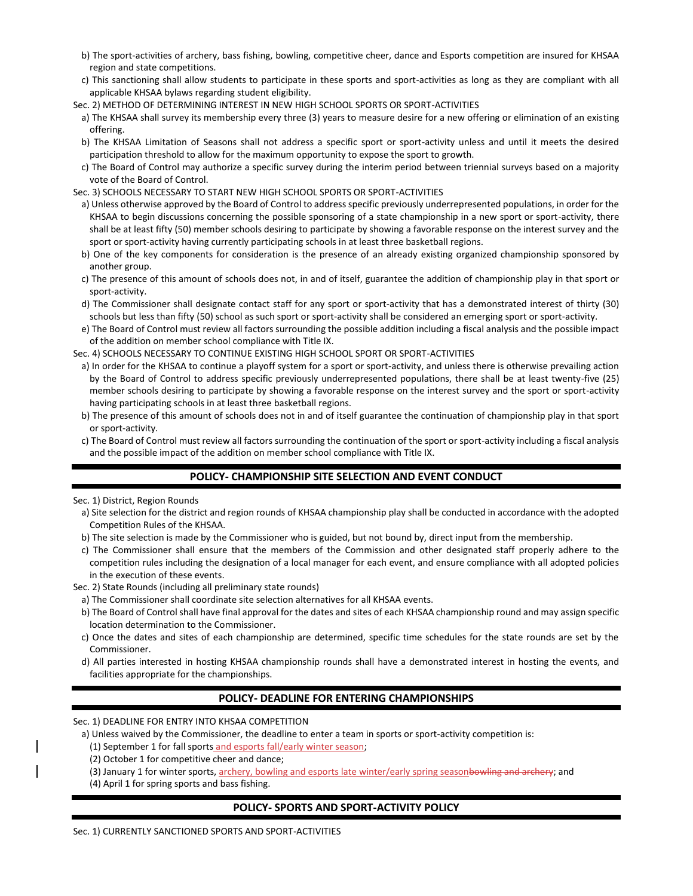- b) The sport-activities of archery, bass fishing, bowling, competitive cheer, dance and Esports competition are insured for KHSAA region and state competitions.
- c) This sanctioning shall allow students to participate in these sports and sport-activities as long as they are compliant with all applicable KHSAA bylaws regarding student eligibility.
- Sec. 2) METHOD OF DETERMINING INTEREST IN NEW HIGH SCHOOL SPORTS OR SPORT-ACTIVITIES
- a) The KHSAA shall survey its membership every three (3) years to measure desire for a new offering or elimination of an existing offering.
- b) The KHSAA Limitation of Seasons shall not address a specific sport or sport-activity unless and until it meets the desired participation threshold to allow for the maximum opportunity to expose the sport to growth.
- c) The Board of Control may authorize a specific survey during the interim period between triennial surveys based on a majority vote of the Board of Control.
- Sec. 3) SCHOOLS NECESSARY TO START NEW HIGH SCHOOL SPORTS OR SPORT-ACTIVITIES
	- a) Unless otherwise approved by the Board of Control to address specific previously underrepresented populations, in order for the KHSAA to begin discussions concerning the possible sponsoring of a state championship in a new sport or sport-activity, there shall be at least fifty (50) member schools desiring to participate by showing a favorable response on the interest survey and the sport or sport-activity having currently participating schools in at least three basketball regions.
	- b) One of the key components for consideration is the presence of an already existing organized championship sponsored by another group.
	- c) The presence of this amount of schools does not, in and of itself, guarantee the addition of championship play in that sport or sport-activity.
	- d) The Commissioner shall designate contact staff for any sport or sport-activity that has a demonstrated interest of thirty (30) schools but less than fifty (50) school as such sport or sport-activity shall be considered an emerging sport or sport-activity.
	- e) The Board of Control must review all factors surrounding the possible addition including a fiscal analysis and the possible impact of the addition on member school compliance with Title IX.
- Sec. 4) SCHOOLS NECESSARY TO CONTINUE EXISTING HIGH SCHOOL SPORT OR SPORT-ACTIVITIES
- a) In order for the KHSAA to continue a playoff system for a sport or sport-activity, and unless there is otherwise prevailing action by the Board of Control to address specific previously underrepresented populations, there shall be at least twenty-five (25) member schools desiring to participate by showing a favorable response on the interest survey and the sport or sport-activity having participating schools in at least three basketball regions.
- b) The presence of this amount of schools does not in and of itself guarantee the continuation of championship play in that sport or sport-activity.
- c) The Board of Control must review all factors surrounding the continuation of the sport or sport-activity including a fiscal analysis and the possible impact of the addition on member school compliance with Title IX.

# **POLICY- CHAMPIONSHIP SITE SELECTION AND EVENT CONDUCT**

Sec. 1) District, Region Rounds

- a) Site selection for the district and region rounds of KHSAA championship play shall be conducted in accordance with the adopted Competition Rules of the KHSAA.
- b) The site selection is made by the Commissioner who is guided, but not bound by, direct input from the membership.
- c) The Commissioner shall ensure that the members of the Commission and other designated staff properly adhere to the competition rules including the designation of a local manager for each event, and ensure compliance with all adopted policies in the execution of these events.
- Sec. 2) State Rounds (including all preliminary state rounds)
	- a) The Commissioner shall coordinate site selection alternatives for all KHSAA events.
- b) The Board of Control shall have final approval for the dates and sites of each KHSAA championship round and may assign specific location determination to the Commissioner.
- c) Once the dates and sites of each championship are determined, specific time schedules for the state rounds are set by the Commissioner.
- d) All parties interested in hosting KHSAA championship rounds shall have a demonstrated interest in hosting the events, and facilities appropriate for the championships.

# **POLICY- DEADLINE FOR ENTERING CHAMPIONSHIPS**

Sec. 1) DEADLINE FOR ENTRY INTO KHSAA COMPETITION

- a) Unless waived by the Commissioner, the deadline to enter a team in sports or sport-activity competition is:
	- (1) September 1 for fall sports and esports fall/early winter season;
	- (2) October 1 for competitive cheer and dance;
	- (3) January 1 for winter sports, archery, bowling and esports late winter/early spring seasonbowling and archery; and
	- (4) April 1 for spring sports and bass fishing.

# **POLICY- SPORTS AND SPORT-ACTIVITY POLICY**

Sec. 1) CURRENTLY SANCTIONED SPORTS AND SPORT-ACTIVITIES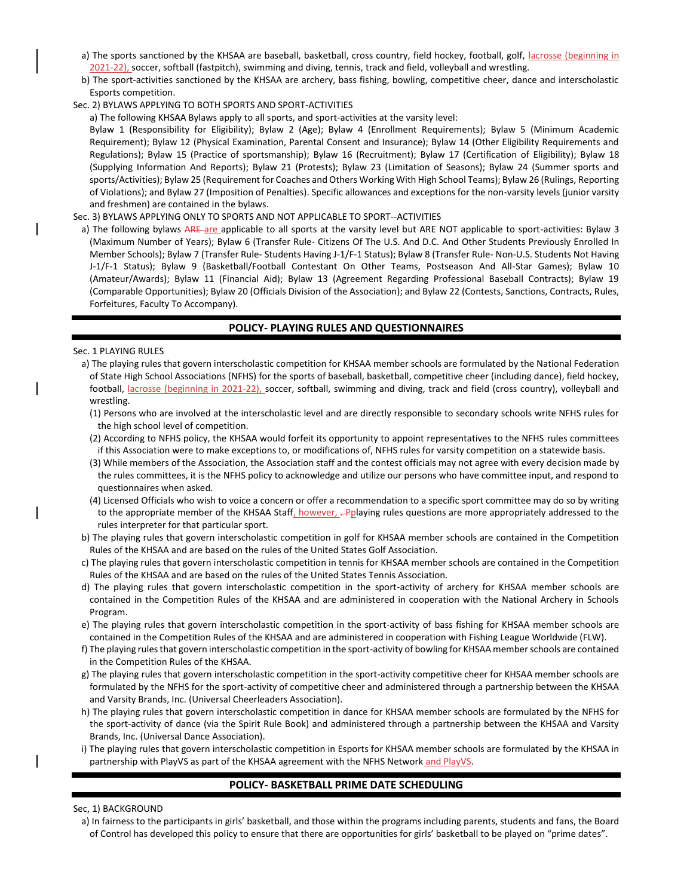- a) The sports sanctioned by the KHSAA are baseball, basketball, cross country, field hockey, football, golf, lacrosse (beginning in 2021-22), soccer, softball (fastpitch), swimming and diving, tennis, track and field, volleyball and wrestling.
- b) The sport-activities sanctioned by the KHSAA are archery, bass fishing, bowling, competitive cheer, dance and interscholastic Esports competition.

### Sec. 2) BYLAWS APPLYING TO BOTH SPORTS AND SPORT-ACTIVITIES

a) The following KHSAA Bylaws apply to all sports, and sport-activities at the varsity level:

Bylaw 1 (Responsibility for Eligibility); Bylaw 2 (Age); Bylaw 4 (Enrollment Requirements); Bylaw 5 (Minimum Academic Requirement); Bylaw 12 (Physical Examination, Parental Consent and Insurance); Bylaw 14 (Other Eligibility Requirements and Regulations); Bylaw 15 (Practice of sportsmanship); Bylaw 16 (Recruitment); Bylaw 17 (Certification of Eligibility); Bylaw 18 (Supplying Information And Reports); Bylaw 21 (Protests); Bylaw 23 (Limitation of Seasons); Bylaw 24 (Summer sports and sports/Activities); Bylaw 25 (Requirement for Coaches and Others Working With High School Teams); Bylaw 26 (Rulings, Reporting of Violations); and Bylaw 27 (Imposition of Penalties). Specific allowances and exceptions for the non-varsity levels (junior varsity and freshmen) are contained in the bylaws.

#### Sec. 3) BYLAWS APPLYING ONLY TO SPORTS AND NOT APPLICABLE TO SPORT--ACTIVITIES

a) The following bylaws ARE are applicable to all sports at the varsity level but ARE NOT applicable to sport-activities: Bylaw 3 (Maximum Number of Years); Bylaw 6 (Transfer Rule- Citizens Of The U.S. And D.C. And Other Students Previously Enrolled In Member Schools); Bylaw 7 (Transfer Rule- Students Having J-1/F-1 Status); Bylaw 8 (Transfer Rule- Non-U.S. Students Not Having J-1/F-1 Status); Bylaw 9 (Basketball/Football Contestant On Other Teams, Postseason And All-Star Games); Bylaw 10 (Amateur/Awards); Bylaw 11 (Financial Aid); Bylaw 13 (Agreement Regarding Professional Baseball Contracts); Bylaw 19 (Comparable Opportunities); Bylaw 20 (Officials Division of the Association); and Bylaw 22 (Contests, Sanctions, Contracts, Rules, Forfeitures, Faculty To Accompany).

### **POLICY- PLAYING RULES AND QUESTIONNAIRES**

#### Sec. 1 PLAYING RULES

- a) The playing rules that govern interscholastic competition for KHSAA member schools are formulated by the National Federation of State High School Associations (NFHS) for the sports of baseball, basketball, competitive cheer (including dance), field hockey, football, lacrosse (beginning in 2021-22), soccer, softball, swimming and diving, track and field (cross country), volleyball and wrestling.
	- (1) Persons who are involved at the interscholastic level and are directly responsible to secondary schools write NFHS rules for the high school level of competition.
	- (2) According to NFHS policy, the KHSAA would forfeit its opportunity to appoint representatives to the NFHS rules committees if this Association were to make exceptions to, or modifications of, NFHS rules for varsity competition on a statewide basis.
	- (3) While members of the Association, the Association staff and the contest officials may not agree with every decision made by the rules committees, it is the NFHS policy to acknowledge and utilize our persons who have committee input, and respond to questionnaires when asked.
- (4) Licensed Officials who wish to voice a concern or offer a recommendation to a specific sport committee may do so by writing to the appropriate member of the KHSAA Staff, however,  $-P<sub>Q</sub>$  having rules questions are more appropriately addressed to the rules interpreter for that particular sport.
- b) The playing rules that govern interscholastic competition in golf for KHSAA member schools are contained in the Competition Rules of the KHSAA and are based on the rules of the United States Golf Association.
- c) The playing rules that govern interscholastic competition in tennis for KHSAA member schools are contained in the Competition Rules of the KHSAA and are based on the rules of the United States Tennis Association.
- d) The playing rules that govern interscholastic competition in the sport-activity of archery for KHSAA member schools are contained in the Competition Rules of the KHSAA and are administered in cooperation with the National Archery in Schools Program.
- e) The playing rules that govern interscholastic competition in the sport-activity of bass fishing for KHSAA member schools are contained in the Competition Rules of the KHSAA and are administered in cooperation with Fishing League Worldwide (FLW).
- f) The playing rules that govern interscholastic competition in the sport-activity of bowling for KHSAA member schools are contained in the Competition Rules of the KHSAA.
- g) The playing rules that govern interscholastic competition in the sport-activity competitive cheer for KHSAA member schools are formulated by the NFHS for the sport-activity of competitive cheer and administered through a partnership between the KHSAA and Varsity Brands, Inc. (Universal Cheerleaders Association).
- h) The playing rules that govern interscholastic competition in dance for KHSAA member schools are formulated by the NFHS for the sport-activity of dance (via the Spirit Rule Book) and administered through a partnership between the KHSAA and Varsity Brands, Inc. (Universal Dance Association).
- i) The playing rules that govern interscholastic competition in Esports for KHSAA member schools are formulated by the KHSAA in partnership with PlayVS as part of the KHSAA agreement with the NFHS Network and PlayVS.

### **POLICY- BASKETBALL PRIME DATE SCHEDULING**

#### Sec, 1) BACKGROUND

a) In fairness to the participants in girls' basketball, and those within the programs including parents, students and fans, the Board of Control has developed this policy to ensure that there are opportunities for girls' basketball to be played on "prime dates".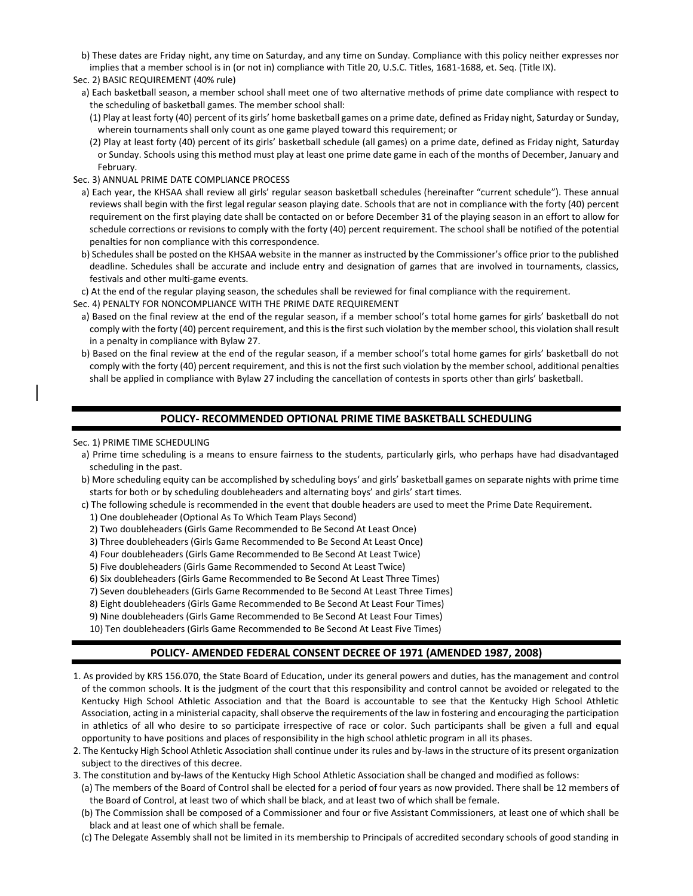- b) These dates are Friday night, any time on Saturday, and any time on Sunday. Compliance with this policy neither expresses nor implies that a member school is in (or not in) compliance with Title 20, U.S.C. Titles, 1681-1688, et. Seq. (Title IX).
- Sec. 2) BASIC REQUIREMENT (40% rule)
	- a) Each basketball season, a member school shall meet one of two alternative methods of prime date compliance with respect to the scheduling of basketball games. The member school shall:
	- (1) Play at least forty (40) percent of its girls' home basketball games on a prime date, defined as Friday night, Saturday or Sunday, wherein tournaments shall only count as one game played toward this requirement; or
	- (2) Play at least forty (40) percent of its girls' basketball schedule (all games) on a prime date, defined as Friday night, Saturday or Sunday. Schools using this method must play at least one prime date game in each of the months of December, January and February.

### Sec. 3) ANNUAL PRIME DATE COMPLIANCE PROCESS

- a) Each year, the KHSAA shall review all girls' regular season basketball schedules (hereinafter "current schedule"). These annual reviews shall begin with the first legal regular season playing date. Schools that are not in compliance with the forty (40) percent requirement on the first playing date shall be contacted on or before December 31 of the playing season in an effort to allow for schedule corrections or revisions to comply with the forty (40) percent requirement. The school shall be notified of the potential penalties for non compliance with this correspondence.
- b) Schedules shall be posted on the KHSAA website in the manner as instructed by the Commissioner's office prior to the published deadline. Schedules shall be accurate and include entry and designation of games that are involved in tournaments, classics, festivals and other multi-game events.
- c) At the end of the regular playing season, the schedules shall be reviewed for final compliance with the requirement.
- Sec. 4) PENALTY FOR NONCOMPLIANCE WITH THE PRIME DATE REQUIREMENT
- a) Based on the final review at the end of the regular season, if a member school's total home games for girls' basketball do not comply with the forty (40) percent requirement, and this is the first such violation by the member school, this violation shall result in a penalty in compliance with Bylaw 27.
- b) Based on the final review at the end of the regular season, if a member school's total home games for girls' basketball do not comply with the forty (40) percent requirement, and this is not the first such violation by the member school, additional penalties shall be applied in compliance with Bylaw 27 including the cancellation of contests in sports other than girls' basketball.

## **POLICY- RECOMMENDED OPTIONAL PRIME TIME BASKETBALL SCHEDULING**

Sec. 1) PRIME TIME SCHEDULING

- a) Prime time scheduling is a means to ensure fairness to the students, particularly girls, who perhaps have had disadvantaged scheduling in the past.
- b) More scheduling equity can be accomplished by scheduling boys' and girls' basketball games on separate nights with prime time starts for both or by scheduling doubleheaders and alternating boys' and girls' start times.
- c) The following schedule is recommended in the event that double headers are used to meet the Prime Date Requirement.
	- 1) One doubleheader (Optional As To Which Team Plays Second)
	- 2) Two doubleheaders (Girls Game Recommended to Be Second At Least Once)
	- 3) Three doubleheaders (Girls Game Recommended to Be Second At Least Once)
	- 4) Four doubleheaders (Girls Game Recommended to Be Second At Least Twice)
	- 5) Five doubleheaders (Girls Game Recommended to Second At Least Twice)
	- 6) Six doubleheaders (Girls Game Recommended to Be Second At Least Three Times)
	- 7) Seven doubleheaders (Girls Game Recommended to Be Second At Least Three Times)
	- 8) Eight doubleheaders (Girls Game Recommended to Be Second At Least Four Times)
	- 9) Nine doubleheaders (Girls Game Recommended to Be Second At Least Four Times)
	- 10) Ten doubleheaders (Girls Game Recommended to Be Second At Least Five Times)

# **POLICY- AMENDED FEDERAL CONSENT DECREE OF 1971 (AMENDED 1987, 2008)**

- 1. As provided by KRS 156.070, the State Board of Education, under its general powers and duties, has the management and control of the common schools. It is the judgment of the court that this responsibility and control cannot be avoided or relegated to the Kentucky High School Athletic Association and that the Board is accountable to see that the Kentucky High School Athletic Association, acting in a ministerial capacity, shall observe the requirements of the law in fostering and encouraging the participation in athletics of all who desire to so participate irrespective of race or color. Such participants shall be given a full and equal opportunity to have positions and places of responsibility in the high school athletic program in all its phases.
- 2. The Kentucky High School Athletic Association shall continue under its rules and by-laws in the structure of its present organization subject to the directives of this decree.
- 3. The constitution and by-laws of the Kentucky High School Athletic Association shall be changed and modified as follows:
- (a) The members of the Board of Control shall be elected for a period of four years as now provided. There shall be 12 members of the Board of Control, at least two of which shall be black, and at least two of which shall be female.
- (b) The Commission shall be composed of a Commissioner and four or five Assistant Commissioners, at least one of which shall be black and at least one of which shall be female.
- (c) The Delegate Assembly shall not be limited in its membership to Principals of accredited secondary schools of good standing in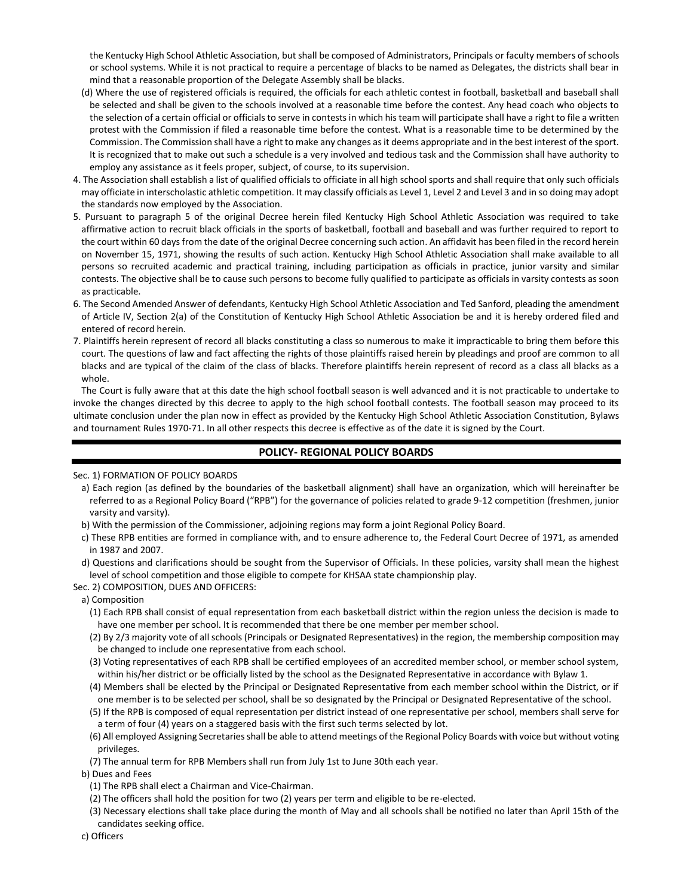the Kentucky High School Athletic Association, but shall be composed of Administrators, Principals or faculty members of schools or school systems. While it is not practical to require a percentage of blacks to be named as Delegates, the districts shall bear in mind that a reasonable proportion of the Delegate Assembly shall be blacks.

- (d) Where the use of registered officials is required, the officials for each athletic contest in football, basketball and baseball shall be selected and shall be given to the schools involved at a reasonable time before the contest. Any head coach who objects to the selection of a certain official or officials to serve in contests in which his team will participate shall have a right to file a written protest with the Commission if filed a reasonable time before the contest. What is a reasonable time to be determined by the Commission. The Commission shall have a right to make any changes as it deems appropriate and in the best interest of the sport. It is recognized that to make out such a schedule is a very involved and tedious task and the Commission shall have authority to employ any assistance as it feels proper, subject, of course, to its supervision.
- 4. The Association shall establish a list of qualified officials to officiate in all high school sports and shall require that only such officials may officiate in interscholastic athletic competition. It may classify officials as Level 1, Level 2 and Level 3 and in so doing may adopt the standards now employed by the Association.
- 5. Pursuant to paragraph 5 of the original Decree herein filed Kentucky High School Athletic Association was required to take affirmative action to recruit black officials in the sports of basketball, football and baseball and was further required to report to the court within 60 days from the date of the original Decree concerning such action. An affidavit has been filed in the record herein on November 15, 1971, showing the results of such action. Kentucky High School Athletic Association shall make available to all persons so recruited academic and practical training, including participation as officials in practice, junior varsity and similar contests. The objective shall be to cause such persons to become fully qualified to participate as officials in varsity contests as soon as practicable.
- 6. The Second Amended Answer of defendants, Kentucky High School Athletic Association and Ted Sanford, pleading the amendment of Article IV, Section 2(a) of the Constitution of Kentucky High School Athletic Association be and it is hereby ordered filed and entered of record herein.
- 7. Plaintiffs herein represent of record all blacks constituting a class so numerous to make it impracticable to bring them before this court. The questions of law and fact affecting the rights of those plaintiffs raised herein by pleadings and proof are common to all blacks and are typical of the claim of the class of blacks. Therefore plaintiffs herein represent of record as a class all blacks as a whole.

The Court is fully aware that at this date the high school football season is well advanced and it is not practicable to undertake to invoke the changes directed by this decree to apply to the high school football contests. The football season may proceed to its ultimate conclusion under the plan now in effect as provided by the Kentucky High School Athletic Association Constitution, Bylaws and tournament Rules 1970-71. In all other respects this decree is effective as of the date it is signed by the Court.

## **POLICY- REGIONAL POLICY BOARDS**

Sec. 1) FORMATION OF POLICY BOARDS

- a) Each region (as defined by the boundaries of the basketball alignment) shall have an organization, which will hereinafter be referred to as a Regional Policy Board ("RPB") for the governance of policies related to grade 9-12 competition (freshmen, junior varsity and varsity).
- b) With the permission of the Commissioner, adjoining regions may form a joint Regional Policy Board.
- c) These RPB entities are formed in compliance with, and to ensure adherence to, the Federal Court Decree of 1971, as amended in 1987 and 2007.
- d) Questions and clarifications should be sought from the Supervisor of Officials. In these policies, varsity shall mean the highest level of school competition and those eligible to compete for KHSAA state championship play.
- Sec. 2) COMPOSITION, DUES AND OFFICERS:
- a) Composition
	- (1) Each RPB shall consist of equal representation from each basketball district within the region unless the decision is made to have one member per school. It is recommended that there be one member per member school.
	- (2) By 2/3 majority vote of all schools (Principals or Designated Representatives) in the region, the membership composition may be changed to include one representative from each school.
	- (3) Voting representatives of each RPB shall be certified employees of an accredited member school, or member school system, within his/her district or be officially listed by the school as the Designated Representative in accordance with Bylaw 1.
	- (4) Members shall be elected by the Principal or Designated Representative from each member school within the District, or if one member is to be selected per school, shall be so designated by the Principal or Designated Representative of the school.
	- (5) If the RPB is composed of equal representation per district instead of one representative per school, members shall serve for a term of four (4) years on a staggered basis with the first such terms selected by lot.
	- (6) All employed Assigning Secretaries shall be able to attend meetings of the Regional Policy Boards with voice but without voting privileges.
	- (7) The annual term for RPB Members shall run from July 1st to June 30th each year.

b) Dues and Fees

- (1) The RPB shall elect a Chairman and Vice-Chairman.
- (2) The officers shall hold the position for two (2) years per term and eligible to be re-elected.
- (3) Necessary elections shall take place during the month of May and all schools shall be notified no later than April 15th of the candidates seeking office.
- c) Officers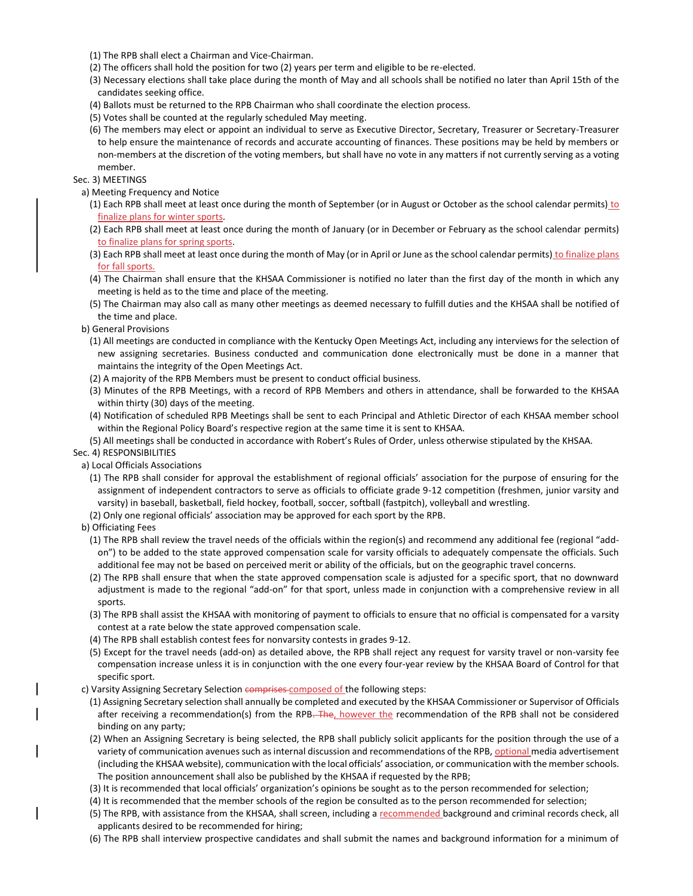- (1) The RPB shall elect a Chairman and Vice-Chairman.
- (2) The officers shall hold the position for two (2) years per term and eligible to be re-elected.
- (3) Necessary elections shall take place during the month of May and all schools shall be notified no later than April 15th of the candidates seeking office.
- (4) Ballots must be returned to the RPB Chairman who shall coordinate the election process.
- (5) Votes shall be counted at the regularly scheduled May meeting.
- (6) The members may elect or appoint an individual to serve as Executive Director, Secretary, Treasurer or Secretary-Treasurer to help ensure the maintenance of records and accurate accounting of finances. These positions may be held by members or non-members at the discretion of the voting members, but shall have no vote in any matters if not currently serving as a voting member.

## Sec. 3) MEETINGS

- a) Meeting Frequency and Notice
	- (1) Each RPB shall meet at least once during the month of September (or in August or October as the school calendar permits)  $to$ </u> finalize plans for winter sports.
	- (2) Each RPB shall meet at least once during the month of January (or in December or February as the school calendar permits) to finalize plans for spring sports.
	- (3) Each RPB shall meet at least once during the month of May (or in April or June as the school calendar permits) to finalize plans for fall sports.
	- (4) The Chairman shall ensure that the KHSAA Commissioner is notified no later than the first day of the month in which any meeting is held as to the time and place of the meeting.
	- (5) The Chairman may also call as many other meetings as deemed necessary to fulfill duties and the KHSAA shall be notified of the time and place.
- b) General Provisions
	- (1) All meetings are conducted in compliance with the Kentucky Open Meetings Act, including any interviews for the selection of new assigning secretaries. Business conducted and communication done electronically must be done in a manner that maintains the integrity of the Open Meetings Act.
	- (2) A majority of the RPB Members must be present to conduct official business.
	- (3) Minutes of the RPB Meetings, with a record of RPB Members and others in attendance, shall be forwarded to the KHSAA within thirty (30) days of the meeting.
	- (4) Notification of scheduled RPB Meetings shall be sent to each Principal and Athletic Director of each KHSAA member school within the Regional Policy Board's respective region at the same time it is sent to KHSAA.
	- (5) All meetings shall be conducted in accordance with Robert's Rules of Order, unless otherwise stipulated by the KHSAA.
- Sec. 4) RESPONSIBILITIES
	- a) Local Officials Associations
	- (1) The RPB shall consider for approval the establishment of regional officials' association for the purpose of ensuring for the assignment of independent contractors to serve as officials to officiate grade 9-12 competition (freshmen, junior varsity and varsity) in baseball, basketball, field hockey, football, soccer, softball (fastpitch), volleyball and wrestling.
	- (2) Only one regional officials' association may be approved for each sport by the RPB.
	- b) Officiating Fees
		- (1) The RPB shall review the travel needs of the officials within the region(s) and recommend any additional fee (regional "addon") to be added to the state approved compensation scale for varsity officials to adequately compensate the officials. Such additional fee may not be based on perceived merit or ability of the officials, but on the geographic travel concerns.
		- (2) The RPB shall ensure that when the state approved compensation scale is adjusted for a specific sport, that no downward adjustment is made to the regional "add-on" for that sport, unless made in conjunction with a comprehensive review in all sports.
		- (3) The RPB shall assist the KHSAA with monitoring of payment to officials to ensure that no official is compensated for a varsity contest at a rate below the state approved compensation scale.
		- (4) The RPB shall establish contest fees for nonvarsity contests in grades 9-12.
		- (5) Except for the travel needs (add-on) as detailed above, the RPB shall reject any request for varsity travel or non-varsity fee compensation increase unless it is in conjunction with the one every four-year review by the KHSAA Board of Control for that specific sport.
	- c) Varsity Assigning Secretary Selection comprises composed of the following steps:
		- (1) Assigning Secretary selection shall annually be completed and executed by the KHSAA Commissioner or Supervisor of Officials after receiving a recommendation(s) from the RPB. The, however the recommendation of the RPB shall not be considered binding on any party;
		- (2) When an Assigning Secretary is being selected, the RPB shall publicly solicit applicants for the position through the use of a variety of communication avenues such as internal discussion and recommendations of the RPB, optional media advertisement (including the KHSAA website), communication with the local officials' association, or communication with the member schools. The position announcement shall also be published by the KHSAA if requested by the RPB;
		- (3) It is recommended that local officials' organization's opinions be sought as to the person recommended for selection;
		- (4) It is recommended that the member schools of the region be consulted as to the person recommended for selection;
		- (5) The RPB, with assistance from the KHSAA, shall screen, including a recommended background and criminal records check, all applicants desired to be recommended for hiring;
		- (6) The RPB shall interview prospective candidates and shall submit the names and background information for a minimum of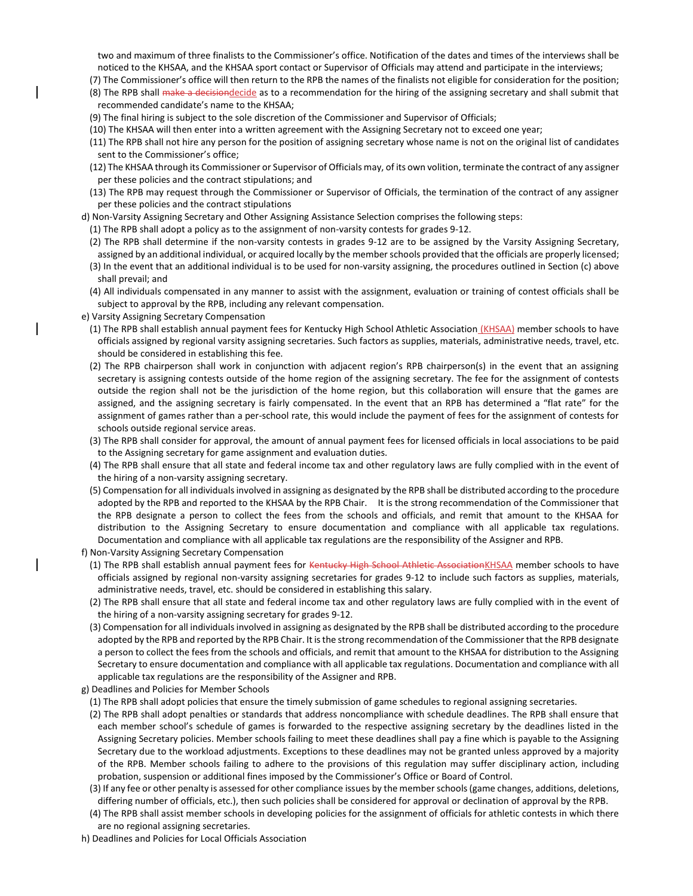two and maximum of three finalists to the Commissioner's office. Notification of the dates and times of the interviews shall be noticed to the KHSAA, and the KHSAA sport contact or Supervisor of Officials may attend and participate in the interviews;

- (7) The Commissioner's office will then return to the RPB the names of the finalists not eligible for consideration for the position;
- (8) The RPB shall make a decisiondecide as to a recommendation for the hiring of the assigning secretary and shall submit that recommended candidate's name to the KHSAA;
- (9) The final hiring is subject to the sole discretion of the Commissioner and Supervisor of Officials;
- (10) The KHSAA will then enter into a written agreement with the Assigning Secretary not to exceed one year;
- (11) The RPB shall not hire any person for the position of assigning secretary whose name is not on the original list of candidates sent to the Commissioner's office;
- (12) The KHSAA through its Commissioner or Supervisor of Officials may, of its own volition, terminate the contract of any assigner per these policies and the contract stipulations; and
- (13) The RPB may request through the Commissioner or Supervisor of Officials, the termination of the contract of any assigner per these policies and the contract stipulations
- d) Non-Varsity Assigning Secretary and Other Assigning Assistance Selection comprises the following steps:
- (1) The RPB shall adopt a policy as to the assignment of non-varsity contests for grades 9-12.
- (2) The RPB shall determine if the non-varsity contests in grades 9-12 are to be assigned by the Varsity Assigning Secretary, assigned by an additional individual, or acquired locally by the member schools provided that the officials are properly licensed;
- (3) In the event that an additional individual is to be used for non-varsity assigning, the procedures outlined in Section (c) above shall prevail; and
- (4) All individuals compensated in any manner to assist with the assignment, evaluation or training of contest officials shall be subject to approval by the RPB, including any relevant compensation.
- e) Varsity Assigning Secretary Compensation
	- (1) The RPB shall establish annual payment fees for Kentucky High School Athletic Association (KHSAA) member schools to have officials assigned by regional varsity assigning secretaries. Such factors as supplies, materials, administrative needs, travel, etc. should be considered in establishing this fee.
	- (2) The RPB chairperson shall work in conjunction with adjacent region's RPB chairperson(s) in the event that an assigning secretary is assigning contests outside of the home region of the assigning secretary. The fee for the assignment of contests outside the region shall not be the jurisdiction of the home region, but this collaboration will ensure that the games are assigned, and the assigning secretary is fairly compensated. In the event that an RPB has determined a "flat rate" for the assignment of games rather than a per-school rate, this would include the payment of fees for the assignment of contests for schools outside regional service areas.
	- (3) The RPB shall consider for approval, the amount of annual payment fees for licensed officials in local associations to be paid to the Assigning secretary for game assignment and evaluation duties.
	- (4) The RPB shall ensure that all state and federal income tax and other regulatory laws are fully complied with in the event of the hiring of a non-varsity assigning secretary.
	- (5) Compensation for all individuals involved in assigning as designated by the RPB shall be distributed according to the procedure adopted by the RPB and reported to the KHSAA by the RPB Chair. It is the strong recommendation of the Commissioner that the RPB designate a person to collect the fees from the schools and officials, and remit that amount to the KHSAA for distribution to the Assigning Secretary to ensure documentation and compliance with all applicable tax regulations. Documentation and compliance with all applicable tax regulations are the responsibility of the Assigner and RPB.
- f) Non-Varsity Assigning Secretary Compensation
	- (1) The RPB shall establish annual payment fees for Kentucky High School Athletic AssociationKHSAA member schools to have officials assigned by regional non-varsity assigning secretaries for grades 9-12 to include such factors as supplies, materials, administrative needs, travel, etc. should be considered in establishing this salary.
	- (2) The RPB shall ensure that all state and federal income tax and other regulatory laws are fully complied with in the event of the hiring of a non-varsity assigning secretary for grades 9-12.
	- (3) Compensation for all individuals involved in assigning as designated by the RPB shall be distributed according to the procedure adopted by the RPB and reported by the RPB Chair. It is the strong recommendation of the Commissioner that the RPB designate a person to collect the fees from the schools and officials, and remit that amount to the KHSAA for distribution to the Assigning Secretary to ensure documentation and compliance with all applicable tax regulations. Documentation and compliance with all applicable tax regulations are the responsibility of the Assigner and RPB.
- g) Deadlines and Policies for Member Schools
- (1) The RPB shall adopt policies that ensure the timely submission of game schedules to regional assigning secretaries.
- (2) The RPB shall adopt penalties or standards that address noncompliance with schedule deadlines. The RPB shall ensure that each member school's schedule of games is forwarded to the respective assigning secretary by the deadlines listed in the Assigning Secretary policies. Member schools failing to meet these deadlines shall pay a fine which is payable to the Assigning Secretary due to the workload adjustments. Exceptions to these deadlines may not be granted unless approved by a majority of the RPB. Member schools failing to adhere to the provisions of this regulation may suffer disciplinary action, including probation, suspension or additional fines imposed by the Commissioner's Office or Board of Control.
- (3) If any fee or other penalty is assessed for other compliance issues by the member schools (game changes, additions, deletions, differing number of officials, etc.), then such policies shall be considered for approval or declination of approval by the RPB.
- (4) The RPB shall assist member schools in developing policies for the assignment of officials for athletic contests in which there are no regional assigning secretaries.
- h) Deadlines and Policies for Local Officials Association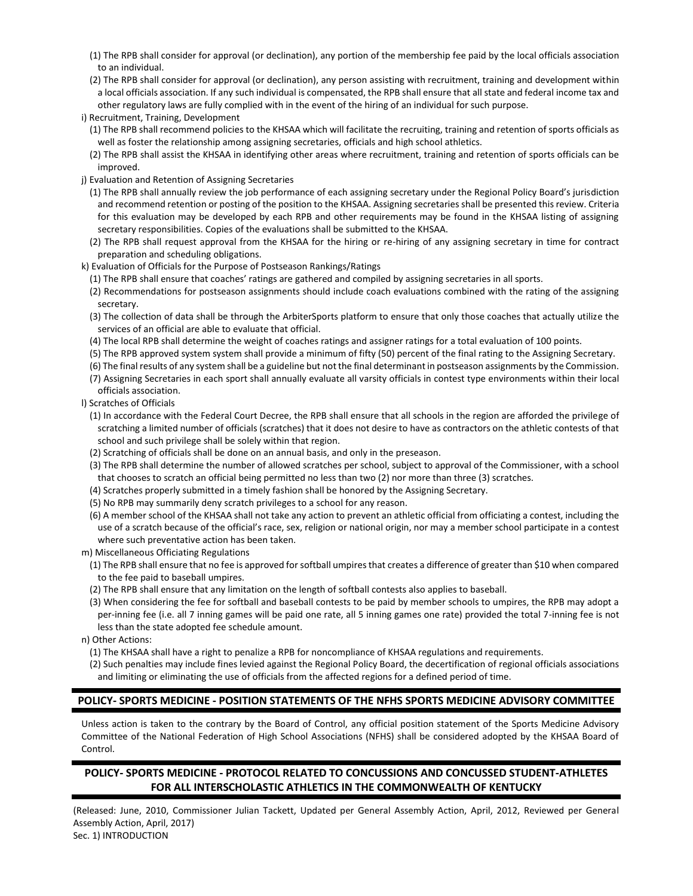- (1) The RPB shall consider for approval (or declination), any portion of the membership fee paid by the local officials association to an individual.
- (2) The RPB shall consider for approval (or declination), any person assisting with recruitment, training and development within a local officials association. If any such individual is compensated, the RPB shall ensure that all state and federal income tax and other regulatory laws are fully complied with in the event of the hiring of an individual for such purpose.
- i) Recruitment, Training, Development
	- (1) The RPB shall recommend policies to the KHSAA which will facilitate the recruiting, training and retention of sports officials as well as foster the relationship among assigning secretaries, officials and high school athletics.
	- (2) The RPB shall assist the KHSAA in identifying other areas where recruitment, training and retention of sports officials can be improved.
- j) Evaluation and Retention of Assigning Secretaries
- (1) The RPB shall annually review the job performance of each assigning secretary under the Regional Policy Board's jurisdiction and recommend retention or posting of the position to the KHSAA. Assigning secretaries shall be presented this review. Criteria for this evaluation may be developed by each RPB and other requirements may be found in the KHSAA listing of assigning secretary responsibilities. Copies of the evaluations shall be submitted to the KHSAA.
- (2) The RPB shall request approval from the KHSAA for the hiring or re-hiring of any assigning secretary in time for contract preparation and scheduling obligations.
- k) Evaluation of Officials for the Purpose of Postseason Rankings/Ratings
	- (1) The RPB shall ensure that coaches' ratings are gathered and compiled by assigning secretaries in all sports.
	- (2) Recommendations for postseason assignments should include coach evaluations combined with the rating of the assigning secretary.
	- (3) The collection of data shall be through the ArbiterSports platform to ensure that only those coaches that actually utilize the services of an official are able to evaluate that official.
	- (4) The local RPB shall determine the weight of coaches ratings and assigner ratings for a total evaluation of 100 points.
	- (5) The RPB approved system system shall provide a minimum of fifty (50) percent of the final rating to the Assigning Secretary.
	- (6) The final results of any system shall be a guideline but not the final determinant in postseason assignments by the Commission.
	- (7) Assigning Secretaries in each sport shall annually evaluate all varsity officials in contest type environments within their local officials association.

l) Scratches of Officials

- (1) In accordance with the Federal Court Decree, the RPB shall ensure that all schools in the region are afforded the privilege of scratching a limited number of officials (scratches) that it does not desire to have as contractors on the athletic contests of that school and such privilege shall be solely within that region.
- (2) Scratching of officials shall be done on an annual basis, and only in the preseason.
- (3) The RPB shall determine the number of allowed scratches per school, subject to approval of the Commissioner, with a school that chooses to scratch an official being permitted no less than two (2) nor more than three (3) scratches.
- (4) Scratches properly submitted in a timely fashion shall be honored by the Assigning Secretary.
- (5) No RPB may summarily deny scratch privileges to a school for any reason.
- (6) A member school of the KHSAA shall not take any action to prevent an athletic official from officiating a contest, including the use of a scratch because of the official's race, sex, religion or national origin, nor may a member school participate in a contest where such preventative action has been taken.
- m) Miscellaneous Officiating Regulations
	- (1) The RPB shall ensure that no fee is approved for softball umpires that creates a difference of greater than \$10 when compared to the fee paid to baseball umpires.
	- (2) The RPB shall ensure that any limitation on the length of softball contests also applies to baseball.
- (3) When considering the fee for softball and baseball contests to be paid by member schools to umpires, the RPB may adopt a per-inning fee (i.e. all 7 inning games will be paid one rate, all 5 inning games one rate) provided the total 7-inning fee is not less than the state adopted fee schedule amount.

n) Other Actions:

- (1) The KHSAA shall have a right to penalize a RPB for noncompliance of KHSAA regulations and requirements.
- (2) Such penalties may include fines levied against the Regional Policy Board, the decertification of regional officials associations and limiting or eliminating the use of officials from the affected regions for a defined period of time.

# **POLICY- SPORTS MEDICINE - POSITION STATEMENTS OF THE NFHS SPORTS MEDICINE ADVISORY COMMITTEE**

Unless action is taken to the contrary by the Board of Control, any official position statement of the Sports Medicine Advisory Committee of the National Federation of High School Associations (NFHS) shall be considered adopted by the KHSAA Board of Control.

# **POLICY- SPORTS MEDICINE - PROTOCOL RELATED TO CONCUSSIONS AND CONCUSSED STUDENT-ATHLETES FOR ALL INTERSCHOLASTIC ATHLETICS IN THE COMMONWEALTH OF KENTUCKY**

(Released: June, 2010, Commissioner Julian Tackett, Updated per General Assembly Action, April, 2012, Reviewed per General Assembly Action, April, 2017) Sec. 1) INTRODUCTION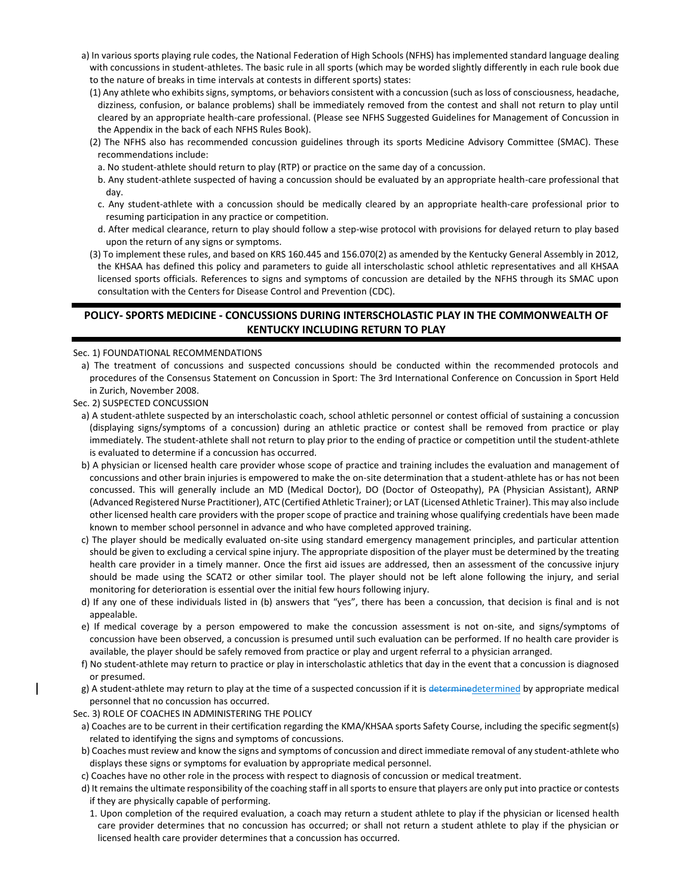- a) In various sports playing rule codes, the National Federation of High Schools (NFHS) has implemented standard language dealing with concussions in student-athletes. The basic rule in all sports (which may be worded slightly differently in each rule book due to the nature of breaks in time intervals at contests in different sports) states:
	- (1) Any athlete who exhibits signs, symptoms, or behaviors consistent with a concussion (such as loss of consciousness, headache, dizziness, confusion, or balance problems) shall be immediately removed from the contest and shall not return to play until cleared by an appropriate health-care professional. (Please see NFHS Suggested Guidelines for Management of Concussion in the Appendix in the back of each NFHS Rules Book).
	- (2) The NFHS also has recommended concussion guidelines through its sports Medicine Advisory Committee (SMAC). These recommendations include:
	- a. No student-athlete should return to play (RTP) or practice on the same day of a concussion.
	- b. Any student-athlete suspected of having a concussion should be evaluated by an appropriate health-care professional that day.
	- c. Any student-athlete with a concussion should be medically cleared by an appropriate health-care professional prior to resuming participation in any practice or competition.
	- d. After medical clearance, return to play should follow a step-wise protocol with provisions for delayed return to play based upon the return of any signs or symptoms.
	- (3) To implement these rules, and based on KRS 160.445 and 156.070(2) as amended by the Kentucky General Assembly in 2012, the KHSAA has defined this policy and parameters to guide all interscholastic school athletic representatives and all KHSAA licensed sports officials. References to signs and symptoms of concussion are detailed by the NFHS through its SMAC upon consultation with the Centers for Disease Control and Prevention (CDC).

# **POLICY- SPORTS MEDICINE - CONCUSSIONS DURING INTERSCHOLASTIC PLAY IN THE COMMONWEALTH OF KENTUCKY INCLUDING RETURN TO PLAY**

### Sec. 1) FOUNDATIONAL RECOMMENDATIONS

- a) The treatment of concussions and suspected concussions should be conducted within the recommended protocols and procedures of the Consensus Statement on Concussion in Sport: The 3rd International Conference on Concussion in Sport Held in Zurich, November 2008.
- Sec. 2) SUSPECTED CONCUSSION
	- a) A student-athlete suspected by an interscholastic coach, school athletic personnel or contest official of sustaining a concussion (displaying signs/symptoms of a concussion) during an athletic practice or contest shall be removed from practice or play immediately. The student-athlete shall not return to play prior to the ending of practice or competition until the student-athlete is evaluated to determine if a concussion has occurred.
	- b) A physician or licensed health care provider whose scope of practice and training includes the evaluation and management of concussions and other brain injuries is empowered to make the on-site determination that a student-athlete has or has not been concussed. This will generally include an MD (Medical Doctor), DO (Doctor of Osteopathy), PA (Physician Assistant), ARNP (Advanced Registered Nurse Practitioner), ATC (Certified Athletic Trainer); or LAT (Licensed Athletic Trainer). This may also include other licensed health care providers with the proper scope of practice and training whose qualifying credentials have been made known to member school personnel in advance and who have completed approved training.
	- c) The player should be medically evaluated on-site using standard emergency management principles, and particular attention should be given to excluding a cervical spine injury. The appropriate disposition of the player must be determined by the treating health care provider in a timely manner. Once the first aid issues are addressed, then an assessment of the concussive injury should be made using the SCAT2 or other similar tool. The player should not be left alone following the injury, and serial monitoring for deterioration is essential over the initial few hours following injury.
	- d) If any one of these individuals listed in (b) answers that "yes", there has been a concussion, that decision is final and is not appealable.
	- e) If medical coverage by a person empowered to make the concussion assessment is not on-site, and signs/symptoms of concussion have been observed, a concussion is presumed until such evaluation can be performed. If no health care provider is available, the player should be safely removed from practice or play and urgent referral to a physician arranged.
	- f) No student-athlete may return to practice or play in interscholastic athletics that day in the event that a concussion is diagnosed or presumed.
- g) A student-athlete may return to play at the time of a suspected concussion if it is determined etermined by appropriate medical personnel that no concussion has occurred.

### Sec. 3) ROLE OF COACHES IN ADMINISTERING THE POLICY

- a) Coaches are to be current in their certification regarding the KMA/KHSAA sports Safety Course, including the specific segment(s) related to identifying the signs and symptoms of concussions.
- b) Coaches must review and know the signs and symptoms of concussion and direct immediate removal of any student-athlete who displays these signs or symptoms for evaluation by appropriate medical personnel.
- c) Coaches have no other role in the process with respect to diagnosis of concussion or medical treatment.
- d) It remains the ultimate responsibility of the coaching staff in all sports to ensure that players are only put into practice or contests if they are physically capable of performing.
- 1. Upon completion of the required evaluation, a coach may return a student athlete to play if the physician or licensed health care provider determines that no concussion has occurred; or shall not return a student athlete to play if the physician or licensed health care provider determines that a concussion has occurred.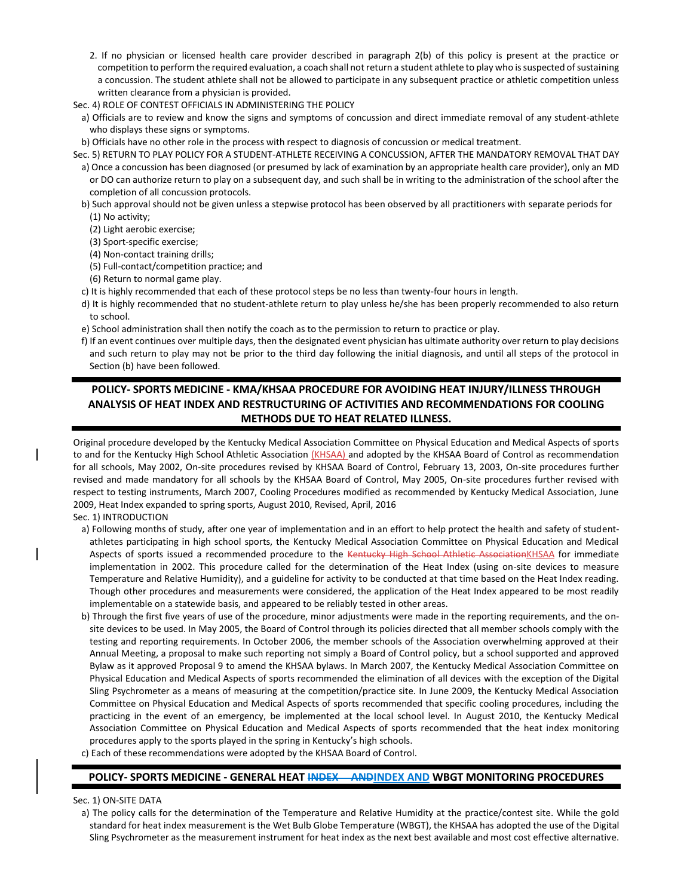- 2. If no physician or licensed health care provider described in paragraph 2(b) of this policy is present at the practice or competition to perform the required evaluation, a coach shall not return a student athlete to play who is suspected of sustaining a concussion. The student athlete shall not be allowed to participate in any subsequent practice or athletic competition unless written clearance from a physician is provided.
- Sec. 4) ROLE OF CONTEST OFFICIALS IN ADMINISTERING THE POLICY
- a) Officials are to review and know the signs and symptoms of concussion and direct immediate removal of any student-athlete who displays these signs or symptoms.
- b) Officials have no other role in the process with respect to diagnosis of concussion or medical treatment.
- Sec. 5) RETURN TO PLAY POLICY FOR A STUDENT-ATHLETE RECEIVING A CONCUSSION, AFTER THE MANDATORY REMOVAL THAT DAY a) Once a concussion has been diagnosed (or presumed by lack of examination by an appropriate health care provider), only an MD or DO can authorize return to play on a subsequent day, and such shall be in writing to the administration of the school after the completion of all concussion protocols.
	- b) Such approval should not be given unless a stepwise protocol has been observed by all practitioners with separate periods for

(1) No activity;

- (2) Light aerobic exercise;
- (3) Sport-specific exercise;
- (4) Non-contact training drills;
- (5) Full-contact/competition practice; and
- (6) Return to normal game play.
- c) It is highly recommended that each of these protocol steps be no less than twenty-four hours in length.
- d) It is highly recommended that no student-athlete return to play unless he/she has been properly recommended to also return to school.
- e) School administration shall then notify the coach as to the permission to return to practice or play.
- f) If an event continues over multiple days, then the designated event physician has ultimate authority over return to play decisions and such return to play may not be prior to the third day following the initial diagnosis, and until all steps of the protocol in Section (b) have been followed.

# **POLICY- SPORTS MEDICINE - KMA/KHSAA PROCEDURE FOR AVOIDING HEAT INJURY/ILLNESS THROUGH ANALYSIS OF HEAT INDEX AND RESTRUCTURING OF ACTIVITIES AND RECOMMENDATIONS FOR COOLING METHODS DUE TO HEAT RELATED ILLNESS.**

Original procedure developed by the Kentucky Medical Association Committee on Physical Education and Medical Aspects of sports to and for the Kentucky High School Athletic Association (KHSAA) and adopted by the KHSAA Board of Control as recommendation for all schools, May 2002, On-site procedures revised by KHSAA Board of Control, February 13, 2003, On-site procedures further revised and made mandatory for all schools by the KHSAA Board of Control, May 2005, On-site procedures further revised with respect to testing instruments, March 2007, Cooling Procedures modified as recommended by Kentucky Medical Association, June 2009, Heat Index expanded to spring sports, August 2010, Revised, April, 2016

### Sec. 1) INTRODUCTION

- a) Following months of study, after one year of implementation and in an effort to help protect the health and safety of studentathletes participating in high school sports, the Kentucky Medical Association Committee on Physical Education and Medical Aspects of sports issued a recommended procedure to the Kentucky High School Athletic AssociationKHSAA for immediate implementation in 2002. This procedure called for the determination of the Heat Index (using on-site devices to measure Temperature and Relative Humidity), and a guideline for activity to be conducted at that time based on the Heat Index reading. Though other procedures and measurements were considered, the application of the Heat Index appeared to be most readily implementable on a statewide basis, and appeared to be reliably tested in other areas.
- b) Through the first five years of use of the procedure, minor adjustments were made in the reporting requirements, and the onsite devices to be used. In May 2005, the Board of Control through its policies directed that all member schools comply with the testing and reporting requirements. In October 2006, the member schools of the Association overwhelming approved at their Annual Meeting, a proposal to make such reporting not simply a Board of Control policy, but a school supported and approved Bylaw as it approved Proposal 9 to amend the KHSAA bylaws. In March 2007, the Kentucky Medical Association Committee on Physical Education and Medical Aspects of sports recommended the elimination of all devices with the exception of the Digital Sling Psychrometer as a means of measuring at the competition/practice site. In June 2009, the Kentucky Medical Association Committee on Physical Education and Medical Aspects of sports recommended that specific cooling procedures, including the practicing in the event of an emergency, be implemented at the local school level. In August 2010, the Kentucky Medical Association Committee on Physical Education and Medical Aspects of sports recommended that the heat index monitoring procedures apply to the sports played in the spring in Kentucky's high schools.
- c) Each of these recommendations were adopted by the KHSAA Board of Control.

## **POLICY- SPORTS MEDICINE - GENERAL HEAT INDEX ANDINDEX AND WBGT MONITORING PROCEDURES**

Sec. 1) ON-SITE DATA

a) The policy calls for the determination of the Temperature and Relative Humidity at the practice/contest site. While the gold standard for heat index measurement is the Wet Bulb Globe Temperature (WBGT), the KHSAA has adopted the use of the Digital Sling Psychrometer as the measurement instrument for heat index as the next best available and most cost effective alternative.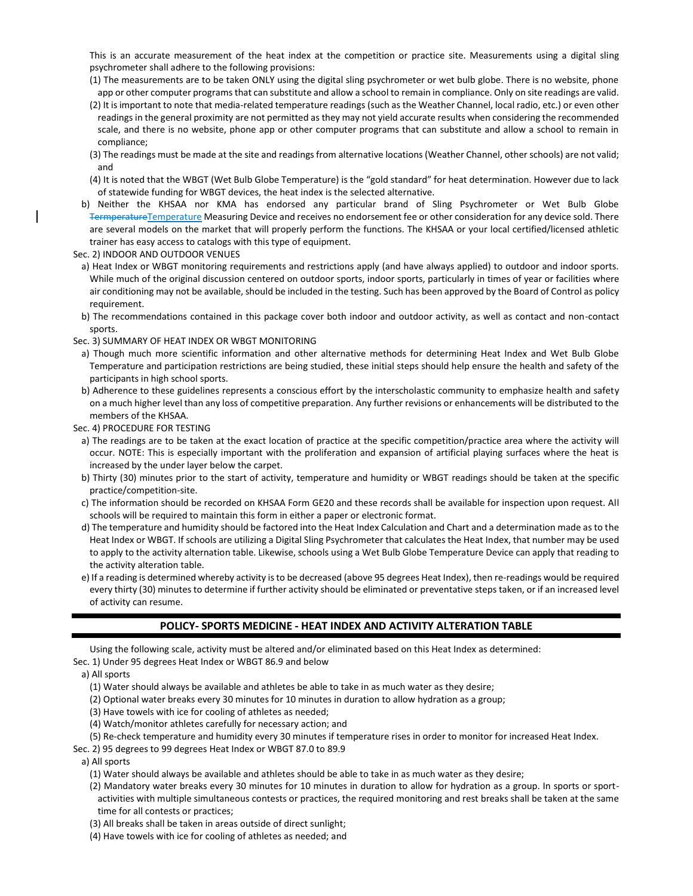This is an accurate measurement of the heat index at the competition or practice site. Measurements using a digital sling psychrometer shall adhere to the following provisions:

- (1) The measurements are to be taken ONLY using the digital sling psychrometer or wet bulb globe. There is no website, phone app or other computer programs that can substitute and allow a school to remain in compliance. Only on site readings are valid.
- (2) It is important to note that media-related temperature readings (such as the Weather Channel, local radio, etc.) or even other readings in the general proximity are not permitted as they may not yield accurate results when considering the recommended scale, and there is no website, phone app or other computer programs that can substitute and allow a school to remain in compliance;
- (3) The readings must be made at the site and readings from alternative locations (Weather Channel, other schools) are not valid; and
- (4) It is noted that the WBGT (Wet Bulb Globe Temperature) is the "gold standard" for heat determination. However due to lack of statewide funding for WBGT devices, the heat index is the selected alternative.
- b) Neither the KHSAA nor KMA has endorsed any particular brand of Sling Psychrometer or Wet Bulb Globe TermperatureTemperature Measuring Device and receives no endorsement fee or other consideration for any device sold. There are several models on the market that will properly perform the functions. The KHSAA or your local certified/licensed athletic trainer has easy access to catalogs with this type of equipment.
- Sec. 2) INDOOR AND OUTDOOR VENUES
- a) Heat Index or WBGT monitoring requirements and restrictions apply (and have always applied) to outdoor and indoor sports. While much of the original discussion centered on outdoor sports, indoor sports, particularly in times of year or facilities where air conditioning may not be available, should be included in the testing. Such has been approved by the Board of Control as policy requirement.
- b) The recommendations contained in this package cover both indoor and outdoor activity, as well as contact and non-contact sports.
- Sec. 3) SUMMARY OF HEAT INDEX OR WBGT MONITORING
	- a) Though much more scientific information and other alternative methods for determining Heat Index and Wet Bulb Globe Temperature and participation restrictions are being studied, these initial steps should help ensure the health and safety of the participants in high school sports.
- b) Adherence to these guidelines represents a conscious effort by the interscholastic community to emphasize health and safety on a much higher level than any loss of competitive preparation. Any further revisions or enhancements will be distributed to the members of the KHSAA.
- Sec. 4) PROCEDURE FOR TESTING
- a) The readings are to be taken at the exact location of practice at the specific competition/practice area where the activity will occur. NOTE: This is especially important with the proliferation and expansion of artificial playing surfaces where the heat is increased by the under layer below the carpet.
- b) Thirty (30) minutes prior to the start of activity, temperature and humidity or WBGT readings should be taken at the specific practice/competition-site.
- c) The information should be recorded on KHSAA Form GE20 and these records shall be available for inspection upon request. All schools will be required to maintain this form in either a paper or electronic format.
- d) The temperature and humidity should be factored into the Heat Index Calculation and Chart and a determination made as to the Heat Index or WBGT. If schools are utilizing a Digital Sling Psychrometer that calculates the Heat Index, that number may be used to apply to the activity alternation table. Likewise, schools using a Wet Bulb Globe Temperature Device can apply that reading to the activity alteration table.
- e) If a reading is determined whereby activity is to be decreased (above 95 degrees Heat Index), then re-readings would be required every thirty (30) minutes to determine if further activity should be eliminated or preventative steps taken, or if an increased level of activity can resume.

## **POLICY- SPORTS MEDICINE - HEAT INDEX AND ACTIVITY ALTERATION TABLE**

Using the following scale, activity must be altered and/or eliminated based on this Heat Index as determined:

Sec. 1) Under 95 degrees Heat Index or WBGT 86.9 and below

a) All sports

- (1) Water should always be available and athletes be able to take in as much water as they desire;
- (2) Optional water breaks every 30 minutes for 10 minutes in duration to allow hydration as a group;
- (3) Have towels with ice for cooling of athletes as needed;
- (4) Watch/monitor athletes carefully for necessary action; and
- (5) Re-check temperature and humidity every 30 minutes if temperature rises in order to monitor for increased Heat Index.
- Sec. 2) 95 degrees to 99 degrees Heat Index or WBGT 87.0 to 89.9

a) All sports

- (1) Water should always be available and athletes should be able to take in as much water as they desire;
- (2) Mandatory water breaks every 30 minutes for 10 minutes in duration to allow for hydration as a group. In sports or sportactivities with multiple simultaneous contests or practices, the required monitoring and rest breaks shall be taken at the same time for all contests or practices;
- (3) All breaks shall be taken in areas outside of direct sunlight;
- (4) Have towels with ice for cooling of athletes as needed; and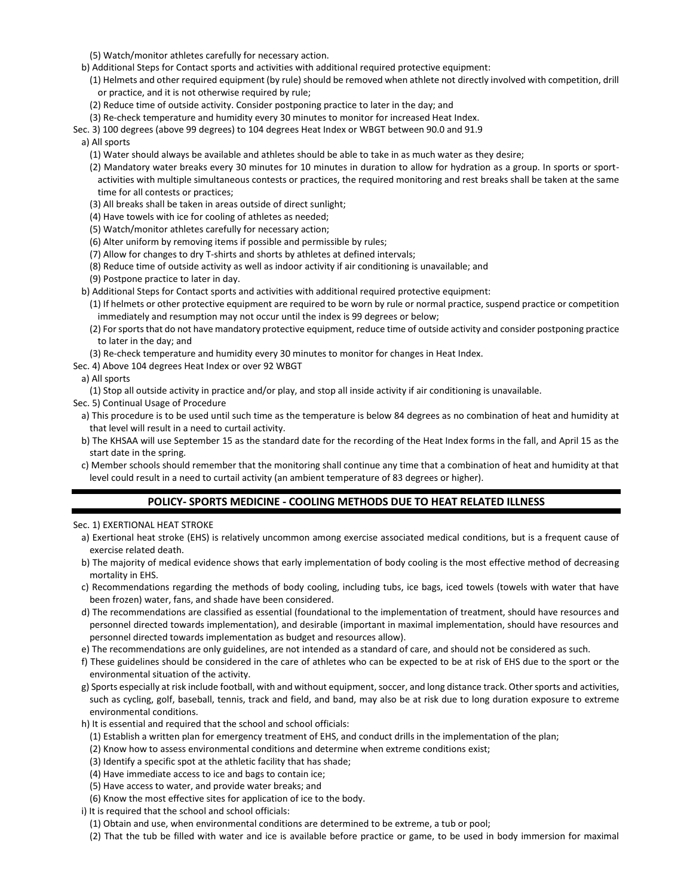(5) Watch/monitor athletes carefully for necessary action.

- b) Additional Steps for Contact sports and activities with additional required protective equipment:
- (1) Helmets and other required equipment (by rule) should be removed when athlete not directly involved with competition, drill or practice, and it is not otherwise required by rule;
- (2) Reduce time of outside activity. Consider postponing practice to later in the day; and
- (3) Re-check temperature and humidity every 30 minutes to monitor for increased Heat Index.
- Sec. 3) 100 degrees (above 99 degrees) to 104 degrees Heat Index or WBGT between 90.0 and 91.9
- a) All sports
	- (1) Water should always be available and athletes should be able to take in as much water as they desire;
	- (2) Mandatory water breaks every 30 minutes for 10 minutes in duration to allow for hydration as a group. In sports or sportactivities with multiple simultaneous contests or practices, the required monitoring and rest breaks shall be taken at the same time for all contests or practices;
	- (3) All breaks shall be taken in areas outside of direct sunlight;
	- (4) Have towels with ice for cooling of athletes as needed;
	- (5) Watch/monitor athletes carefully for necessary action;
	- (6) Alter uniform by removing items if possible and permissible by rules;
	- (7) Allow for changes to dry T-shirts and shorts by athletes at defined intervals;
	- (8) Reduce time of outside activity as well as indoor activity if air conditioning is unavailable; and
	- (9) Postpone practice to later in day.
- b) Additional Steps for Contact sports and activities with additional required protective equipment:
	- (1) If helmets or other protective equipment are required to be worn by rule or normal practice, suspend practice or competition immediately and resumption may not occur until the index is 99 degrees or below;
	- (2) For sports that do not have mandatory protective equipment, reduce time of outside activity and consider postponing practice to later in the day; and
- (3) Re-check temperature and humidity every 30 minutes to monitor for changes in Heat Index.
- Sec. 4) Above 104 degrees Heat Index or over 92 WBGT
	- a) All sports
	- (1) Stop all outside activity in practice and/or play, and stop all inside activity if air conditioning is unavailable.
- Sec. 5) Continual Usage of Procedure
- a) This procedure is to be used until such time as the temperature is below 84 degrees as no combination of heat and humidity at that level will result in a need to curtail activity.
- b) The KHSAA will use September 15 as the standard date for the recording of the Heat Index forms in the fall, and April 15 as the start date in the spring.
- c) Member schools should remember that the monitoring shall continue any time that a combination of heat and humidity at that level could result in a need to curtail activity (an ambient temperature of 83 degrees or higher).

## **POLICY- SPORTS MEDICINE - COOLING METHODS DUE TO HEAT RELATED ILLNESS**

### Sec. 1) EXERTIONAL HEAT STROKE

- a) Exertional heat stroke (EHS) is relatively uncommon among exercise associated medical conditions, but is a frequent cause of exercise related death.
- b) The majority of medical evidence shows that early implementation of body cooling is the most effective method of decreasing mortality in EHS.
- c) Recommendations regarding the methods of body cooling, including tubs, ice bags, iced towels (towels with water that have been frozen) water, fans, and shade have been considered.
- d) The recommendations are classified as essential (foundational to the implementation of treatment, should have resources and personnel directed towards implementation), and desirable (important in maximal implementation, should have resources and personnel directed towards implementation as budget and resources allow).
- e) The recommendations are only guidelines, are not intended as a standard of care, and should not be considered as such.
- f) These guidelines should be considered in the care of athletes who can be expected to be at risk of EHS due to the sport or the environmental situation of the activity.
- g) Sports especially at risk include football, with and without equipment, soccer, and long distance track. Other sports and activities, such as cycling, golf, baseball, tennis, track and field, and band, may also be at risk due to long duration exposure to extreme environmental conditions.
- h) It is essential and required that the school and school officials:
- (1) Establish a written plan for emergency treatment of EHS, and conduct drills in the implementation of the plan;
- (2) Know how to assess environmental conditions and determine when extreme conditions exist;
- (3) Identify a specific spot at the athletic facility that has shade;
- (4) Have immediate access to ice and bags to contain ice;
- (5) Have access to water, and provide water breaks; and
- (6) Know the most effective sites for application of ice to the body.
- i) It is required that the school and school officials:
	- (1) Obtain and use, when environmental conditions are determined to be extreme, a tub or pool;
	- (2) That the tub be filled with water and ice is available before practice or game, to be used in body immersion for maximal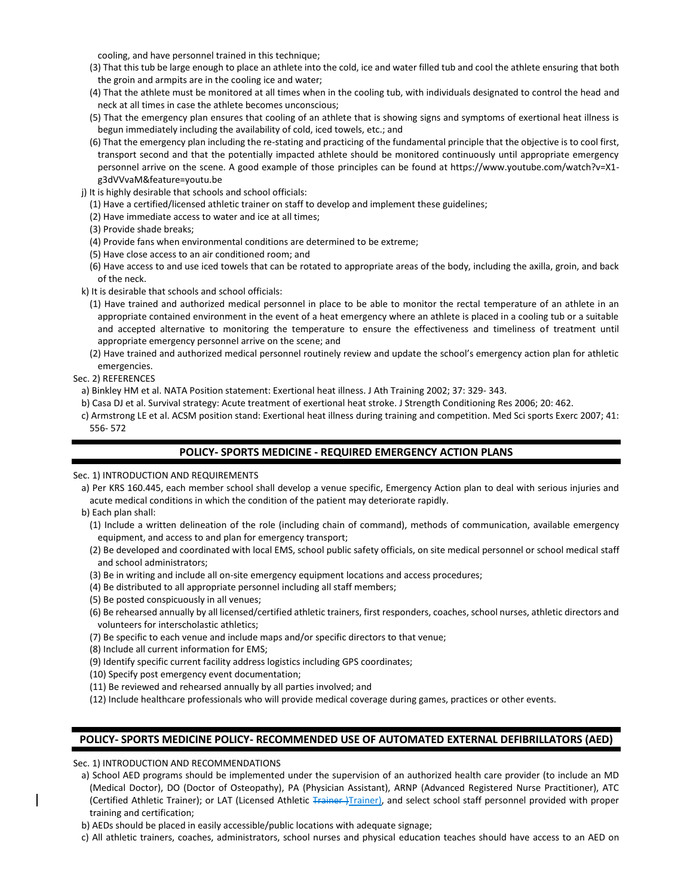cooling, and have personnel trained in this technique;

- (3) That this tub be large enough to place an athlete into the cold, ice and water filled tub and cool the athlete ensuring that both the groin and armpits are in the cooling ice and water;
- (4) That the athlete must be monitored at all times when in the cooling tub, with individuals designated to control the head and neck at all times in case the athlete becomes unconscious;
- (5) That the emergency plan ensures that cooling of an athlete that is showing signs and symptoms of exertional heat illness is begun immediately including the availability of cold, iced towels, etc.; and
- (6) That the emergency plan including the re-stating and practicing of the fundamental principle that the objective is to cool first, transport second and that the potentially impacted athlete should be monitored continuously until appropriate emergency personnel arrive on the scene. A good example of those principles can be found at https://www.youtube.com/watch?v=X1 g3dVVvaM&feature=youtu.be
- j) It is highly desirable that schools and school officials:
	- (1) Have a certified/licensed athletic trainer on staff to develop and implement these guidelines;
	- (2) Have immediate access to water and ice at all times;
	- (3) Provide shade breaks;
	- (4) Provide fans when environmental conditions are determined to be extreme;
	- (5) Have close access to an air conditioned room; and
	- (6) Have access to and use iced towels that can be rotated to appropriate areas of the body, including the axilla, groin, and back of the neck.
- k) It is desirable that schools and school officials:
	- (1) Have trained and authorized medical personnel in place to be able to monitor the rectal temperature of an athlete in an appropriate contained environment in the event of a heat emergency where an athlete is placed in a cooling tub or a suitable and accepted alternative to monitoring the temperature to ensure the effectiveness and timeliness of treatment until appropriate emergency personnel arrive on the scene; and
	- (2) Have trained and authorized medical personnel routinely review and update the school's emergency action plan for athletic emergencies.
- Sec. 2) REFERENCES
	- a) Binkley HM et al. NATA Position statement: Exertional heat illness. J Ath Training 2002; 37: 329- 343.
- b) Casa DJ et al. Survival strategy: Acute treatment of exertional heat stroke. J Strength Conditioning Res 2006; 20: 462.
- c) Armstrong LE et al. ACSM position stand: Exertional heat illness during training and competition. Med Sci sports Exerc 2007; 41: 556- 572

# **POLICY- SPORTS MEDICINE - REQUIRED EMERGENCY ACTION PLANS**

Sec. 1) INTRODUCTION AND REQUIREMENTS

- a) Per KRS 160.445, each member school shall develop a venue specific, Emergency Action plan to deal with serious injuries and acute medical conditions in which the condition of the patient may deteriorate rapidly.
- b) Each plan shall:
	- (1) Include a written delineation of the role (including chain of command), methods of communication, available emergency equipment, and access to and plan for emergency transport;
	- (2) Be developed and coordinated with local EMS, school public safety officials, on site medical personnel or school medical staff and school administrators;
	- (3) Be in writing and include all on-site emergency equipment locations and access procedures;
	- (4) Be distributed to all appropriate personnel including all staff members;
	- (5) Be posted conspicuously in all venues;
	- (6) Be rehearsed annually by all licensed/certified athletic trainers, first responders, coaches, school nurses, athletic directors and volunteers for interscholastic athletics;
	- (7) Be specific to each venue and include maps and/or specific directors to that venue;
	- (8) Include all current information for EMS;
	- (9) Identify specific current facility address logistics including GPS coordinates;
	- (10) Specify post emergency event documentation;
	- (11) Be reviewed and rehearsed annually by all parties involved; and
	- (12) Include healthcare professionals who will provide medical coverage during games, practices or other events.

# **POLICY- SPORTS MEDICINE POLICY- RECOMMENDED USE OF AUTOMATED EXTERNAL DEFIBRILLATORS (AED)**

Sec. 1) INTRODUCTION AND RECOMMENDATIONS

- a) School AED programs should be implemented under the supervision of an authorized health care provider (to include an MD (Medical Doctor), DO (Doctor of Osteopathy), PA (Physician Assistant), ARNP (Advanced Registered Nurse Practitioner), ATC (Certified Athletic Trainer); or LAT (Licensed Athletic Trainer) and select school staff personnel provided with proper training and certification;
- b) AEDs should be placed in easily accessible/public locations with adequate signage;
- c) All athletic trainers, coaches, administrators, school nurses and physical education teaches should have access to an AED on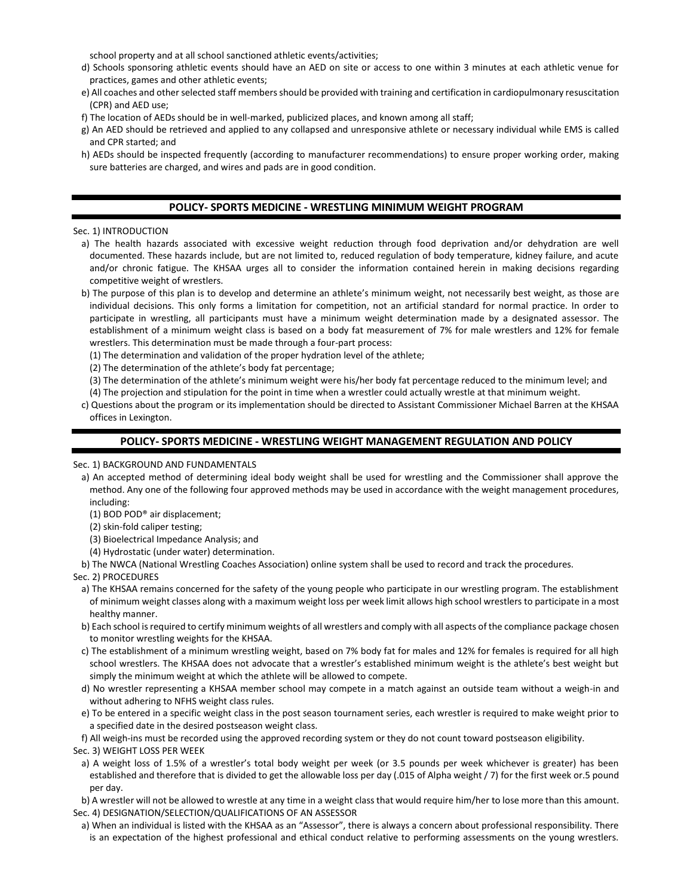school property and at all school sanctioned athletic events/activities;

- d) Schools sponsoring athletic events should have an AED on site or access to one within 3 minutes at each athletic venue for practices, games and other athletic events;
- e) All coaches and other selected staff members should be provided with training and certification in cardiopulmonary resuscitation (CPR) and AED use;
- f) The location of AEDs should be in well-marked, publicized places, and known among all staff;
- g) An AED should be retrieved and applied to any collapsed and unresponsive athlete or necessary individual while EMS is called and CPR started; and
- h) AEDs should be inspected frequently (according to manufacturer recommendations) to ensure proper working order, making sure batteries are charged, and wires and pads are in good condition.

## **POLICY- SPORTS MEDICINE - WRESTLING MINIMUM WEIGHT PROGRAM**

#### Sec. 1) INTRODUCTION

a) The health hazards associated with excessive weight reduction through food deprivation and/or dehydration are well documented. These hazards include, but are not limited to, reduced regulation of body temperature, kidney failure, and acute and/or chronic fatigue. The KHSAA urges all to consider the information contained herein in making decisions regarding competitive weight of wrestlers.

b) The purpose of this plan is to develop and determine an athlete's minimum weight, not necessarily best weight, as those are individual decisions. This only forms a limitation for competition, not an artificial standard for normal practice. In order to participate in wrestling, all participants must have a minimum weight determination made by a designated assessor. The establishment of a minimum weight class is based on a body fat measurement of 7% for male wrestlers and 12% for female wrestlers. This determination must be made through a four-part process:

- (1) The determination and validation of the proper hydration level of the athlete;
- (2) The determination of the athlete's body fat percentage;
- (3) The determination of the athlete's minimum weight were his/her body fat percentage reduced to the minimum level; and
- (4) The projection and stipulation for the point in time when a wrestler could actually wrestle at that minimum weight.
- c) Questions about the program or its implementation should be directed to Assistant Commissioner Michael Barren at the KHSAA offices in Lexington.

## **POLICY- SPORTS MEDICINE - WRESTLING WEIGHT MANAGEMENT REGULATION AND POLICY**

### Sec. 1) BACKGROUND AND FUNDAMENTALS

- a) An accepted method of determining ideal body weight shall be used for wrestling and the Commissioner shall approve the method. Any one of the following four approved methods may be used in accordance with the weight management procedures, including:
	- (1) BOD POD® air displacement;
	- (2) skin-fold caliper testing;
	- (3) Bioelectrical Impedance Analysis; and
	- (4) Hydrostatic (under water) determination.
- b) The NWCA (National Wrestling Coaches Association) online system shall be used to record and track the procedures.

### Sec. 2) PROCEDURES

- a) The KHSAA remains concerned for the safety of the young people who participate in our wrestling program. The establishment of minimum weight classes along with a maximum weight loss per week limit allows high school wrestlers to participate in a most healthy manner.
- b) Each school is required to certify minimum weights of all wrestlers and comply with all aspects of the compliance package chosen to monitor wrestling weights for the KHSAA.
- c) The establishment of a minimum wrestling weight, based on 7% body fat for males and 12% for females is required for all high school wrestlers. The KHSAA does not advocate that a wrestler's established minimum weight is the athlete's best weight but simply the minimum weight at which the athlete will be allowed to compete.
- d) No wrestler representing a KHSAA member school may compete in a match against an outside team without a weigh-in and without adhering to NFHS weight class rules.
- e) To be entered in a specific weight class in the post season tournament series, each wrestler is required to make weight prior to a specified date in the desired postseason weight class.
- f) All weigh-ins must be recorded using the approved recording system or they do not count toward postseason eligibility.
- Sec. 3) WEIGHT LOSS PER WEEK
- a) A weight loss of 1.5% of a wrestler's total body weight per week (or 3.5 pounds per week whichever is greater) has been established and therefore that is divided to get the allowable loss per day (.015 of Alpha weight / 7) for the first week or.5 pound per day.
- b) A wrestler will not be allowed to wrestle at any time in a weight class that would require him/her to lose more than this amount. Sec. 4) DESIGNATION/SELECTION/QUALIFICATIONS OF AN ASSESSOR
	- a) When an individual is listed with the KHSAA as an "Assessor", there is always a concern about professional responsibility. There is an expectation of the highest professional and ethical conduct relative to performing assessments on the young wrestlers.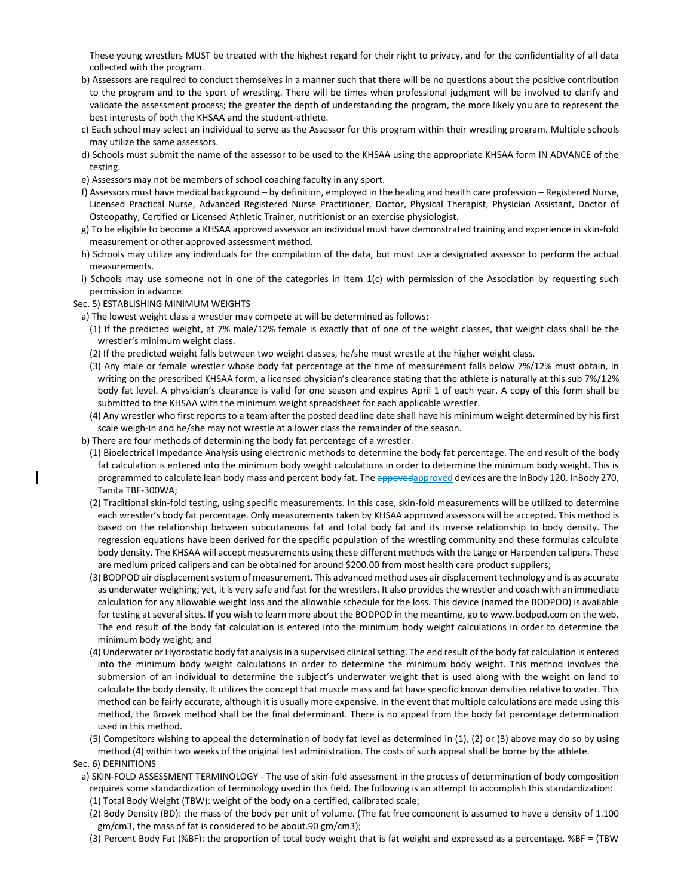These young wrestlers MUST be treated with the highest regard for their right to privacy, and for the confidentiality of all data collected with the program.

- b) Assessors are required to conduct themselves in a manner such that there will be no questions about the positive contribution to the program and to the sport of wrestling. There will be times when professional judgment will be involved to clarify and validate the assessment process; the greater the depth of understanding the program, the more likely you are to represent the best interests of both the KHSAA and the student-athlete.
- c) Each school may select an individual to serve as the Assessor for this program within their wrestling program. Multiple schools may utilize the same assessors.
- d) Schools must submit the name of the assessor to be used to the KHSAA using the appropriate KHSAA form IN ADVANCE of the testing.
- e) Assessors may not be members of school coaching faculty in any sport.
- f) Assessors must have medical background by definition, employed in the healing and health care profession Registered Nurse, Licensed Practical Nurse, Advanced Registered Nurse Practitioner, Doctor, Physical Therapist, Physician Assistant, Doctor of Osteopathy, Certified or Licensed Athletic Trainer, nutritionist or an exercise physiologist.
- g) To be eligible to become a KHSAA approved assessor an individual must have demonstrated training and experience in skin-fold measurement or other approved assessment method.
- h) Schools may utilize any individuals for the compilation of the data, but must use a designated assessor to perform the actual measurements.
- i) Schools may use someone not in one of the categories in Item 1(c) with permission of the Association by requesting such permission in advance.
- Sec. 5) ESTABLISHING MINIMUM WEIGHTS
- a) The lowest weight class a wrestler may compete at will be determined as follows:
- (1) If the predicted weight, at 7% male/12% female is exactly that of one of the weight classes, that weight class shall be the wrestler's minimum weight class.
- (2) If the predicted weight falls between two weight classes, he/she must wrestle at the higher weight class.
- (3) Any male or female wrestler whose body fat percentage at the time of measurement falls below 7%/12% must obtain, in writing on the prescribed KHSAA form, a licensed physician's clearance stating that the athlete is naturally at this sub 7%/12% body fat level. A physician's clearance is valid for one season and expires April 1 of each year. A copy of this form shall be submitted to the KHSAA with the minimum weight spreadsheet for each applicable wrestler.
- (4) Any wrestler who first reports to a team after the posted deadline date shall have his minimum weight determined by his first scale weigh-in and he/she may not wrestle at a lower class the remainder of the season.
- b) There are four methods of determining the body fat percentage of a wrestler.
- (1) Bioelectrical Impedance Analysis using electronic methods to determine the body fat percentage. The end result of the body fat calculation is entered into the minimum body weight calculations in order to determine the minimum body weight. This is programmed to calculate lean body mass and percent body fat. The appovedapproved devices are the InBody 120, InBody 270, Tanita TBF-300WA;
- (2) Traditional skin-fold testing, using specific measurements. In this case, skin-fold measurements will be utilized to determine each wrestler's body fat percentage. Only measurements taken by KHSAA approved assessors will be accepted. This method is based on the relationship between subcutaneous fat and total body fat and its inverse relationship to body density. The regression equations have been derived for the specific population of the wrestling community and these formulas calculate body density. The KHSAA will accept measurements using these different methods with the Lange or Harpenden calipers. These are medium priced calipers and can be obtained for around \$200.00 from most health care product suppliers;
- (3) BODPOD air displacement system of measurement. This advanced method uses air displacement technology and is as accurate as underwater weighing; yet, it is very safe and fast for the wrestlers. It also provides the wrestler and coach with an immediate calculation for any allowable weight loss and the allowable schedule for the loss. This device (named the BODPOD) is available for testing at several sites. If you wish to learn more about the BODPOD in the meantime, go to www.bodpod.com on the web. The end result of the body fat calculation is entered into the minimum body weight calculations in order to determine the minimum body weight; and
- (4) Underwater or Hydrostatic body fat analysis in a supervised clinical setting. The end result of the body fat calculation is entered into the minimum body weight calculations in order to determine the minimum body weight. This method involves the submersion of an individual to determine the subject's underwater weight that is used along with the weight on land to calculate the body density. It utilizes the concept that muscle mass and fat have specific known densities relative to water. This method can be fairly accurate, although it is usually more expensive. In the event that multiple calculations are made using this method, the Brozek method shall be the final determinant. There is no appeal from the body fat percentage determination used in this method.
- (5) Competitors wishing to appeal the determination of body fat level as determined in (1), (2) or (3) above may do so by using method (4) within two weeks of the original test administration. The costs of such appeal shall be borne by the athlete.

#### Sec. 6) DEFINITIONS

- a) SKIN-FOLD ASSESSMENT TERMINOLOGY The use of skin-fold assessment in the process of determination of body composition requires some standardization of terminology used in this field. The following is an attempt to accomplish this standardization: (1) Total Body Weight (TBW): weight of the body on a certified, calibrated scale;
	- (2) Body Density (BD): the mass of the body per unit of volume. (The fat free component is assumed to have a density of 1.100 gm/cm3, the mass of fat is considered to be about.90 gm/cm3);
	- (3) Percent Body Fat (%BF): the proportion of total body weight that is fat weight and expressed as a percentage. %BF = (TBW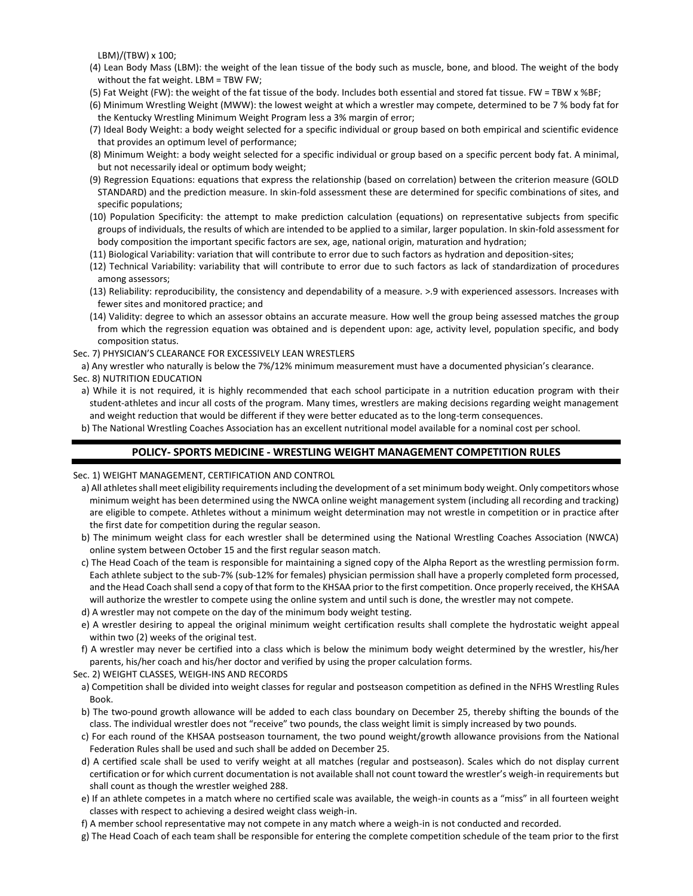LBM)/(TBW) x 100;

- (4) Lean Body Mass (LBM): the weight of the lean tissue of the body such as muscle, bone, and blood. The weight of the body without the fat weight. LBM = TBW FW;
- (5) Fat Weight (FW): the weight of the fat tissue of the body. Includes both essential and stored fat tissue. FW = TBW x %BF;
- (6) Minimum Wrestling Weight (MWW): the lowest weight at which a wrestler may compete, determined to be 7 % body fat for the Kentucky Wrestling Minimum Weight Program less a 3% margin of error;
- (7) Ideal Body Weight: a body weight selected for a specific individual or group based on both empirical and scientific evidence that provides an optimum level of performance;
- (8) Minimum Weight: a body weight selected for a specific individual or group based on a specific percent body fat. A minimal, but not necessarily ideal or optimum body weight;
- (9) Regression Equations: equations that express the relationship (based on correlation) between the criterion measure (GOLD STANDARD) and the prediction measure. In skin-fold assessment these are determined for specific combinations of sites, and specific populations;
- (10) Population Specificity: the attempt to make prediction calculation (equations) on representative subjects from specific groups of individuals, the results of which are intended to be applied to a similar, larger population. In skin-fold assessment for body composition the important specific factors are sex, age, national origin, maturation and hydration;
- (11) Biological Variability: variation that will contribute to error due to such factors as hydration and deposition-sites;
- (12) Technical Variability: variability that will contribute to error due to such factors as lack of standardization of procedures among assessors;
- (13) Reliability: reproducibility, the consistency and dependability of a measure. >.9 with experienced assessors. Increases with fewer sites and monitored practice; and
- (14) Validity: degree to which an assessor obtains an accurate measure. How well the group being assessed matches the group from which the regression equation was obtained and is dependent upon: age, activity level, population specific, and body composition status.
- Sec. 7) PHYSICIAN'S CLEARANCE FOR EXCESSIVELY LEAN WRESTLERS

a) Any wrestler who naturally is below the 7%/12% minimum measurement must have a documented physician's clearance. Sec. 8) NUTRITION EDUCATION

- a) While it is not required, it is highly recommended that each school participate in a nutrition education program with their student-athletes and incur all costs of the program. Many times, wrestlers are making decisions regarding weight management and weight reduction that would be different if they were better educated as to the long-term consequences.
- b) The National Wrestling Coaches Association has an excellent nutritional model available for a nominal cost per school.

## **POLICY- SPORTS MEDICINE - WRESTLING WEIGHT MANAGEMENT COMPETITION RULES**

Sec. 1) WEIGHT MANAGEMENT, CERTIFICATION AND CONTROL

- a) All athletes shall meet eligibility requirements including the development of a set minimum body weight. Only competitors whose minimum weight has been determined using the NWCA online weight management system (including all recording and tracking) are eligible to compete. Athletes without a minimum weight determination may not wrestle in competition or in practice after the first date for competition during the regular season.
- b) The minimum weight class for each wrestler shall be determined using the National Wrestling Coaches Association (NWCA) online system between October 15 and the first regular season match.
- c) The Head Coach of the team is responsible for maintaining a signed copy of the Alpha Report as the wrestling permission form. Each athlete subject to the sub-7% (sub-12% for females) physician permission shall have a properly completed form processed, and the Head Coach shall send a copy of that form to the KHSAA prior to the first competition. Once properly received, the KHSAA will authorize the wrestler to compete using the online system and until such is done, the wrestler may not compete.
- d) A wrestler may not compete on the day of the minimum body weight testing.
- e) A wrestler desiring to appeal the original minimum weight certification results shall complete the hydrostatic weight appeal within two (2) weeks of the original test.
- f) A wrestler may never be certified into a class which is below the minimum body weight determined by the wrestler, his/her parents, his/her coach and his/her doctor and verified by using the proper calculation forms.
- Sec. 2) WEIGHT CLASSES, WEIGH-INS AND RECORDS
- a) Competition shall be divided into weight classes for regular and postseason competition as defined in the NFHS Wrestling Rules Book.
- b) The two-pound growth allowance will be added to each class boundary on December 25, thereby shifting the bounds of the class. The individual wrestler does not "receive" two pounds, the class weight limit is simply increased by two pounds.
- c) For each round of the KHSAA postseason tournament, the two pound weight/growth allowance provisions from the National Federation Rules shall be used and such shall be added on December 25.
- d) A certified scale shall be used to verify weight at all matches (regular and postseason). Scales which do not display current certification or for which current documentation is not available shall not count toward the wrestler's weigh-in requirements but shall count as though the wrestler weighed 288.
- e) If an athlete competes in a match where no certified scale was available, the weigh-in counts as a "miss" in all fourteen weight classes with respect to achieving a desired weight class weigh-in.
- f) A member school representative may not compete in any match where a weigh-in is not conducted and recorded.
- g) The Head Coach of each team shall be responsible for entering the complete competition schedule of the team prior to the first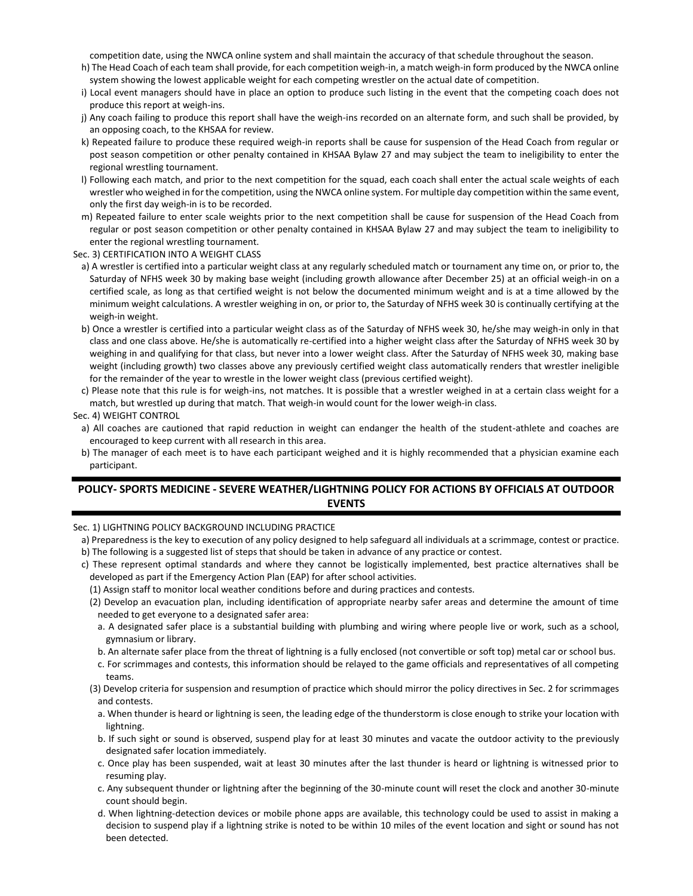competition date, using the NWCA online system and shall maintain the accuracy of that schedule throughout the season.

- h) The Head Coach of each team shall provide, for each competition weigh-in, a match weigh-in form produced by the NWCA online system showing the lowest applicable weight for each competing wrestler on the actual date of competition.
- i) Local event managers should have in place an option to produce such listing in the event that the competing coach does not produce this report at weigh-ins.
- j) Any coach failing to produce this report shall have the weigh-ins recorded on an alternate form, and such shall be provided, by an opposing coach, to the KHSAA for review.
- k) Repeated failure to produce these required weigh-in reports shall be cause for suspension of the Head Coach from regular or post season competition or other penalty contained in KHSAA Bylaw 27 and may subject the team to ineligibility to enter the regional wrestling tournament.
- l) Following each match, and prior to the next competition for the squad, each coach shall enter the actual scale weights of each wrestler who weighed in for the competition, using the NWCA online system. For multiple day competition within the same event, only the first day weigh-in is to be recorded.
- m) Repeated failure to enter scale weights prior to the next competition shall be cause for suspension of the Head Coach from regular or post season competition or other penalty contained in KHSAA Bylaw 27 and may subject the team to ineligibility to enter the regional wrestling tournament.
- Sec. 3) CERTIFICATION INTO A WEIGHT CLASS
	- a) A wrestler is certified into a particular weight class at any regularly scheduled match or tournament any time on, or prior to, the Saturday of NFHS week 30 by making base weight (including growth allowance after December 25) at an official weigh-in on a certified scale, as long as that certified weight is not below the documented minimum weight and is at a time allowed by the minimum weight calculations. A wrestler weighing in on, or prior to, the Saturday of NFHS week 30 is continually certifying at the weigh-in weight.
	- b) Once a wrestler is certified into a particular weight class as of the Saturday of NFHS week 30, he/she may weigh-in only in that class and one class above. He/she is automatically re-certified into a higher weight class after the Saturday of NFHS week 30 by weighing in and qualifying for that class, but never into a lower weight class. After the Saturday of NFHS week 30, making base weight (including growth) two classes above any previously certified weight class automatically renders that wrestler ineligible for the remainder of the year to wrestle in the lower weight class (previous certified weight).
- c) Please note that this rule is for weigh-ins, not matches. It is possible that a wrestler weighed in at a certain class weight for a match, but wrestled up during that match. That weigh-in would count for the lower weigh-in class.

### Sec. 4) WEIGHT CONTROL

- a) All coaches are cautioned that rapid reduction in weight can endanger the health of the student-athlete and coaches are encouraged to keep current with all research in this area.
- b) The manager of each meet is to have each participant weighed and it is highly recommended that a physician examine each participant.

# **POLICY- SPORTS MEDICINE - SEVERE WEATHER/LIGHTNING POLICY FOR ACTIONS BY OFFICIALS AT OUTDOOR EVENTS**

Sec. 1) LIGHTNING POLICY BACKGROUND INCLUDING PRACTICE

- a) Preparedness is the key to execution of any policy designed to help safeguard all individuals at a scrimmage, contest or practice. b) The following is a suggested list of steps that should be taken in advance of any practice or contest.
- c) These represent optimal standards and where they cannot be logistically implemented, best practice alternatives shall be developed as part if the Emergency Action Plan (EAP) for after school activities.
	- (1) Assign staff to monitor local weather conditions before and during practices and contests.
	- (2) Develop an evacuation plan, including identification of appropriate nearby safer areas and determine the amount of time needed to get everyone to a designated safer area:
		- a. A designated safer place is a substantial building with plumbing and wiring where people live or work, such as a school, gymnasium or library.
		- b. An alternate safer place from the threat of lightning is a fully enclosed (not convertible or soft top) metal car or school bus.
		- c. For scrimmages and contests, this information should be relayed to the game officials and representatives of all competing teams.
	- (3) Develop criteria for suspension and resumption of practice which should mirror the policy directives in Sec. 2 for scrimmages and contests.
		- a. When thunder is heard or lightning is seen, the leading edge of the thunderstorm is close enough to strike your location with lightning.
		- b. If such sight or sound is observed, suspend play for at least 30 minutes and vacate the outdoor activity to the previously designated safer location immediately.
		- c. Once play has been suspended, wait at least 30 minutes after the last thunder is heard or lightning is witnessed prior to resuming play.
		- c. Any subsequent thunder or lightning after the beginning of the 30-minute count will reset the clock and another 30-minute count should begin.
		- d. When lightning-detection devices or mobile phone apps are available, this technology could be used to assist in making a decision to suspend play if a lightning strike is noted to be within 10 miles of the event location and sight or sound has not been detected.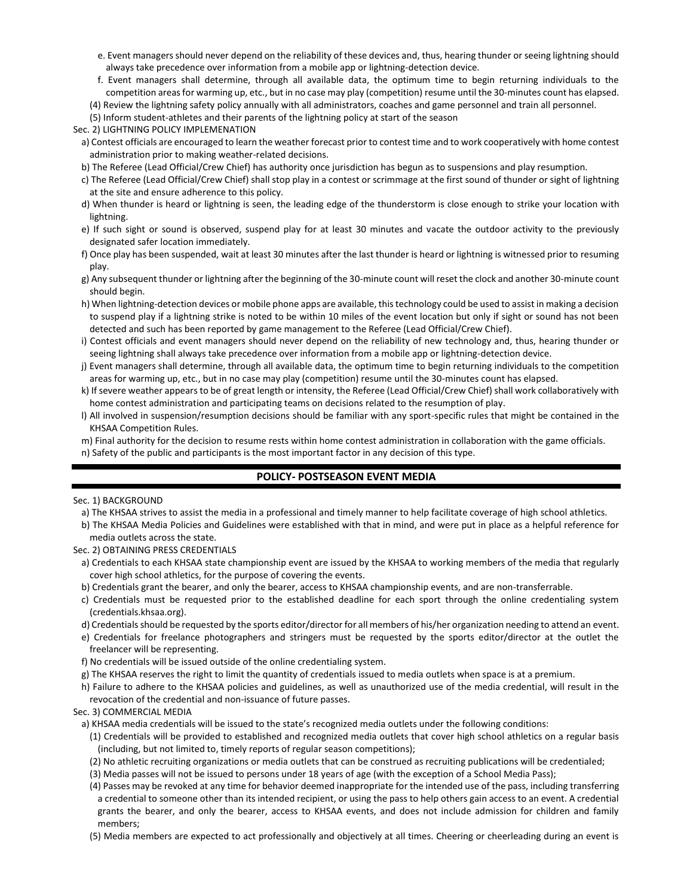- e. Event managers should never depend on the reliability of these devices and, thus, hearing thunder or seeing lightning should always take precedence over information from a mobile app or lightning-detection device.
- f. Event managers shall determine, through all available data, the optimum time to begin returning individuals to the competition areas for warming up, etc., but in no case may play (competition) resume until the 30-minutes count has elapsed. (4) Review the lightning safety policy annually with all administrators, coaches and game personnel and train all personnel.
- (5) Inform student-athletes and their parents of the lightning policy at start of the season

### Sec. 2) LIGHTNING POLICY IMPLEMENATION

- a) Contest officials are encouraged to learn the weather forecast prior to contest time and to work cooperatively with home contest administration prior to making weather-related decisions.
- b) The Referee (Lead Official/Crew Chief) has authority once jurisdiction has begun as to suspensions and play resumption.
- c) The Referee (Lead Official/Crew Chief) shall stop play in a contest or scrimmage at the first sound of thunder or sight of lightning at the site and ensure adherence to this policy.
- d) When thunder is heard or lightning is seen, the leading edge of the thunderstorm is close enough to strike your location with lightning.
- e) If such sight or sound is observed, suspend play for at least 30 minutes and vacate the outdoor activity to the previously designated safer location immediately.
- f) Once play has been suspended, wait at least 30 minutes after the last thunder is heard or lightning is witnessed prior to resuming play.
- g) Any subsequent thunder or lightning after the beginning of the 30-minute count will reset the clock and another 30-minute count should begin.
- h) When lightning-detection devices or mobile phone apps are available, this technology could be used to assist in making a decision to suspend play if a lightning strike is noted to be within 10 miles of the event location but only if sight or sound has not been detected and such has been reported by game management to the Referee (Lead Official/Crew Chief).
- i) Contest officials and event managers should never depend on the reliability of new technology and, thus, hearing thunder or seeing lightning shall always take precedence over information from a mobile app or lightning-detection device.
- j) Event managers shall determine, through all available data, the optimum time to begin returning individuals to the competition areas for warming up, etc., but in no case may play (competition) resume until the 30-minutes count has elapsed.
- k) If severe weather appears to be of great length or intensity, the Referee (Lead Official/Crew Chief) shall work collaboratively with home contest administration and participating teams on decisions related to the resumption of play.
- l) All involved in suspension/resumption decisions should be familiar with any sport-specific rules that might be contained in the KHSAA Competition Rules.
- m) Final authority for the decision to resume rests within home contest administration in collaboration with the game officials.
- n) Safety of the public and participants is the most important factor in any decision of this type.

# **POLICY- POSTSEASON EVENT MEDIA**

#### Sec. 1) BACKGROUND

- a) The KHSAA strives to assist the media in a professional and timely manner to help facilitate coverage of high school athletics.
- b) The KHSAA Media Policies and Guidelines were established with that in mind, and were put in place as a helpful reference for media outlets across the state.
- Sec. 2) OBTAINING PRESS CREDENTIALS
	- a) Credentials to each KHSAA state championship event are issued by the KHSAA to working members of the media that regularly cover high school athletics, for the purpose of covering the events.
	- b) Credentials grant the bearer, and only the bearer, access to KHSAA championship events, and are non-transferrable.
	- c) Credentials must be requested prior to the established deadline for each sport through the online credentialing system (credentials.khsaa.org).
	- d) Credentials should be requested by the sports editor/director for all members of his/her organization needing to attend an event.
	- e) Credentials for freelance photographers and stringers must be requested by the sports editor/director at the outlet the freelancer will be representing.
	- f) No credentials will be issued outside of the online credentialing system.
	- g) The KHSAA reserves the right to limit the quantity of credentials issued to media outlets when space is at a premium.
	- h) Failure to adhere to the KHSAA policies and guidelines, as well as unauthorized use of the media credential, will result in the revocation of the credential and non-issuance of future passes.

#### Sec. 3) COMMERCIAL MEDIA

- a) KHSAA media credentials will be issued to the state's recognized media outlets under the following conditions:
	- (1) Credentials will be provided to established and recognized media outlets that cover high school athletics on a regular basis (including, but not limited to, timely reports of regular season competitions);
	- (2) No athletic recruiting organizations or media outlets that can be construed as recruiting publications will be credentialed;
	- (3) Media passes will not be issued to persons under 18 years of age (with the exception of a School Media Pass);
	- (4) Passes may be revoked at any time for behavior deemed inappropriate for the intended use of the pass, including transferring a credential to someone other than its intended recipient, or using the pass to help others gain access to an event. A credential grants the bearer, and only the bearer, access to KHSAA events, and does not include admission for children and family members;
	- (5) Media members are expected to act professionally and objectively at all times. Cheering or cheerleading during an event is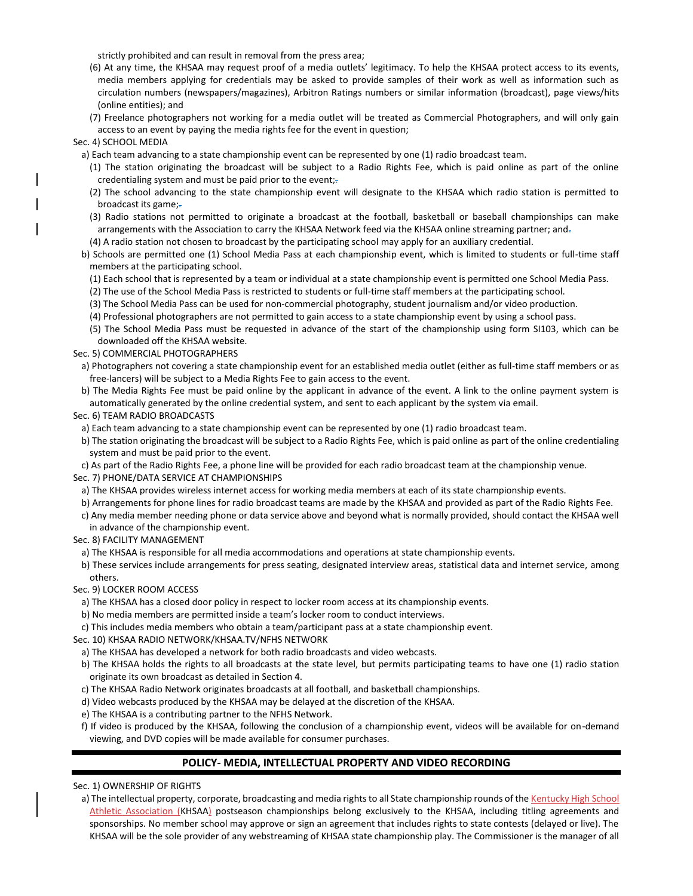strictly prohibited and can result in removal from the press area;

- (6) At any time, the KHSAA may request proof of a media outlets' legitimacy. To help the KHSAA protect access to its events, media members applying for credentials may be asked to provide samples of their work as well as information such as circulation numbers (newspapers/magazines), Arbitron Ratings numbers or similar information (broadcast), page views/hits (online entities); and
- (7) Freelance photographers not working for a media outlet will be treated as Commercial Photographers, and will only gain access to an event by paying the media rights fee for the event in question;

#### Sec. 4) SCHOOL MEDIA

a) Each team advancing to a state championship event can be represented by one (1) radio broadcast team.

- (1) The station originating the broadcast will be subject to a Radio Rights Fee, which is paid online as part of the online credentialing system and must be paid prior to the event;-
- (2) The school advancing to the state championship event will designate to the KHSAA which radio station is permitted to broadcast its game;-
- (3) Radio stations not permitted to originate a broadcast at the football, basketball or baseball championships can make arrangements with the Association to carry the KHSAA Network feed via the KHSAA online streaming partner; and-
- (4) A radio station not chosen to broadcast by the participating school may apply for an auxiliary credential.
- b) Schools are permitted one (1) School Media Pass at each championship event, which is limited to students or full-time staff members at the participating school.
	- (1) Each school that is represented by a team or individual at a state championship event is permitted one School Media Pass.
	- (2) The use of the School Media Pass is restricted to students or full-time staff members at the participating school.
	- (3) The School Media Pass can be used for non-commercial photography, student journalism and/or video production.
	- (4) Professional photographers are not permitted to gain access to a state championship event by using a school pass.
- (5) The School Media Pass must be requested in advance of the start of the championship using form SI103, which can be downloaded off the KHSAA website.

### Sec. 5) COMMERCIAL PHOTOGRAPHERS

- a) Photographers not covering a state championship event for an established media outlet (either as full-time staff members or as free-lancers) will be subject to a Media Rights Fee to gain access to the event.
- b) The Media Rights Fee must be paid online by the applicant in advance of the event. A link to the online payment system is automatically generated by the online credential system, and sent to each applicant by the system via email.

#### Sec. 6) TEAM RADIO BROADCASTS

a) Each team advancing to a state championship event can be represented by one (1) radio broadcast team.

b) The station originating the broadcast will be subject to a Radio Rights Fee, which is paid online as part of the online credentialing system and must be paid prior to the event.

c) As part of the Radio Rights Fee, a phone line will be provided for each radio broadcast team at the championship venue. Sec. 7) PHONE/DATA SERVICE AT CHAMPIONSHIPS

a) The KHSAA provides wireless internet access for working media members at each of its state championship events.

- b) Arrangements for phone lines for radio broadcast teams are made by the KHSAA and provided as part of the Radio Rights Fee.
- c) Any media member needing phone or data service above and beyond what is normally provided, should contact the KHSAA well
- in advance of the championship event.

## Sec. 8) FACILITY MANAGEMENT

a) The KHSAA is responsible for all media accommodations and operations at state championship events.

- b) These services include arrangements for press seating, designated interview areas, statistical data and internet service, among others.
- Sec. 9) LOCKER ROOM ACCESS
- a) The KHSAA has a closed door policy in respect to locker room access at its championship events.

b) No media members are permitted inside a team's locker room to conduct interviews.

c) This includes media members who obtain a team/participant pass at a state championship event.

Sec. 10) KHSAA RADIO NETWORK/KHSAA.TV/NFHS NETWORK

a) The KHSAA has developed a network for both radio broadcasts and video webcasts.

b) The KHSAA holds the rights to all broadcasts at the state level, but permits participating teams to have one (1) radio station originate its own broadcast as detailed in Section 4.

- c) The KHSAA Radio Network originates broadcasts at all football, and basketball championships.
- d) Video webcasts produced by the KHSAA may be delayed at the discretion of the KHSAA.
- e) The KHSAA is a contributing partner to the NFHS Network.

f) If video is produced by the KHSAA, following the conclusion of a championship event, videos will be available for on-demand viewing, and DVD copies will be made available for consumer purchases.

## **POLICY- MEDIA, INTELLECTUAL PROPERTY AND VIDEO RECORDING**

### Sec. 1) OWNERSHIP OF RIGHTS

a) The intellectual property, corporate, broadcasting and media rights to all State championship rounds of the Kentucky High School Athletic Association (KHSAA) postseason championships belong exclusively to the KHSAA, including titling agreements and sponsorships. No member school may approve or sign an agreement that includes rights to state contests (delayed or live). The KHSAA will be the sole provider of any webstreaming of KHSAA state championship play. The Commissioner is the manager of all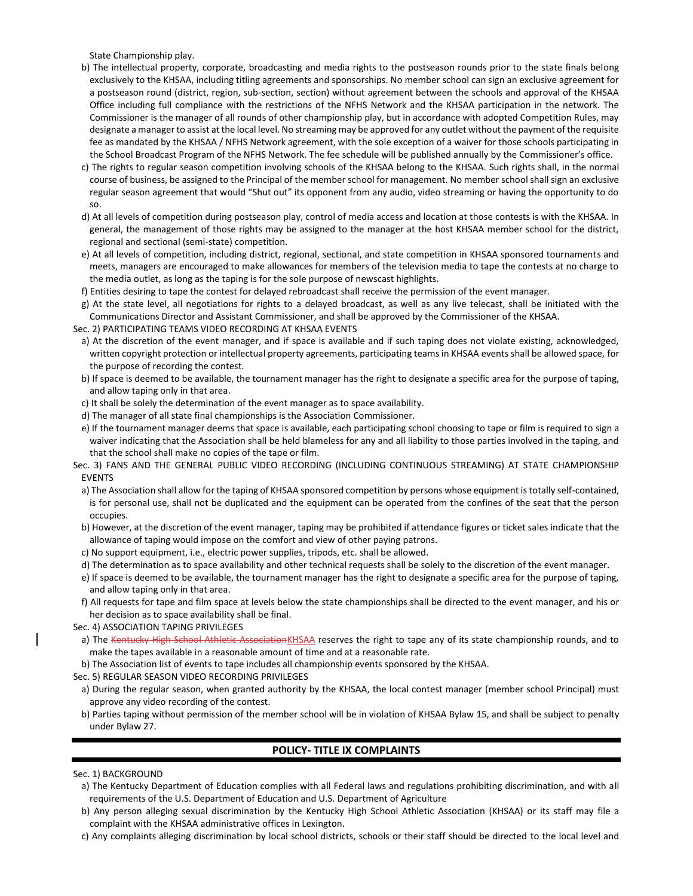State Championship play.

- b) The intellectual property, corporate, broadcasting and media rights to the postseason rounds prior to the state finals belong exclusively to the KHSAA, including titling agreements and sponsorships. No member school can sign an exclusive agreement for a postseason round (district, region, sub-section, section) without agreement between the schools and approval of the KHSAA Office including full compliance with the restrictions of the NFHS Network and the KHSAA participation in the network. The Commissioner is the manager of all rounds of other championship play, but in accordance with adopted Competition Rules, may designate a manager to assist at the local level. No streaming may be approved for any outlet without the payment of the requisite fee as mandated by the KHSAA / NFHS Network agreement, with the sole exception of a waiver for those schools participating in the School Broadcast Program of the NFHS Network. The fee schedule will be published annually by the Commissioner's office.
- c) The rights to regular season competition involving schools of the KHSAA belong to the KHSAA. Such rights shall, in the normal course of business, be assigned to the Principal of the member school for management. No member school shall sign an exclusive regular season agreement that would "Shut out" its opponent from any audio, video streaming or having the opportunity to do so.
- d) At all levels of competition during postseason play, control of media access and location at those contests is with the KHSAA. In general, the management of those rights may be assigned to the manager at the host KHSAA member school for the district, regional and sectional (semi-state) competition.
- e) At all levels of competition, including district, regional, sectional, and state competition in KHSAA sponsored tournaments and meets, managers are encouraged to make allowances for members of the television media to tape the contests at no charge to the media outlet, as long as the taping is for the sole purpose of newscast highlights.
- f) Entities desiring to tape the contest for delayed rebroadcast shall receive the permission of the event manager.
- g) At the state level, all negotiations for rights to a delayed broadcast, as well as any live telecast, shall be initiated with the Communications Director and Assistant Commissioner, and shall be approved by the Commissioner of the KHSAA.
- Sec. 2) PARTICIPATING TEAMS VIDEO RECORDING AT KHSAA EVENTS
	- a) At the discretion of the event manager, and if space is available and if such taping does not violate existing, acknowledged, written copyright protection or intellectual property agreements, participating teams in KHSAA events shall be allowed space, for the purpose of recording the contest.
	- b) If space is deemed to be available, the tournament manager has the right to designate a specific area for the purpose of taping, and allow taping only in that area.
	- c) It shall be solely the determination of the event manager as to space availability.
	- d) The manager of all state final championships is the Association Commissioner.
	- e) If the tournament manager deems that space is available, each participating school choosing to tape or film is required to sign a waiver indicating that the Association shall be held blameless for any and all liability to those parties involved in the taping, and that the school shall make no copies of the tape or film.
- Sec. 3) FANS AND THE GENERAL PUBLIC VIDEO RECORDING (INCLUDING CONTINUOUS STREAMING) AT STATE CHAMPIONSHIP EVENTS
	- a) The Association shall allow for the taping of KHSAA sponsored competition by persons whose equipment is totally self-contained, is for personal use, shall not be duplicated and the equipment can be operated from the confines of the seat that the person occupies.
	- b) However, at the discretion of the event manager, taping may be prohibited if attendance figures or ticket sales indicate that the allowance of taping would impose on the comfort and view of other paying patrons.
	- c) No support equipment, i.e., electric power supplies, tripods, etc. shall be allowed.
	- d) The determination as to space availability and other technical requests shall be solely to the discretion of the event manager.
- e) If space is deemed to be available, the tournament manager has the right to designate a specific area for the purpose of taping, and allow taping only in that area.
- f) All requests for tape and film space at levels below the state championships shall be directed to the event manager, and his or her decision as to space availability shall be final.
- Sec. 4) ASSOCIATION TAPING PRIVILEGES
	- a) The Kentucky High School Athletic AssociationKHSAA reserves the right to tape any of its state championship rounds, and to make the tapes available in a reasonable amount of time and at a reasonable rate.
	- b) The Association list of events to tape includes all championship events sponsored by the KHSAA.
- Sec. 5) REGULAR SEASON VIDEO RECORDING PRIVILEGES
- a) During the regular season, when granted authority by the KHSAA, the local contest manager (member school Principal) must approve any video recording of the contest.
- b) Parties taping without permission of the member school will be in violation of KHSAA Bylaw 15, and shall be subject to penalty under Bylaw 27.

# **POLICY- TITLE IX COMPLAINTS**

### Sec. 1) BACKGROUND

- a) The Kentucky Department of Education complies with all Federal laws and regulations prohibiting discrimination, and with all requirements of the U.S. Department of Education and U.S. Department of Agriculture
- b) Any person alleging sexual discrimination by the Kentucky High School Athletic Association (KHSAA) or its staff may file a complaint with the KHSAA administrative offices in Lexington.
- c) Any complaints alleging discrimination by local school districts, schools or their staff should be directed to the local level and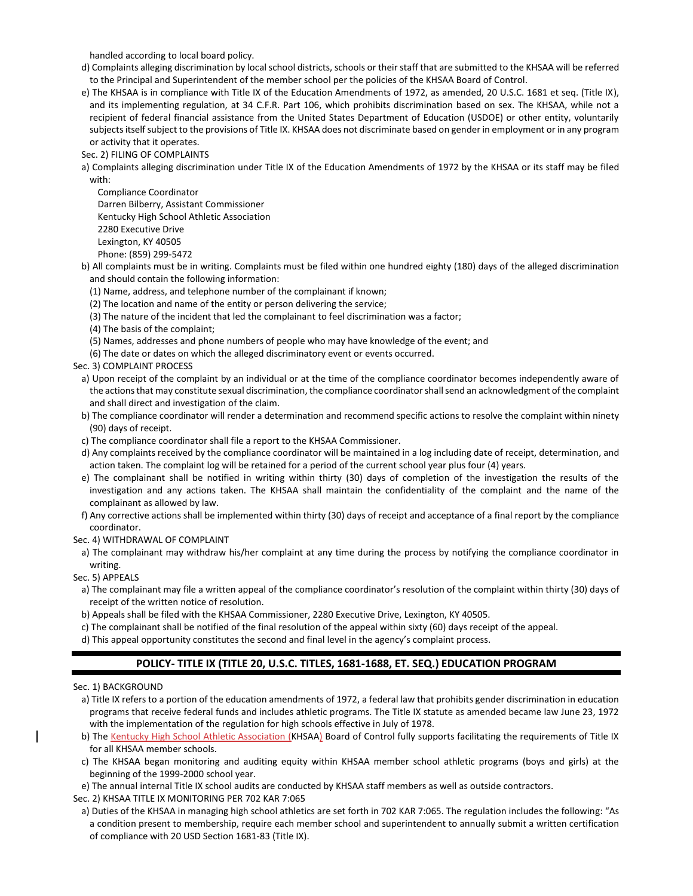handled according to local board policy.

- d) Complaints alleging discrimination by local school districts, schools or their staff that are submitted to the KHSAA will be referred to the Principal and Superintendent of the member school per the policies of the KHSAA Board of Control.
- e) The KHSAA is in compliance with Title IX of the Education Amendments of 1972, as amended, 20 U.S.C. 1681 et seq. (Title IX), and its implementing regulation, at 34 C.F.R. Part 106, which prohibits discrimination based on sex. The KHSAA, while not a recipient of federal financial assistance from the United States Department of Education (USDOE) or other entity, voluntarily subjects itself subject to the provisions of Title IX. KHSAA does not discriminate based on gender in employment or in any program or activity that it operates.

Sec. 2) FILING OF COMPLAINTS

a) Complaints alleging discrimination under Title IX of the Education Amendments of 1972 by the KHSAA or its staff may be filed with:

Compliance Coordinator Darren Bilberry, Assistant Commissioner Kentucky High School Athletic Association 2280 Executive Drive Lexington, KY 40505 Phone: (859) 299-5472

b) All complaints must be in writing. Complaints must be filed within one hundred eighty (180) days of the alleged discrimination and should contain the following information:

- (1) Name, address, and telephone number of the complainant if known;
- (2) The location and name of the entity or person delivering the service;
- (3) The nature of the incident that led the complainant to feel discrimination was a factor;
- (4) The basis of the complaint;
- (5) Names, addresses and phone numbers of people who may have knowledge of the event; and
- (6) The date or dates on which the alleged discriminatory event or events occurred.

Sec. 3) COMPLAINT PROCESS

- a) Upon receipt of the complaint by an individual or at the time of the compliance coordinator becomes independently aware of the actions that may constitute sexual discrimination, the compliance coordinator shall send an acknowledgment of the complaint and shall direct and investigation of the claim.
- b) The compliance coordinator will render a determination and recommend specific actions to resolve the complaint within ninety (90) days of receipt.
- c) The compliance coordinator shall file a report to the KHSAA Commissioner.
- d) Any complaints received by the compliance coordinator will be maintained in a log including date of receipt, determination, and action taken. The complaint log will be retained for a period of the current school year plus four (4) years.
- e) The complainant shall be notified in writing within thirty (30) days of completion of the investigation the results of the investigation and any actions taken. The KHSAA shall maintain the confidentiality of the complaint and the name of the complainant as allowed by law.
- f) Any corrective actions shall be implemented within thirty (30) days of receipt and acceptance of a final report by the compliance coordinator.

Sec. 4) WITHDRAWAL OF COMPLAINT

- a) The complainant may withdraw his/her complaint at any time during the process by notifying the compliance coordinator in writing.
- Sec. 5) APPEALS
- a) The complainant may file a written appeal of the compliance coordinator's resolution of the complaint within thirty (30) days of receipt of the written notice of resolution.
- b) Appeals shall be filed with the KHSAA Commissioner, 2280 Executive Drive, Lexington, KY 40505.
- c) The complainant shall be notified of the final resolution of the appeal within sixty (60) days receipt of the appeal.
- d) This appeal opportunity constitutes the second and final level in the agency's complaint process.

# **POLICY- TITLE IX (TITLE 20, U.S.C. TITLES, 1681-1688, ET. SEQ.) EDUCATION PROGRAM**

Sec. 1) BACKGROUND

- a) Title IX refers to a portion of the education amendments of 1972, a federal law that prohibits gender discrimination in education programs that receive federal funds and includes athletic programs. The Title IX statute as amended became law June 23, 1972 with the implementation of the regulation for high schools effective in July of 1978.
- b) The Kentucky High School Athletic Association (KHSAA) Board of Control fully supports facilitating the requirements of Title IX for all KHSAA member schools.
- c) The KHSAA began monitoring and auditing equity within KHSAA member school athletic programs (boys and girls) at the beginning of the 1999-2000 school year.
- e) The annual internal Title IX school audits are conducted by KHSAA staff members as well as outside contractors.
- Sec. 2) KHSAA TITLE IX MONITORING PER 702 KAR 7:065
	- a) Duties of the KHSAA in managing high school athletics are set forth in 702 KAR 7:065. The regulation includes the following: "As a condition present to membership, require each member school and superintendent to annually submit a written certification of compliance with 20 USD Section 1681-83 (Title IX).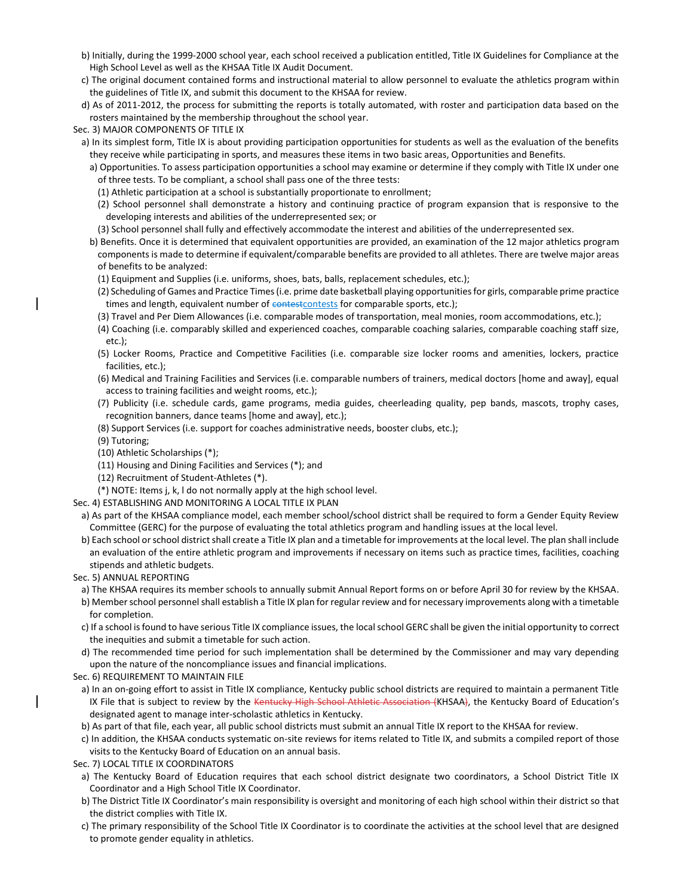- b) Initially, during the 1999-2000 school year, each school received a publication entitled, Title IX Guidelines for Compliance at the High School Level as well as the KHSAA Title IX Audit Document.
- c) The original document contained forms and instructional material to allow personnel to evaluate the athletics program within the guidelines of Title IX, and submit this document to the KHSAA for review.
- d) As of 2011-2012, the process for submitting the reports is totally automated, with roster and participation data based on the rosters maintained by the membership throughout the school year.
- Sec. 3) MAJOR COMPONENTS OF TITLE IX
- a) In its simplest form, Title IX is about providing participation opportunities for students as well as the evaluation of the benefits they receive while participating in sports, and measures these items in two basic areas, Opportunities and Benefits.
	- a) Opportunities. To assess participation opportunities a school may examine or determine if they comply with Title IX under one of three tests. To be compliant, a school shall pass one of the three tests:
		- (1) Athletic participation at a school is substantially proportionate to enrollment;
	- (2) School personnel shall demonstrate a history and continuing practice of program expansion that is responsive to the developing interests and abilities of the underrepresented sex; or
	- (3) School personnel shall fully and effectively accommodate the interest and abilities of the underrepresented sex.
	- b) Benefits. Once it is determined that equivalent opportunities are provided, an examination of the 12 major athletics program components is made to determine if equivalent/comparable benefits are provided to all athletes. There are twelve major areas of benefits to be analyzed:
		- (1) Equipment and Supplies (i.e. uniforms, shoes, bats, balls, replacement schedules, etc.);
		- (2) Scheduling of Games and Practice Times (i.e. prime date basketball playing opportunities for girls, comparable prime practice times and length, equivalent number of contest contests for comparable sports, etc.);
		- (3) Travel and Per Diem Allowances (i.e. comparable modes of transportation, meal monies, room accommodations, etc.);
		- (4) Coaching (i.e. comparably skilled and experienced coaches, comparable coaching salaries, comparable coaching staff size, etc.);
		- (5) Locker Rooms, Practice and Competitive Facilities (i.e. comparable size locker rooms and amenities, lockers, practice facilities, etc.);
		- (6) Medical and Training Facilities and Services (i.e. comparable numbers of trainers, medical doctors [home and away], equal access to training facilities and weight rooms, etc.);
		- (7) Publicity (i.e. schedule cards, game programs, media guides, cheerleading quality, pep bands, mascots, trophy cases, recognition banners, dance teams [home and away], etc.);
		- (8) Support Services (i.e. support for coaches administrative needs, booster clubs, etc.);
		- (9) Tutoring;
		- (10) Athletic Scholarships (\*);
		- (11) Housing and Dining Facilities and Services (\*); and
		- (12) Recruitment of Student-Athletes (\*).
		- (\*) NOTE: Items j, k, l do not normally apply at the high school level.
- Sec. 4) ESTABLISHING AND MONITORING A LOCAL TITLE IX PLAN
	- a) As part of the KHSAA compliance model, each member school/school district shall be required to form a Gender Equity Review Committee (GERC) for the purpose of evaluating the total athletics program and handling issues at the local level.
	- b) Each school or school district shall create a Title IX plan and a timetable for improvements at the local level. The plan shall include an evaluation of the entire athletic program and improvements if necessary on items such as practice times, facilities, coaching stipends and athletic budgets.
- Sec. 5) ANNUAL REPORTING
- a) The KHSAA requires its member schools to annually submit Annual Report forms on or before April 30 for review by the KHSAA.
- b) Member school personnel shall establish a Title IX plan for regular review and for necessary improvements along with a timetable for completion.
- c) If a school is found to have serious Title IX compliance issues, the local school GERC shall be given the initial opportunity to correct the inequities and submit a timetable for such action.
- d) The recommended time period for such implementation shall be determined by the Commissioner and may vary depending upon the nature of the noncompliance issues and financial implications.
- Sec. 6) REQUIREMENT TO MAINTAIN FILE
	- a) In an on-going effort to assist in Title IX compliance, Kentucky public school districts are required to maintain a permanent Title IX File that is subject to review by the Kentucky High School Athletic Association (KHSAA), the Kentucky Board of Education's designated agent to manage inter-scholastic athletics in Kentucky.
- b) As part of that file, each year, all public school districts must submit an annual Title IX report to the KHSAA for review.
- c) In addition, the KHSAA conducts systematic on-site reviews for items related to Title IX, and submits a compiled report of those visits to the Kentucky Board of Education on an annual basis.
- Sec. 7) LOCAL TITLE IX COORDINATORS
- a) The Kentucky Board of Education requires that each school district designate two coordinators, a School District Title IX Coordinator and a High School Title IX Coordinator.
- b) The District Title IX Coordinator's main responsibility is oversight and monitoring of each high school within their district so that the district complies with Title IX.
- c) The primary responsibility of the School Title IX Coordinator is to coordinate the activities at the school level that are designed to promote gender equality in athletics.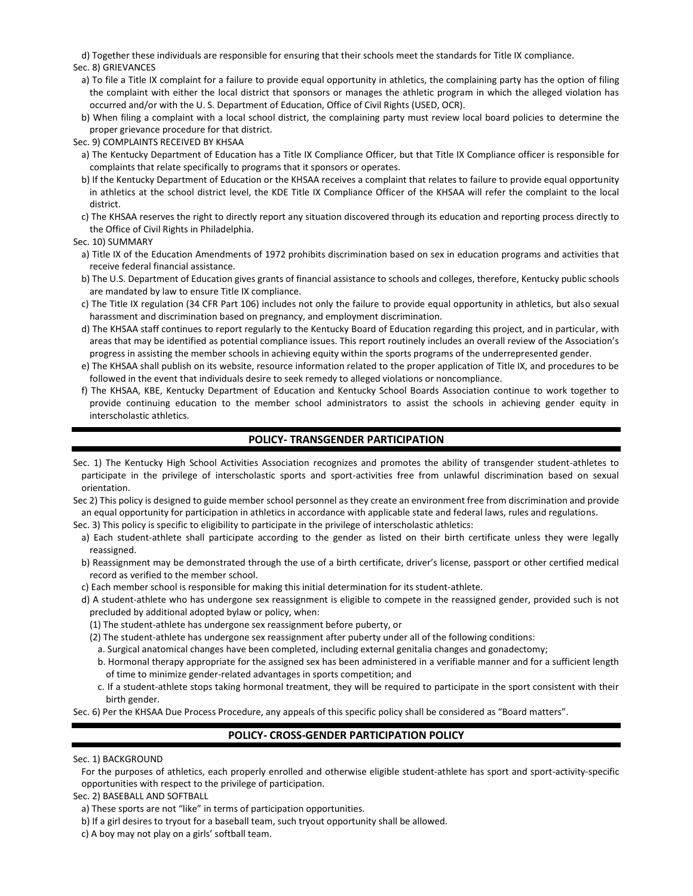d) Together these individuals are responsible for ensuring that their schools meet the standards for Title IX compliance. Sec. 8) GRIEVANCES

- a) To file a Title IX complaint for a failure to provide equal opportunity in athletics, the complaining party has the option of filing the complaint with either the local district that sponsors or manages the athletic program in which the alleged violation has occurred and/or with the U. S. Department of Education, Office of Civil Rights (USED, OCR).
- b) When filing a complaint with a local school district, the complaining party must review local board policies to determine the proper grievance procedure for that district.

Sec. 9) COMPLAINTS RECEIVED BY KHSAA

- a) The Kentucky Department of Education has a Title IX Compliance Officer, but that Title IX Compliance officer is responsible for complaints that relate specifically to programs that it sponsors or operates.
- b) If the Kentucky Department of Education or the KHSAA receives a complaint that relates to failure to provide equal opportunity in athletics at the school district level, the KDE Title IX Compliance Officer of the KHSAA will refer the complaint to the local district.
- c) The KHSAA reserves the right to directly report any situation discovered through its education and reporting process directly to the Office of Civil Rights in Philadelphia.

Sec. 10) SUMMARY

- a) Title IX of the Education Amendments of 1972 prohibits discrimination based on sex in education programs and activities that receive federal financial assistance.
- b) The U.S. Department of Education gives grants of financial assistance to schools and colleges, therefore, Kentucky public schools are mandated by law to ensure Title IX compliance.
- c) The Title IX regulation (34 CFR Part 106) includes not only the failure to provide equal opportunity in athletics, but also sexual harassment and discrimination based on pregnancy, and employment discrimination.
- d) The KHSAA staff continues to report regularly to the Kentucky Board of Education regarding this project, and in particular, with areas that may be identified as potential compliance issues. This report routinely includes an overall review of the Association's progress in assisting the member schools in achieving equity within the sports programs of the underrepresented gender.
- e) The KHSAA shall publish on its website, resource information related to the proper application of Title IX, and procedures to be followed in the event that individuals desire to seek remedy to alleged violations or noncompliance.
- f) The KHSAA, KBE, Kentucky Department of Education and Kentucky School Boards Association continue to work together to provide continuing education to the member school administrators to assist the schools in achieving gender equity in interscholastic athletics.

## **POLICY- TRANSGENDER PARTICIPATION**

- Sec. 1) The Kentucky High School Activities Association recognizes and promotes the ability of transgender student-athletes to participate in the privilege of interscholastic sports and sport-activities free from unlawful discrimination based on sexual orientation.
- Sec 2) This policy is designed to guide member school personnel as they create an environment free from discrimination and provide an equal opportunity for participation in athletics in accordance with applicable state and federal laws, rules and regulations.
- Sec. 3) This policy is specific to eligibility to participate in the privilege of interscholastic athletics:
- a) Each student-athlete shall participate according to the gender as listed on their birth certificate unless they were legally reassigned.
- b) Reassignment may be demonstrated through the use of a birth certificate, driver's license, passport or other certified medical record as verified to the member school.
- c) Each member school is responsible for making this initial determination for its student-athlete.
- d) A student-athlete who has undergone sex reassignment is eligible to compete in the reassigned gender, provided such is not precluded by additional adopted bylaw or policy, when:
	- (1) The student-athlete has undergone sex reassignment before puberty, or
	- (2) The student-athlete has undergone sex reassignment after puberty under all of the following conditions:
		- a. Surgical anatomical changes have been completed, including external genitalia changes and gonadectomy;
	- b. Hormonal therapy appropriate for the assigned sex has been administered in a verifiable manner and for a sufficient length of time to minimize gender-related advantages in sports competition; and
	- c. If a student-athlete stops taking hormonal treatment, they will be required to participate in the sport consistent with their birth gender.

Sec. 6) Per the KHSAA Due Process Procedure, any appeals of this specific policy shall be considered as "Board matters".

## **POLICY- CROSS-GENDER PARTICIPATION POLICY**

### Sec. 1) BACKGROUND

For the purposes of athletics, each properly enrolled and otherwise eligible student-athlete has sport and sport-activity-specific opportunities with respect to the privilege of participation.

Sec. 2) BASEBALL AND SOFTBALL

- a) These sports are not "like" in terms of participation opportunities.
- b) If a girl desires to tryout for a baseball team, such tryout opportunity shall be allowed.
- c) A boy may not play on a girls' softball team.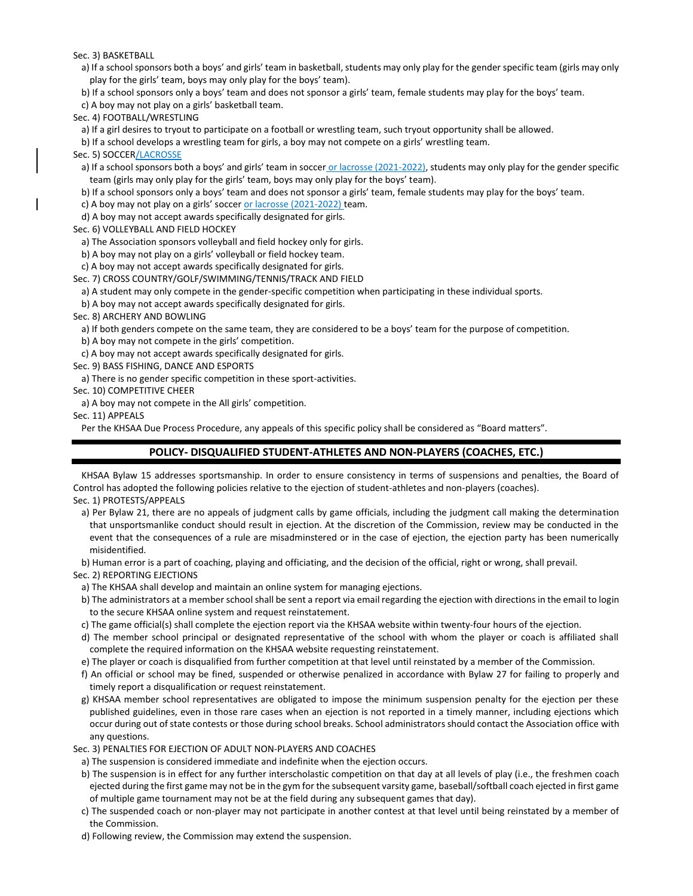Sec. 3) BASKETBALL

a) If a school sponsors both a boys' and girls' team in basketball, students may only play for the gender specific team (girls may only play for the girls' team, boys may only play for the boys' team).

b) If a school sponsors only a boys' team and does not sponsor a girls' team, female students may play for the boys' team.

c) A boy may not play on a girls' basketball team.

Sec. 4) FOOTBALL/WRESTLING

a) If a girl desires to tryout to participate on a football or wrestling team, such tryout opportunity shall be allowed.

b) If a school develops a wrestling team for girls, a boy may not compete on a girls' wrestling team.

Sec. 5) SOCCER/LACROSSE

a) If a school sponsors both a boys' and girls' team in soccer or lacrosse (2021-2022), students may only play for the gender specific team (girls may only play for the girls' team, boys may only play for the boys' team).

b) If a school sponsors only a boys' team and does not sponsor a girls' team, female students may play for the boys' team.

c) A boy may not play on a girls' soccer or lacrosse (2021-2022) team.

d) A boy may not accept awards specifically designated for girls.

Sec. 6) VOLLEYBALL AND FIELD HOCKEY

a) The Association sponsors volleyball and field hockey only for girls.

b) A boy may not play on a girls' volleyball or field hockey team.

c) A boy may not accept awards specifically designated for girls.

Sec. 7) CROSS COUNTRY/GOLF/SWIMMING/TENNIS/TRACK AND FIELD

a) A student may only compete in the gender-specific competition when participating in these individual sports.

b) A boy may not accept awards specifically designated for girls.

Sec. 8) ARCHERY AND BOWLING

a) If both genders compete on the same team, they are considered to be a boys' team for the purpose of competition.

b) A boy may not compete in the girls' competition.

c) A boy may not accept awards specifically designated for girls.

Sec. 9) BASS FISHING, DANCE AND ESPORTS

a) There is no gender specific competition in these sport-activities.

Sec. 10) COMPETITIVE CHEER

a) A boy may not compete in the All girls' competition.

Sec. 11) APPEALS

Per the KHSAA Due Process Procedure, any appeals of this specific policy shall be considered as "Board matters".

## **POLICY- DISQUALIFIED STUDENT-ATHLETES AND NON-PLAYERS (COACHES, ETC.)**

KHSAA Bylaw 15 addresses sportsmanship. In order to ensure consistency in terms of suspensions and penalties, the Board of Control has adopted the following policies relative to the ejection of student-athletes and non-players (coaches). Sec. 1) PROTESTS/APPEALS

a) Per Bylaw 21, there are no appeals of judgment calls by game officials, including the judgment call making the determination that unsportsmanlike conduct should result in ejection. At the discretion of the Commission, review may be conducted in the event that the consequences of a rule are misadminstered or in the case of ejection, the ejection party has been numerically misidentified.

b) Human error is a part of coaching, playing and officiating, and the decision of the official, right or wrong, shall prevail.

Sec. 2) REPORTING EJECTIONS

- a) The KHSAA shall develop and maintain an online system for managing ejections.
- b) The administrators at a member school shall be sent a report via email regarding the ejection with directions in the email to login to the secure KHSAA online system and request reinstatement.
- c) The game official(s) shall complete the ejection report via the KHSAA website within twenty-four hours of the ejection.
- d) The member school principal or designated representative of the school with whom the player or coach is affiliated shall complete the required information on the KHSAA website requesting reinstatement.
- e) The player or coach is disqualified from further competition at that level until reinstated by a member of the Commission.
- f) An official or school may be fined, suspended or otherwise penalized in accordance with Bylaw 27 for failing to properly and timely report a disqualification or request reinstatement.
- g) KHSAA member school representatives are obligated to impose the minimum suspension penalty for the ejection per these published guidelines, even in those rare cases when an ejection is not reported in a timely manner, including ejections which occur during out of state contests or those during school breaks. School administrators should contact the Association office with any questions.

Sec. 3) PENALTIES FOR EJECTION OF ADULT NON-PLAYERS AND COACHES

- a) The suspension is considered immediate and indefinite when the ejection occurs.
- b) The suspension is in effect for any further interscholastic competition on that day at all levels of play (i.e., the freshmen coach ejected during the first game may not be in the gym for the subsequent varsity game, baseball/softball coach ejected in first game of multiple game tournament may not be at the field during any subsequent games that day).
- c) The suspended coach or non-player may not participate in another contest at that level until being reinstated by a member of the Commission.

d) Following review, the Commission may extend the suspension.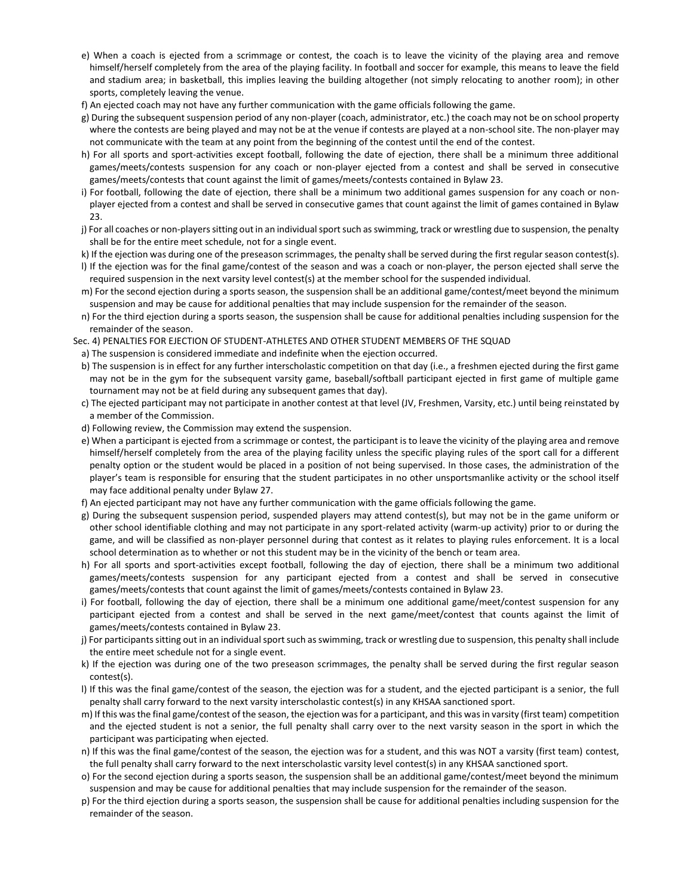- e) When a coach is ejected from a scrimmage or contest, the coach is to leave the vicinity of the playing area and remove himself/herself completely from the area of the playing facility. In football and soccer for example, this means to leave the field and stadium area; in basketball, this implies leaving the building altogether (not simply relocating to another room); in other sports, completely leaving the venue.
- f) An ejected coach may not have any further communication with the game officials following the game.
- g) During the subsequent suspension period of any non-player (coach, administrator, etc.) the coach may not be on school property where the contests are being played and may not be at the venue if contests are played at a non-school site. The non-player may not communicate with the team at any point from the beginning of the contest until the end of the contest.
- h) For all sports and sport-activities except football, following the date of ejection, there shall be a minimum three additional games/meets/contests suspension for any coach or non-player ejected from a contest and shall be served in consecutive games/meets/contests that count against the limit of games/meets/contests contained in Bylaw 23.
- i) For football, following the date of ejection, there shall be a minimum two additional games suspension for any coach or nonplayer ejected from a contest and shall be served in consecutive games that count against the limit of games contained in Bylaw 23.
- j) For all coaches or non-players sitting out in an individual sport such as swimming, track or wrestling due to suspension, the penalty shall be for the entire meet schedule, not for a single event.
- k) If the ejection was during one of the preseason scrimmages, the penalty shall be served during the first regular season contest(s).
- l) If the ejection was for the final game/contest of the season and was a coach or non-player, the person ejected shall serve the required suspension in the next varsity level contest(s) at the member school for the suspended individual.
- m) For the second ejection during a sports season, the suspension shall be an additional game/contest/meet beyond the minimum suspension and may be cause for additional penalties that may include suspension for the remainder of the season.
- n) For the third ejection during a sports season, the suspension shall be cause for additional penalties including suspension for the remainder of the season.
- Sec. 4) PENALTIES FOR EJECTION OF STUDENT-ATHLETES AND OTHER STUDENT MEMBERS OF THE SQUAD
- a) The suspension is considered immediate and indefinite when the ejection occurred.
- b) The suspension is in effect for any further interscholastic competition on that day (i.e., a freshmen ejected during the first game may not be in the gym for the subsequent varsity game, baseball/softball participant ejected in first game of multiple game tournament may not be at field during any subsequent games that day).
- c) The ejected participant may not participate in another contest at that level (JV, Freshmen, Varsity, etc.) until being reinstated by a member of the Commission.
- d) Following review, the Commission may extend the suspension.
- e) When a participant is ejected from a scrimmage or contest, the participant is to leave the vicinity of the playing area and remove himself/herself completely from the area of the playing facility unless the specific playing rules of the sport call for a different penalty option or the student would be placed in a position of not being supervised. In those cases, the administration of the player's team is responsible for ensuring that the student participates in no other unsportsmanlike activity or the school itself may face additional penalty under Bylaw 27.
- f) An ejected participant may not have any further communication with the game officials following the game.
- g) During the subsequent suspension period, suspended players may attend contest(s), but may not be in the game uniform or other school identifiable clothing and may not participate in any sport-related activity (warm-up activity) prior to or during the game, and will be classified as non-player personnel during that contest as it relates to playing rules enforcement. It is a local school determination as to whether or not this student may be in the vicinity of the bench or team area.
- h) For all sports and sport-activities except football, following the day of ejection, there shall be a minimum two additional games/meets/contests suspension for any participant ejected from a contest and shall be served in consecutive games/meets/contests that count against the limit of games/meets/contests contained in Bylaw 23.
- i) For football, following the day of ejection, there shall be a minimum one additional game/meet/contest suspension for any participant ejected from a contest and shall be served in the next game/meet/contest that counts against the limit of games/meets/contests contained in Bylaw 23.
- j) For participants sitting out in an individual sport such as swimming, track or wrestling due to suspension, this penalty shall include the entire meet schedule not for a single event.
- k) If the ejection was during one of the two preseason scrimmages, the penalty shall be served during the first regular season contest(s).
- l) If this was the final game/contest of the season, the ejection was for a student, and the ejected participant is a senior, the full penalty shall carry forward to the next varsity interscholastic contest(s) in any KHSAA sanctioned sport.
- m) If this was the final game/contest of the season, the ejection was for a participant, and this was in varsity (first team) competition and the ejected student is not a senior, the full penalty shall carry over to the next varsity season in the sport in which the participant was participating when ejected.
- n) If this was the final game/contest of the season, the ejection was for a student, and this was NOT a varsity (first team) contest, the full penalty shall carry forward to the next interscholastic varsity level contest(s) in any KHSAA sanctioned sport.
- o) For the second ejection during a sports season, the suspension shall be an additional game/contest/meet beyond the minimum suspension and may be cause for additional penalties that may include suspension for the remainder of the season.
- p) For the third ejection during a sports season, the suspension shall be cause for additional penalties including suspension for the remainder of the season.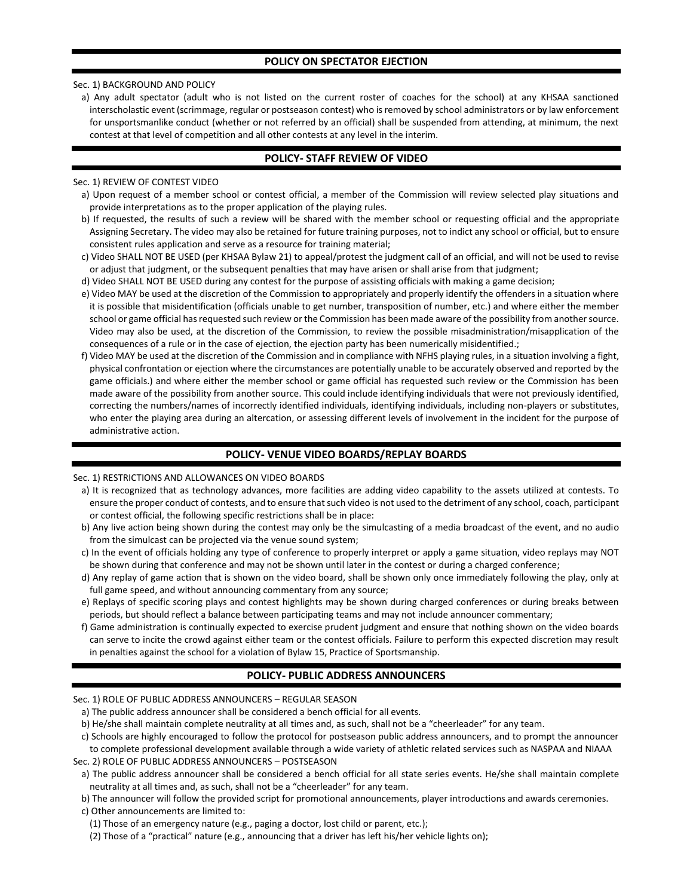## **POLICY ON SPECTATOR EJECTION**

### Sec. 1) BACKGROUND AND POLICY

a) Any adult spectator (adult who is not listed on the current roster of coaches for the school) at any KHSAA sanctioned interscholastic event (scrimmage, regular or postseason contest) who is removed by school administrators or by law enforcement for unsportsmanlike conduct (whether or not referred by an official) shall be suspended from attending, at minimum, the next contest at that level of competition and all other contests at any level in the interim.

## **POLICY- STAFF REVIEW OF VIDEO**

### Sec. 1) REVIEW OF CONTEST VIDEO

- a) Upon request of a member school or contest official, a member of the Commission will review selected play situations and provide interpretations as to the proper application of the playing rules.
- b) If requested, the results of such a review will be shared with the member school or requesting official and the appropriate Assigning Secretary. The video may also be retained for future training purposes, not to indict any school or official, but to ensure consistent rules application and serve as a resource for training material;
- c) Video SHALL NOT BE USED (per KHSAA Bylaw 21) to appeal/protest the judgment call of an official, and will not be used to revise or adjust that judgment, or the subsequent penalties that may have arisen or shall arise from that judgment;
- d) Video SHALL NOT BE USED during any contest for the purpose of assisting officials with making a game decision;
- e) Video MAY be used at the discretion of the Commission to appropriately and properly identify the offenders in a situation where it is possible that misidentification (officials unable to get number, transposition of number, etc.) and where either the member school or game official has requested such review or the Commission has been made aware of the possibility from another source. Video may also be used, at the discretion of the Commission, to review the possible misadministration/misapplication of the consequences of a rule or in the case of ejection, the ejection party has been numerically misidentified.;
- f) Video MAY be used at the discretion of the Commission and in compliance with NFHS playing rules, in a situation involving a fight, physical confrontation or ejection where the circumstances are potentially unable to be accurately observed and reported by the game officials.) and where either the member school or game official has requested such review or the Commission has been made aware of the possibility from another source. This could include identifying individuals that were not previously identified, correcting the numbers/names of incorrectly identified individuals, identifying individuals, including non-players or substitutes, who enter the playing area during an altercation, or assessing different levels of involvement in the incident for the purpose of administrative action.

## **POLICY- VENUE VIDEO BOARDS/REPLAY BOARDS**

### Sec. 1) RESTRICTIONS AND ALLOWANCES ON VIDEO BOARDS

- a) It is recognized that as technology advances, more facilities are adding video capability to the assets utilized at contests. To ensure the proper conduct of contests, and to ensure that such video is not used to the detriment of any school, coach, participant or contest official, the following specific restrictions shall be in place:
- b) Any live action being shown during the contest may only be the simulcasting of a media broadcast of the event, and no audio from the simulcast can be projected via the venue sound system;
- c) In the event of officials holding any type of conference to properly interpret or apply a game situation, video replays may NOT be shown during that conference and may not be shown until later in the contest or during a charged conference;
- d) Any replay of game action that is shown on the video board, shall be shown only once immediately following the play, only at full game speed, and without announcing commentary from any source;
- e) Replays of specific scoring plays and contest highlights may be shown during charged conferences or during breaks between periods, but should reflect a balance between participating teams and may not include announcer commentary;
- f) Game administration is continually expected to exercise prudent judgment and ensure that nothing shown on the video boards can serve to incite the crowd against either team or the contest officials. Failure to perform this expected discretion may result in penalties against the school for a violation of Bylaw 15, Practice of Sportsmanship.

## **POLICY- PUBLIC ADDRESS ANNOUNCERS**

### Sec. 1) ROLE OF PUBLIC ADDRESS ANNOUNCERS – REGULAR SEASON

- a) The public address announcer shall be considered a bench official for all events.
- b) He/she shall maintain complete neutrality at all times and, as such, shall not be a "cheerleader" for any team.
- c) Schools are highly encouraged to follow the protocol for postseason public address announcers, and to prompt the announcer

to complete professional development available through a wide variety of athletic related services such as NASPAA and NIAAA Sec. 2) ROLE OF PUBLIC ADDRESS ANNOUNCERS – POSTSEASON

- a) The public address announcer shall be considered a bench official for all state series events. He/she shall maintain complete neutrality at all times and, as such, shall not be a "cheerleader" for any team.
- b) The announcer will follow the provided script for promotional announcements, player introductions and awards ceremonies.
- c) Other announcements are limited to:
	- (1) Those of an emergency nature (e.g., paging a doctor, lost child or parent, etc.);
	- (2) Those of a "practical" nature (e.g., announcing that a driver has left his/her vehicle lights on);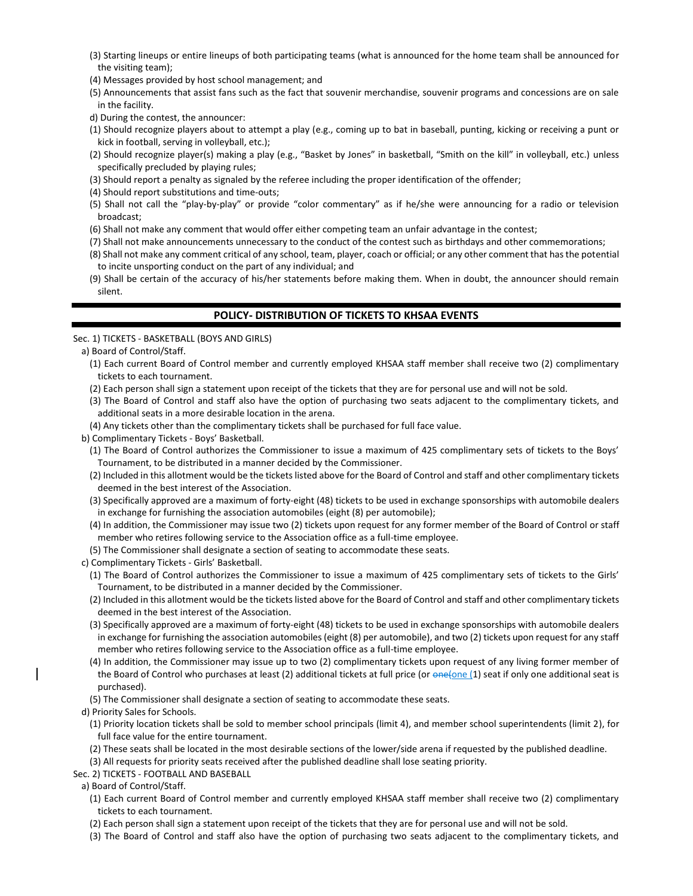- (3) Starting lineups or entire lineups of both participating teams (what is announced for the home team shall be announced for the visiting team);
- (4) Messages provided by host school management; and
- (5) Announcements that assist fans such as the fact that souvenir merchandise, souvenir programs and concessions are on sale in the facility.
- d) During the contest, the announcer:
- (1) Should recognize players about to attempt a play (e.g., coming up to bat in baseball, punting, kicking or receiving a punt or kick in football, serving in volleyball, etc.);
- (2) Should recognize player(s) making a play (e.g., "Basket by Jones" in basketball, "Smith on the kill" in volleyball, etc.) unless specifically precluded by playing rules;
- (3) Should report a penalty as signaled by the referee including the proper identification of the offender;
- (4) Should report substitutions and time-outs;
- (5) Shall not call the "play-by-play" or provide "color commentary" as if he/she were announcing for a radio or television broadcast;
- (6) Shall not make any comment that would offer either competing team an unfair advantage in the contest;
- (7) Shall not make announcements unnecessary to the conduct of the contest such as birthdays and other commemorations;
- (8) Shall not make any comment critical of any school, team, player, coach or official; or any other comment that has the potential to incite unsporting conduct on the part of any individual; and
- (9) Shall be certain of the accuracy of his/her statements before making them. When in doubt, the announcer should remain silent.

# **POLICY- DISTRIBUTION OF TICKETS TO KHSAA EVENTS**

### Sec. 1) TICKETS - BASKETBALL (BOYS AND GIRLS)

- a) Board of Control/Staff.
	- (1) Each current Board of Control member and currently employed KHSAA staff member shall receive two (2) complimentary tickets to each tournament.
	- (2) Each person shall sign a statement upon receipt of the tickets that they are for personal use and will not be sold.
	- (3) The Board of Control and staff also have the option of purchasing two seats adjacent to the complimentary tickets, and additional seats in a more desirable location in the arena.
	- (4) Any tickets other than the complimentary tickets shall be purchased for full face value.
- b) Complimentary Tickets Boys' Basketball.
	- (1) The Board of Control authorizes the Commissioner to issue a maximum of 425 complimentary sets of tickets to the Boys' Tournament, to be distributed in a manner decided by the Commissioner.
	- (2) Included in this allotment would be the tickets listed above for the Board of Control and staff and other complimentary tickets deemed in the best interest of the Association.
	- (3) Specifically approved are a maximum of forty-eight (48) tickets to be used in exchange sponsorships with automobile dealers in exchange for furnishing the association automobiles (eight (8) per automobile);
	- (4) In addition, the Commissioner may issue two (2) tickets upon request for any former member of the Board of Control or staff member who retires following service to the Association office as a full-time employee.
	- (5) The Commissioner shall designate a section of seating to accommodate these seats.
- c) Complimentary Tickets Girls' Basketball.
	- (1) The Board of Control authorizes the Commissioner to issue a maximum of 425 complimentary sets of tickets to the Girls' Tournament, to be distributed in a manner decided by the Commissioner.
	- (2) Included in this allotment would be the tickets listed above for the Board of Control and staff and other complimentary tickets deemed in the best interest of the Association.
	- (3) Specifically approved are a maximum of forty-eight (48) tickets to be used in exchange sponsorships with automobile dealers in exchange for furnishing the association automobiles (eight (8) per automobile), and two (2) tickets upon request for any staff member who retires following service to the Association office as a full-time employee.
- (4) In addition, the Commissioner may issue up to two (2) complimentary tickets upon request of any living former member of the Board of Control who purchases at least (2) additional tickets at full price (or  $\theta$ ne(one (1) seat if only one additional seat is purchased).
- (5) The Commissioner shall designate a section of seating to accommodate these seats.
- d) Priority Sales for Schools.
- (1) Priority location tickets shall be sold to member school principals (limit 4), and member school superintendents (limit 2), for full face value for the entire tournament.
- (2) These seats shall be located in the most desirable sections of the lower/side arena if requested by the published deadline.
- (3) All requests for priority seats received after the published deadline shall lose seating priority.
- Sec. 2) TICKETS FOOTBALL AND BASEBALL
	- a) Board of Control/Staff.
		- (1) Each current Board of Control member and currently employed KHSAA staff member shall receive two (2) complimentary tickets to each tournament.
		- (2) Each person shall sign a statement upon receipt of the tickets that they are for personal use and will not be sold.
		- (3) The Board of Control and staff also have the option of purchasing two seats adjacent to the complimentary tickets, and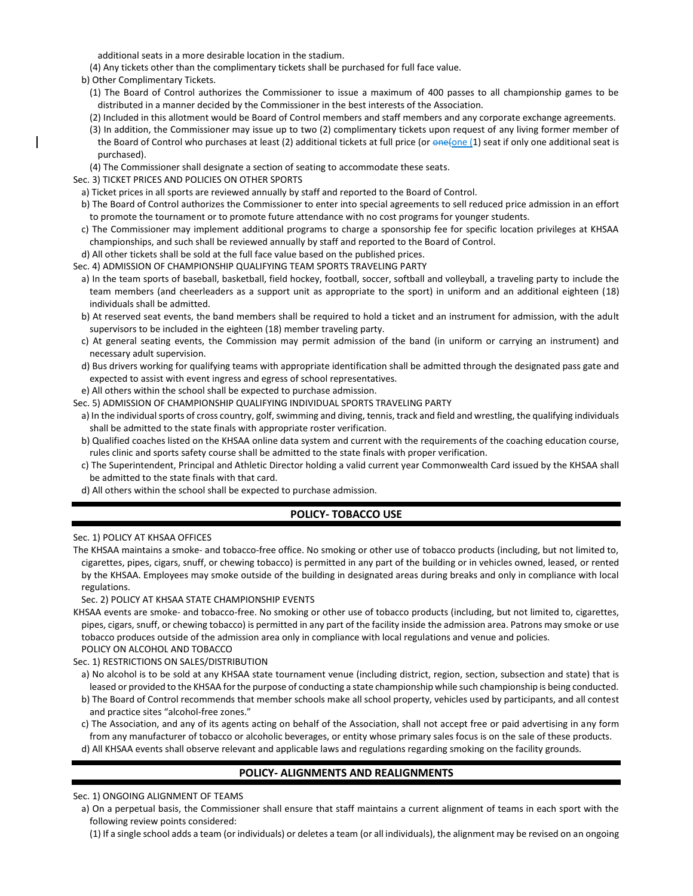additional seats in a more desirable location in the stadium.

(4) Any tickets other than the complimentary tickets shall be purchased for full face value.

b) Other Complimentary Tickets.

- (1) The Board of Control authorizes the Commissioner to issue a maximum of 400 passes to all championship games to be distributed in a manner decided by the Commissioner in the best interests of the Association.
- (2) Included in this allotment would be Board of Control members and staff members and any corporate exchange agreements.
- (3) In addition, the Commissioner may issue up to two (2) complimentary tickets upon request of any living former member of the Board of Control who purchases at least (2) additional tickets at full price (or  $\frac{one_{\{O\}}{1}}{one_{\{1\}}}$  seat if only one additional seat is purchased).
- (4) The Commissioner shall designate a section of seating to accommodate these seats.

Sec. 3) TICKET PRICES AND POLICIES ON OTHER SPORTS

- a) Ticket prices in all sports are reviewed annually by staff and reported to the Board of Control.
- b) The Board of Control authorizes the Commissioner to enter into special agreements to sell reduced price admission in an effort to promote the tournament or to promote future attendance with no cost programs for younger students.
- c) The Commissioner may implement additional programs to charge a sponsorship fee for specific location privileges at KHSAA championships, and such shall be reviewed annually by staff and reported to the Board of Control.
- d) All other tickets shall be sold at the full face value based on the published prices.
- Sec. 4) ADMISSION OF CHAMPIONSHIP QUALIFYING TEAM SPORTS TRAVELING PARTY
	- a) In the team sports of baseball, basketball, field hockey, football, soccer, softball and volleyball, a traveling party to include the team members (and cheerleaders as a support unit as appropriate to the sport) in uniform and an additional eighteen (18) individuals shall be admitted.
	- b) At reserved seat events, the band members shall be required to hold a ticket and an instrument for admission, with the adult supervisors to be included in the eighteen (18) member traveling party.
	- c) At general seating events, the Commission may permit admission of the band (in uniform or carrying an instrument) and necessary adult supervision.
	- d) Bus drivers working for qualifying teams with appropriate identification shall be admitted through the designated pass gate and expected to assist with event ingress and egress of school representatives.
- e) All others within the school shall be expected to purchase admission.
- Sec. 5) ADMISSION OF CHAMPIONSHIP QUALIFYING INDIVIDUAL SPORTS TRAVELING PARTY
- a) In the individual sports of cross country, golf, swimming and diving, tennis, track and field and wrestling, the qualifying individuals shall be admitted to the state finals with appropriate roster verification.
- b) Qualified coaches listed on the KHSAA online data system and current with the requirements of the coaching education course, rules clinic and sports safety course shall be admitted to the state finals with proper verification.
- c) The Superintendent, Principal and Athletic Director holding a valid current year Commonwealth Card issued by the KHSAA shall be admitted to the state finals with that card.
- d) All others within the school shall be expected to purchase admission.

# **POLICY- TOBACCO USE**

Sec. 1) POLICY AT KHSAA OFFICES

The KHSAA maintains a smoke- and tobacco-free office. No smoking or other use of tobacco products (including, but not limited to, cigarettes, pipes, cigars, snuff, or chewing tobacco) is permitted in any part of the building or in vehicles owned, leased, or rented by the KHSAA. Employees may smoke outside of the building in designated areas during breaks and only in compliance with local regulations.

### Sec. 2) POLICY AT KHSAA STATE CHAMPIONSHIP EVENTS

KHSAA events are smoke- and tobacco-free. No smoking or other use of tobacco products (including, but not limited to, cigarettes, pipes, cigars, snuff, or chewing tobacco) is permitted in any part of the facility inside the admission area. Patrons may smoke or use tobacco produces outside of the admission area only in compliance with local regulations and venue and policies. POLICY ON ALCOHOL AND TOBACCO

### Sec. 1) RESTRICTIONS ON SALES/DISTRIBUTION

- a) No alcohol is to be sold at any KHSAA state tournament venue (including district, region, section, subsection and state) that is leased or provided to the KHSAA for the purpose of conducting a state championship while such championship is being conducted.
- b) The Board of Control recommends that member schools make all school property, vehicles used by participants, and all contest and practice sites "alcohol-free zones."
- c) The Association, and any of its agents acting on behalf of the Association, shall not accept free or paid advertising in any form from any manufacturer of tobacco or alcoholic beverages, or entity whose primary sales focus is on the sale of these products.

d) All KHSAA events shall observe relevant and applicable laws and regulations regarding smoking on the facility grounds.

# **POLICY- ALIGNMENTS AND REALIGNMENTS**

### Sec. 1) ONGOING ALIGNMENT OF TEAMS

- a) On a perpetual basis, the Commissioner shall ensure that staff maintains a current alignment of teams in each sport with the following review points considered:
	- (1) If a single school adds a team (or individuals) or deletes a team (or all individuals), the alignment may be revised on an ongoing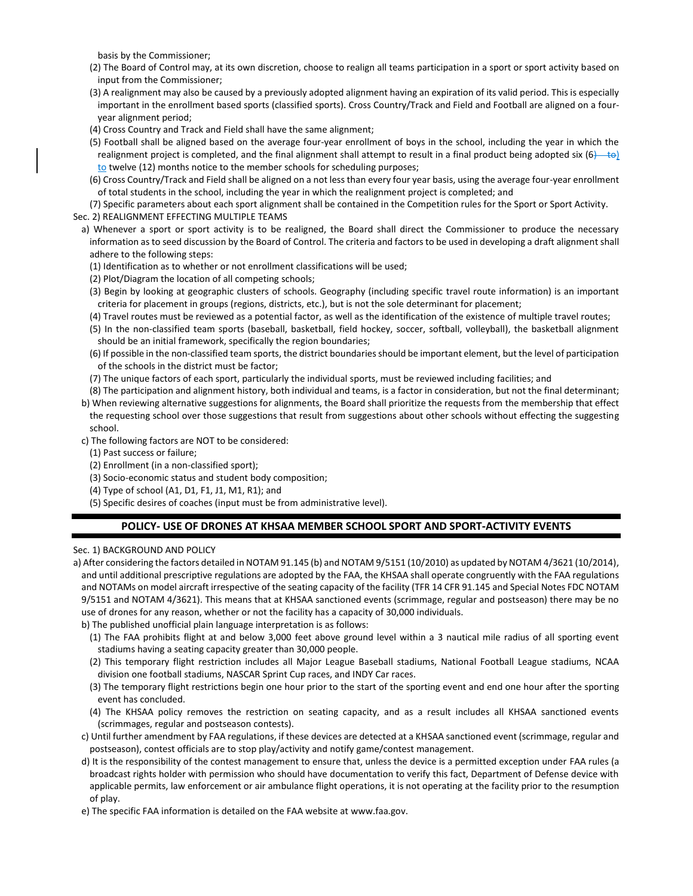basis by the Commissioner;

- (2) The Board of Control may, at its own discretion, choose to realign all teams participation in a sport or sport activity based on input from the Commissioner;
- (3) A realignment may also be caused by a previously adopted alignment having an expiration of its valid period. This is especially important in the enrollment based sports (classified sports). Cross Country/Track and Field and Football are aligned on a fouryear alignment period;
- (4) Cross Country and Track and Field shall have the same alignment;
- (5) Football shall be aligned based on the average four-year enrollment of boys in the school, including the year in which the realignment project is completed, and the final alignment shall attempt to result in a final product being adopted six  $(6)$  to) to twelve (12) months notice to the member schools for scheduling purposes;
- (6) Cross Country/Track and Field shall be aligned on a not less than every four year basis, using the average four-year enrollment of total students in the school, including the year in which the realignment project is completed; and

(7) Specific parameters about each sport alignment shall be contained in the Competition rules for the Sport or Sport Activity.

Sec. 2) REALIGNMENT EFFECTING MULTIPLE TEAMS

- a) Whenever a sport or sport activity is to be realigned, the Board shall direct the Commissioner to produce the necessary information as to seed discussion by the Board of Control. The criteria and factors to be used in developing a draft alignment shall adhere to the following steps:
	- (1) Identification as to whether or not enrollment classifications will be used;
	- (2) Plot/Diagram the location of all competing schools;
	- (3) Begin by looking at geographic clusters of schools. Geography (including specific travel route information) is an important criteria for placement in groups (regions, districts, etc.), but is not the sole determinant for placement;
	- (4) Travel routes must be reviewed as a potential factor, as well as the identification of the existence of multiple travel routes;
	- (5) In the non-classified team sports (baseball, basketball, field hockey, soccer, softball, volleyball), the basketball alignment should be an initial framework, specifically the region boundaries;
	- (6) If possible in the non-classified team sports, the district boundaries should be important element, but the level of participation of the schools in the district must be factor;
	- (7) The unique factors of each sport, particularly the individual sports, must be reviewed including facilities; and
- (8) The participation and alignment history, both individual and teams, is a factor in consideration, but not the final determinant; b) When reviewing alternative suggestions for alignments, the Board shall prioritize the requests from the membership that effect
- the requesting school over those suggestions that result from suggestions about other schools without effecting the suggesting school.
- c) The following factors are NOT to be considered:
	- (1) Past success or failure;
	- (2) Enrollment (in a non-classified sport);
	- (3) Socio-economic status and student body composition;
	- (4) Type of school (A1, D1, F1, J1, M1, R1); and
	- (5) Specific desires of coaches (input must be from administrative level).

# **POLICY- USE OF DRONES AT KHSAA MEMBER SCHOOL SPORT AND SPORT-ACTIVITY EVENTS**

## Sec. 1) BACKGROUND AND POLICY

- a) After considering the factors detailed in NOTAM 91.145 (b) and NOTAM 9/5151 (10/2010) as updated by NOTAM 4/3621 (10/2014), and until additional prescriptive regulations are adopted by the FAA, the KHSAA shall operate congruently with the FAA regulations and NOTAMs on model aircraft irrespective of the seating capacity of the facility (TFR 14 CFR 91.145 and Special Notes FDC NOTAM 9/5151 and NOTAM 4/3621). This means that at KHSAA sanctioned events (scrimmage, regular and postseason) there may be no use of drones for any reason, whether or not the facility has a capacity of 30,000 individuals.
	- b) The published unofficial plain language interpretation is as follows:
	- (1) The FAA prohibits flight at and below 3,000 feet above ground level within a 3 nautical mile radius of all sporting event stadiums having a seating capacity greater than 30,000 people.
	- (2) This temporary flight restriction includes all Major League Baseball stadiums, National Football League stadiums, NCAA division one football stadiums, NASCAR Sprint Cup races, and INDY Car races.
	- (3) The temporary flight restrictions begin one hour prior to the start of the sporting event and end one hour after the sporting event has concluded.
	- (4) The KHSAA policy removes the restriction on seating capacity, and as a result includes all KHSAA sanctioned events (scrimmages, regular and postseason contests).
	- c) Until further amendment by FAA regulations, if these devices are detected at a KHSAA sanctioned event (scrimmage, regular and postseason), contest officials are to stop play/activity and notify game/contest management.
	- d) It is the responsibility of the contest management to ensure that, unless the device is a permitted exception under FAA rules (a broadcast rights holder with permission who should have documentation to verify this fact, Department of Defense device with applicable permits, law enforcement or air ambulance flight operations, it is not operating at the facility prior to the resumption of play.
	- e) The specific FAA information is detailed on the FAA website at www.faa.gov.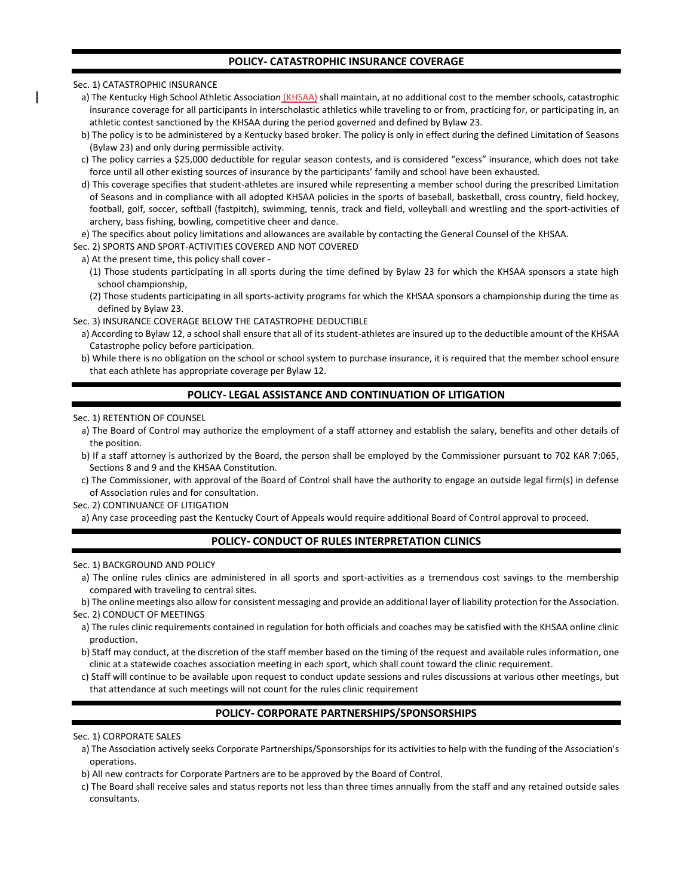## **POLICY- CATASTROPHIC INSURANCE COVERAGE**

Sec. 1) CATASTROPHIC INSURANCE

- a) The Kentucky High School Athletic Association (KHSAA) shall maintain, at no additional cost to the member schools, catastrophic insurance coverage for all participants in interscholastic athletics while traveling to or from, practicing for, or participating in, an athletic contest sanctioned by the KHSAA during the period governed and defined by Bylaw 23.
- b) The policy is to be administered by a Kentucky based broker. The policy is only in effect during the defined Limitation of Seasons (Bylaw 23) and only during permissible activity.
- c) The policy carries a \$25,000 deductible for regular season contests, and is considered "excess" insurance, which does not take force until all other existing sources of insurance by the participants' family and school have been exhausted.
- d) This coverage specifies that student-athletes are insured while representing a member school during the prescribed Limitation of Seasons and in compliance with all adopted KHSAA policies in the sports of baseball, basketball, cross country, field hockey, football, golf, soccer, softball (fastpitch), swimming, tennis, track and field, volleyball and wrestling and the sport-activities of archery, bass fishing, bowling, competitive cheer and dance.
- e) The specifics about policy limitations and allowances are available by contacting the General Counsel of the KHSAA.

Sec. 2) SPORTS AND SPORT-ACTIVITIES COVERED AND NOT COVERED

- a) At the present time, this policy shall cover -
- (1) Those students participating in all sports during the time defined by Bylaw 23 for which the KHSAA sponsors a state high school championship,
- (2) Those students participating in all sports-activity programs for which the KHSAA sponsors a championship during the time as defined by Bylaw 23.

Sec. 3) INSURANCE COVERAGE BELOW THE CATASTROPHE DEDUCTIBLE

- a) According to Bylaw 12, a school shall ensure that all of its student-athletes are insured up to the deductible amount of the KHSAA Catastrophe policy before participation.
- b) While there is no obligation on the school or school system to purchase insurance, it is required that the member school ensure that each athlete has appropriate coverage per Bylaw 12.

# **POLICY- LEGAL ASSISTANCE AND CONTINUATION OF LITIGATION**

### Sec. 1) RETENTION OF COUNSEL

- a) The Board of Control may authorize the employment of a staff attorney and establish the salary, benefits and other details of the position.
- b) If a staff attorney is authorized by the Board, the person shall be employed by the Commissioner pursuant to 702 KAR 7:065, Sections 8 and 9 and the KHSAA Constitution.
- c) The Commissioner, with approval of the Board of Control shall have the authority to engage an outside legal firm(s) in defense of Association rules and for consultation.

Sec. 2) CONTINUANCE OF LITIGATION

a) Any case proceeding past the Kentucky Court of Appeals would require additional Board of Control approval to proceed.

# **POLICY- CONDUCT OF RULES INTERPRETATION CLINICS**

### Sec. 1) BACKGROUND AND POLICY

- a) The online rules clinics are administered in all sports and sport-activities as a tremendous cost savings to the membership compared with traveling to central sites.
- b) The online meetings also allow for consistent messaging and provide an additional layer of liability protection for the Association. Sec. 2) CONDUCT OF MEETINGS
- a) The rules clinic requirements contained in regulation for both officials and coaches may be satisfied with the KHSAA online clinic production.
- b) Staff may conduct, at the discretion of the staff member based on the timing of the request and available rules information, one clinic at a statewide coaches association meeting in each sport, which shall count toward the clinic requirement.
- c) Staff will continue to be available upon request to conduct update sessions and rules discussions at various other meetings, but that attendance at such meetings will not count for the rules clinic requirement

# **POLICY- CORPORATE PARTNERSHIPS/SPONSORSHIPS**

Sec. 1) CORPORATE SALES

- a) The Association actively seeks Corporate Partnerships/Sponsorships for its activities to help with the funding of the Association's operations.
- b) All new contracts for Corporate Partners are to be approved by the Board of Control.
- c) The Board shall receive sales and status reports not less than three times annually from the staff and any retained outside sales consultants.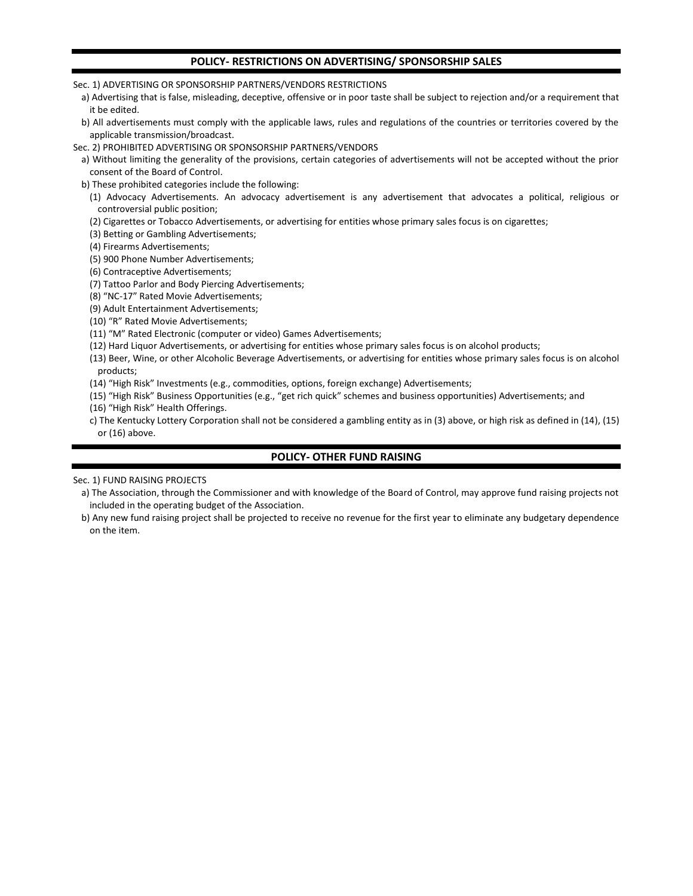## **POLICY- RESTRICTIONS ON ADVERTISING/ SPONSORSHIP SALES**

Sec. 1) ADVERTISING OR SPONSORSHIP PARTNERS/VENDORS RESTRICTIONS

a) Advertising that is false, misleading, deceptive, offensive or in poor taste shall be subject to rejection and/or a requirement that it be edited.

b) All advertisements must comply with the applicable laws, rules and regulations of the countries or territories covered by the applicable transmission/broadcast.

Sec. 2) PROHIBITED ADVERTISING OR SPONSORSHIP PARTNERS/VENDORS

a) Without limiting the generality of the provisions, certain categories of advertisements will not be accepted without the prior consent of the Board of Control.

b) These prohibited categories include the following:

(1) Advocacy Advertisements. An advocacy advertisement is any advertisement that advocates a political, religious or controversial public position;

(2) Cigarettes or Tobacco Advertisements, or advertising for entities whose primary sales focus is on cigarettes;

(3) Betting or Gambling Advertisements;

(4) Firearms Advertisements;

(5) 900 Phone Number Advertisements;

(6) Contraceptive Advertisements;

(7) Tattoo Parlor and Body Piercing Advertisements;

(8) "NC-17" Rated Movie Advertisements;

(9) Adult Entertainment Advertisements;

(10) "R" Rated Movie Advertisements;

(11) "M" Rated Electronic (computer or video) Games Advertisements;

(12) Hard Liquor Advertisements, or advertising for entities whose primary sales focus is on alcohol products;

(13) Beer, Wine, or other Alcoholic Beverage Advertisements, or advertising for entities whose primary sales focus is on alcohol products;

(14) "High Risk" Investments (e.g., commodities, options, foreign exchange) Advertisements;

(15) "High Risk" Business Opportunities (e.g., "get rich quick" schemes and business opportunities) Advertisements; and

(16) "High Risk" Health Offerings.

c) The Kentucky Lottery Corporation shall not be considered a gambling entity as in (3) above, or high risk as defined in (14), (15) or (16) above.

# **POLICY- OTHER FUND RAISING**

Sec. 1) FUND RAISING PROJECTS

a) The Association, through the Commissioner and with knowledge of the Board of Control, may approve fund raising projects not included in the operating budget of the Association.

b) Any new fund raising project shall be projected to receive no revenue for the first year to eliminate any budgetary dependence on the item.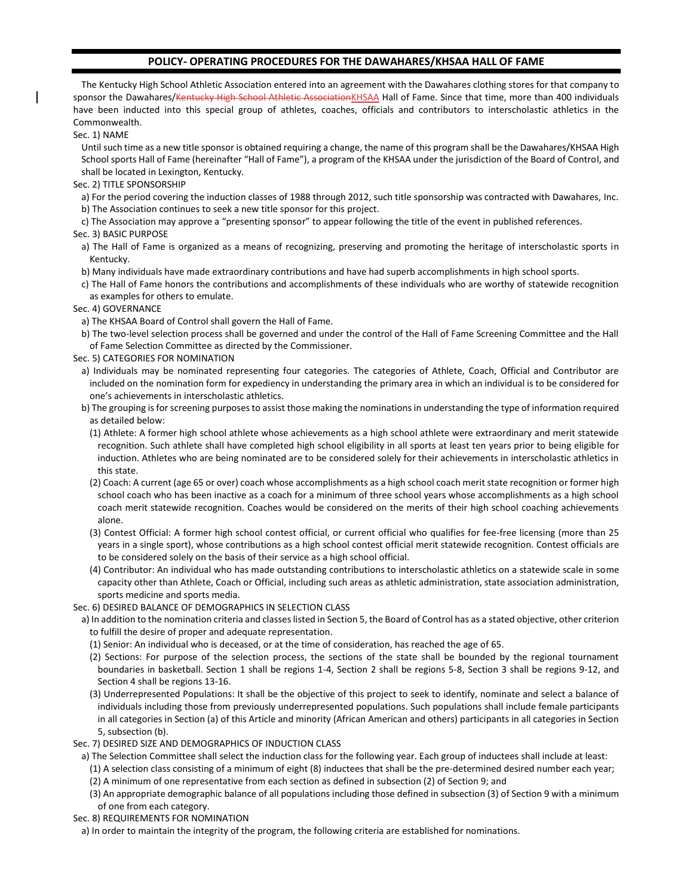## **POLICY- OPERATING PROCEDURES FOR THE DAWAHARES/KHSAA HALL OF FAME**

The Kentucky High School Athletic Association entered into an agreement with the Dawahares clothing stores for that company to sponsor the Dawahares/<del>Kentucky High School Athletic Association</del>KHSAA Hall of Fame. Since that time, more than 400 individuals have been inducted into this special group of athletes, coaches, officials and contributors to interscholastic athletics in the Commonwealth.

Sec. 1) NAME

Until such time as a new title sponsor is obtained requiring a change, the name of this program shall be the Dawahares/KHSAA High School sports Hall of Fame (hereinafter "Hall of Fame"), a program of the KHSAA under the jurisdiction of the Board of Control, and shall be located in Lexington, Kentucky.

Sec. 2) TITLE SPONSORSHIP

a) For the period covering the induction classes of 1988 through 2012, such title sponsorship was contracted with Dawahares, Inc.

b) The Association continues to seek a new title sponsor for this project.

c) The Association may approve a "presenting sponsor" to appear following the title of the event in published references.

Sec. 3) BASIC PURPOSE

- a) The Hall of Fame is organized as a means of recognizing, preserving and promoting the heritage of interscholastic sports in Kentucky.
- b) Many individuals have made extraordinary contributions and have had superb accomplishments in high school sports.
- c) The Hall of Fame honors the contributions and accomplishments of these individuals who are worthy of statewide recognition as examples for others to emulate.
- Sec. 4) GOVERNANCE
	- a) The KHSAA Board of Control shall govern the Hall of Fame.
	- b) The two-level selection process shall be governed and under the control of the Hall of Fame Screening Committee and the Hall of Fame Selection Committee as directed by the Commissioner.
- Sec. 5) CATEGORIES FOR NOMINATION
	- a) Individuals may be nominated representing four categories. The categories of Athlete, Coach, Official and Contributor are included on the nomination form for expediency in understanding the primary area in which an individual is to be considered for one's achievements in interscholastic athletics.

b) The grouping is for screening purposes to assist those making the nominations in understanding the type of information required as detailed below:

- (1) Athlete: A former high school athlete whose achievements as a high school athlete were extraordinary and merit statewide recognition. Such athlete shall have completed high school eligibility in all sports at least ten years prior to being eligible for induction. Athletes who are being nominated are to be considered solely for their achievements in interscholastic athletics in this state.
- (2) Coach: A current (age 65 or over) coach whose accomplishments as a high school coach merit state recognition or former high school coach who has been inactive as a coach for a minimum of three school years whose accomplishments as a high school coach merit statewide recognition. Coaches would be considered on the merits of their high school coaching achievements alone.
- (3) Contest Official: A former high school contest official, or current official who qualifies for fee-free licensing (more than 25 years in a single sport), whose contributions as a high school contest official merit statewide recognition. Contest officials are to be considered solely on the basis of their service as a high school official.
- (4) Contributor: An individual who has made outstanding contributions to interscholastic athletics on a statewide scale in some capacity other than Athlete, Coach or Official, including such areas as athletic administration, state association administration, sports medicine and sports media.

Sec. 6) DESIRED BALANCE OF DEMOGRAPHICS IN SELECTION CLASS

- a) In addition to the nomination criteria and classes listed in Section 5, the Board of Control has as a stated objective, other criterion to fulfill the desire of proper and adequate representation.
	- (1) Senior: An individual who is deceased, or at the time of consideration, has reached the age of 65.
	- (2) Sections: For purpose of the selection process, the sections of the state shall be bounded by the regional tournament boundaries in basketball. Section 1 shall be regions 1-4, Section 2 shall be regions 5-8, Section 3 shall be regions 9-12, and Section 4 shall be regions 13-16.
	- (3) Underrepresented Populations: It shall be the objective of this project to seek to identify, nominate and select a balance of individuals including those from previously underrepresented populations. Such populations shall include female participants in all categories in Section (a) of this Article and minority (African American and others) participants in all categories in Section 5, subsection (b).

Sec. 7) DESIRED SIZE AND DEMOGRAPHICS OF INDUCTION CLASS

- a) The Selection Committee shall select the induction class for the following year. Each group of inductees shall include at least:
	- (1) A selection class consisting of a minimum of eight (8) inductees that shall be the pre-determined desired number each year;
	- (2) A minimum of one representative from each section as defined in subsection (2) of Section 9; and
	- (3) An appropriate demographic balance of all populations including those defined in subsection (3) of Section 9 with a minimum of one from each category.

Sec. 8) REQUIREMENTS FOR NOMINATION

a) In order to maintain the integrity of the program, the following criteria are established for nominations.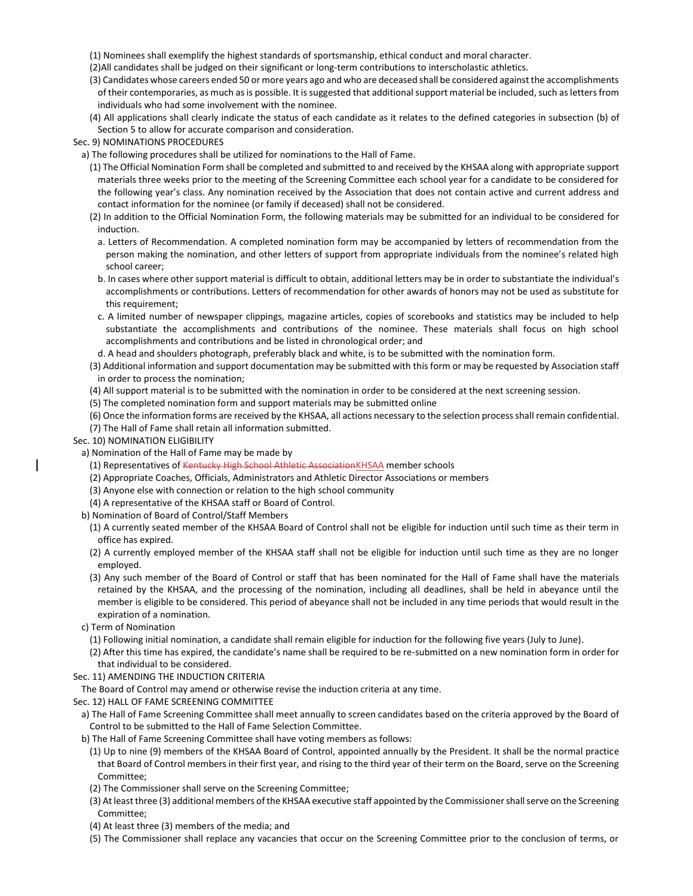- (1) Nominees shall exemplify the highest standards of sportsmanship, ethical conduct and moral character.
- (2)All candidates shall be judged on their significant or long-term contributions to interscholastic athletics.
- (3) Candidates whose careers ended 50 or more years ago and who are deceased shall be considered against the accomplishments of their contemporaries, as much as is possible. It is suggested that additional support material be included, such as letters from individuals who had some involvement with the nominee.
- (4) All applications shall clearly indicate the status of each candidate as it relates to the defined categories in subsection (b) of Section 5 to allow for accurate comparison and consideration.

Sec. 9) NOMINATIONS PROCEDURES

a) The following procedures shall be utilized for nominations to the Hall of Fame.

- (1) The Official Nomination Form shall be completed and submitted to and received by the KHSAA along with appropriate support materials three weeks prior to the meeting of the Screening Committee each school year for a candidate to be considered for the following year's class. Any nomination received by the Association that does not contain active and current address and contact information for the nominee (or family if deceased) shall not be considered.
- (2) In addition to the Official Nomination Form, the following materials may be submitted for an individual to be considered for induction.
- a. Letters of Recommendation. A completed nomination form may be accompanied by letters of recommendation from the person making the nomination, and other letters of support from appropriate individuals from the nominee's related high school career;
- b. In cases where other support material is difficult to obtain, additional letters may be in order to substantiate the individual's accomplishments or contributions. Letters of recommendation for other awards of honors may not be used as substitute for this requirement;
- c. A limited number of newspaper clippings, magazine articles, copies of scorebooks and statistics may be included to help substantiate the accomplishments and contributions of the nominee. These materials shall focus on high school accomplishments and contributions and be listed in chronological order; and
- d. A head and shoulders photograph, preferably black and white, is to be submitted with the nomination form.
- (3) Additional information and support documentation may be submitted with this form or may be requested by Association staff in order to process the nomination;
- (4) All support material is to be submitted with the nomination in order to be considered at the next screening session.
- (5) The completed nomination form and support materials may be submitted online
- (6) Once the information forms are received by the KHSAA, all actions necessary to the selection process shall remain confidential.
- (7) The Hall of Fame shall retain all information submitted.

Sec. 10) NOMINATION ELIGIBILITY

- a) Nomination of the Hall of Fame may be made by
	- (1) Representatives of Kentucky High School Athletic AssociationKHSAA member schools
	- (2) Appropriate Coaches, Officials, Administrators and Athletic Director Associations or members
	- (3) Anyone else with connection or relation to the high school community
	- (4) A representative of the KHSAA staff or Board of Control.
- b) Nomination of Board of Control/Staff Members
	- (1) A currently seated member of the KHSAA Board of Control shall not be eligible for induction until such time as their term in office has expired.
	- (2) A currently employed member of the KHSAA staff shall not be eligible for induction until such time as they are no longer employed.
	- (3) Any such member of the Board of Control or staff that has been nominated for the Hall of Fame shall have the materials retained by the KHSAA, and the processing of the nomination, including all deadlines, shall be held in abeyance until the member is eligible to be considered. This period of abeyance shall not be included in any time periods that would result in the expiration of a nomination.
- c) Term of Nomination
	- (1) Following initial nomination, a candidate shall remain eligible for induction for the following five years (July to June).
	- (2) After this time has expired, the candidate's name shall be required to be re-submitted on a new nomination form in order for that individual to be considered.
- Sec. 11) AMENDING THE INDUCTION CRITERIA
- The Board of Control may amend or otherwise revise the induction criteria at any time.
- Sec. 12) HALL OF FAME SCREENING COMMITTEE
	- a) The Hall of Fame Screening Committee shall meet annually to screen candidates based on the criteria approved by the Board of Control to be submitted to the Hall of Fame Selection Committee.
	- b) The Hall of Fame Screening Committee shall have voting members as follows:
		- (1) Up to nine (9) members of the KHSAA Board of Control, appointed annually by the President. It shall be the normal practice that Board of Control members in their first year, and rising to the third year of their term on the Board, serve on the Screening Committee;
		- (2) The Commissioner shall serve on the Screening Committee;
		- (3) At least three (3) additional members of the KHSAA executive staff appointed by the Commissioner shall serve on the Screening Committee;
		- (4) At least three (3) members of the media; and
		- (5) The Commissioner shall replace any vacancies that occur on the Screening Committee prior to the conclusion of terms, or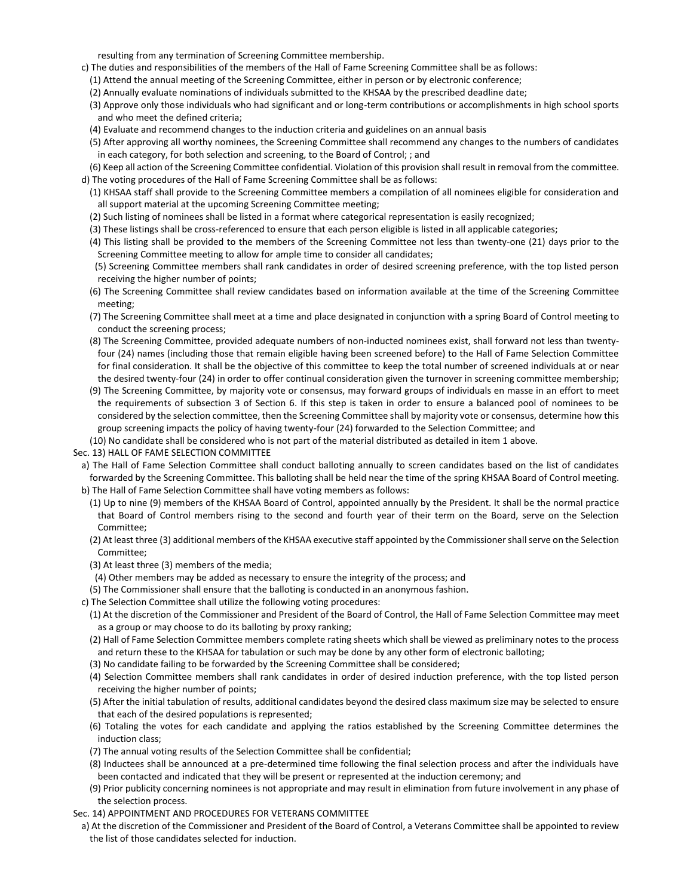resulting from any termination of Screening Committee membership.

- c) The duties and responsibilities of the members of the Hall of Fame Screening Committee shall be as follows:
	- (1) Attend the annual meeting of the Screening Committee, either in person or by electronic conference;
	- (2) Annually evaluate nominations of individuals submitted to the KHSAA by the prescribed deadline date;
	- (3) Approve only those individuals who had significant and or long-term contributions or accomplishments in high school sports and who meet the defined criteria;
	- (4) Evaluate and recommend changes to the induction criteria and guidelines on an annual basis
	- (5) After approving all worthy nominees, the Screening Committee shall recommend any changes to the numbers of candidates in each category, for both selection and screening, to the Board of Control; ; and

(6) Keep all action of the Screening Committee confidential. Violation of this provision shall result in removal from the committee. d) The voting procedures of the Hall of Fame Screening Committee shall be as follows:

- (1) KHSAA staff shall provide to the Screening Committee members a compilation of all nominees eligible for consideration and all support material at the upcoming Screening Committee meeting;
- (2) Such listing of nominees shall be listed in a format where categorical representation is easily recognized;
- (3) These listings shall be cross-referenced to ensure that each person eligible is listed in all applicable categories;
- (4) This listing shall be provided to the members of the Screening Committee not less than twenty-one (21) days prior to the Screening Committee meeting to allow for ample time to consider all candidates;
- (5) Screening Committee members shall rank candidates in order of desired screening preference, with the top listed person receiving the higher number of points;
- (6) The Screening Committee shall review candidates based on information available at the time of the Screening Committee meeting;
- (7) The Screening Committee shall meet at a time and place designated in conjunction with a spring Board of Control meeting to conduct the screening process;
- (8) The Screening Committee, provided adequate numbers of non-inducted nominees exist, shall forward not less than twentyfour (24) names (including those that remain eligible having been screened before) to the Hall of Fame Selection Committee for final consideration. It shall be the objective of this committee to keep the total number of screened individuals at or near the desired twenty-four (24) in order to offer continual consideration given the turnover in screening committee membership;
- (9) The Screening Committee, by majority vote or consensus, may forward groups of individuals en masse in an effort to meet the requirements of subsection 3 of Section 6. If this step is taken in order to ensure a balanced pool of nominees to be considered by the selection committee, then the Screening Committee shall by majority vote or consensus, determine how this group screening impacts the policy of having twenty-four (24) forwarded to the Selection Committee; and
- (10) No candidate shall be considered who is not part of the material distributed as detailed in item 1 above.
- Sec. 13) HALL OF FAME SELECTION COMMITTEE
- a) The Hall of Fame Selection Committee shall conduct balloting annually to screen candidates based on the list of candidates forwarded by the Screening Committee. This balloting shall be held near the time of the spring KHSAA Board of Control meeting. b) The Hall of Fame Selection Committee shall have voting members as follows:
	- (1) Up to nine (9) members of the KHSAA Board of Control, appointed annually by the President. It shall be the normal practice that Board of Control members rising to the second and fourth year of their term on the Board, serve on the Selection Committee;
	- (2) At least three (3) additional members of the KHSAA executive staff appointed by the Commissioner shall serve on the Selection Committee;
	- (3) At least three (3) members of the media;
	- (4) Other members may be added as necessary to ensure the integrity of the process; and
	- (5) The Commissioner shall ensure that the balloting is conducted in an anonymous fashion.
- c) The Selection Committee shall utilize the following voting procedures:
	- (1) At the discretion of the Commissioner and President of the Board of Control, the Hall of Fame Selection Committee may meet as a group or may choose to do its balloting by proxy ranking;
	- (2) Hall of Fame Selection Committee members complete rating sheets which shall be viewed as preliminary notes to the process and return these to the KHSAA for tabulation or such may be done by any other form of electronic balloting;
	- (3) No candidate failing to be forwarded by the Screening Committee shall be considered;
	- (4) Selection Committee members shall rank candidates in order of desired induction preference, with the top listed person receiving the higher number of points;
	- (5) After the initial tabulation of results, additional candidates beyond the desired class maximum size may be selected to ensure that each of the desired populations is represented;
	- (6) Totaling the votes for each candidate and applying the ratios established by the Screening Committee determines the induction class;
	- (7) The annual voting results of the Selection Committee shall be confidential;
	- (8) Inductees shall be announced at a pre-determined time following the final selection process and after the individuals have been contacted and indicated that they will be present or represented at the induction ceremony; and
	- (9) Prior publicity concerning nominees is not appropriate and may result in elimination from future involvement in any phase of the selection process.
- Sec. 14) APPOINTMENT AND PROCEDURES FOR VETERANS COMMITTEE
	- a) At the discretion of the Commissioner and President of the Board of Control, a Veterans Committee shall be appointed to review the list of those candidates selected for induction.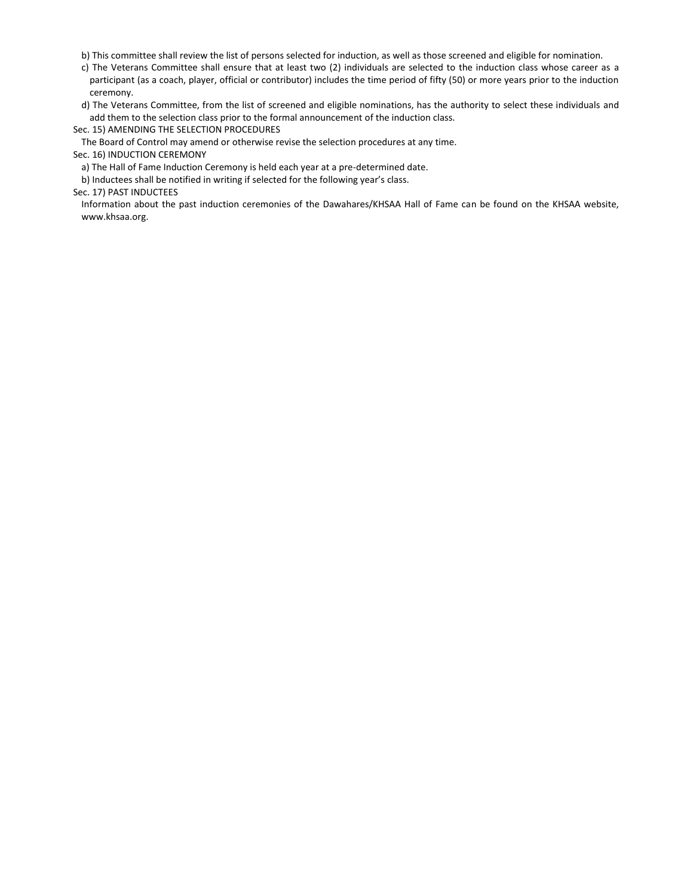b) This committee shall review the list of persons selected for induction, as well as those screened and eligible for nomination.

c) The Veterans Committee shall ensure that at least two (2) individuals are selected to the induction class whose career as a participant (as a coach, player, official or contributor) includes the time period of fifty (50) or more years prior to the induction ceremony.

d) The Veterans Committee, from the list of screened and eligible nominations, has the authority to select these individuals and add them to the selection class prior to the formal announcement of the induction class.

Sec. 15) AMENDING THE SELECTION PROCEDURES

The Board of Control may amend or otherwise revise the selection procedures at any time.

Sec. 16) INDUCTION CEREMONY

a) The Hall of Fame Induction Ceremony is held each year at a pre-determined date.

b) Inductees shall be notified in writing if selected for the following year's class.

Sec. 17) PAST INDUCTEES

Information about the past induction ceremonies of the Dawahares/KHSAA Hall of Fame can be found on the KHSAA website, www.khsaa.org.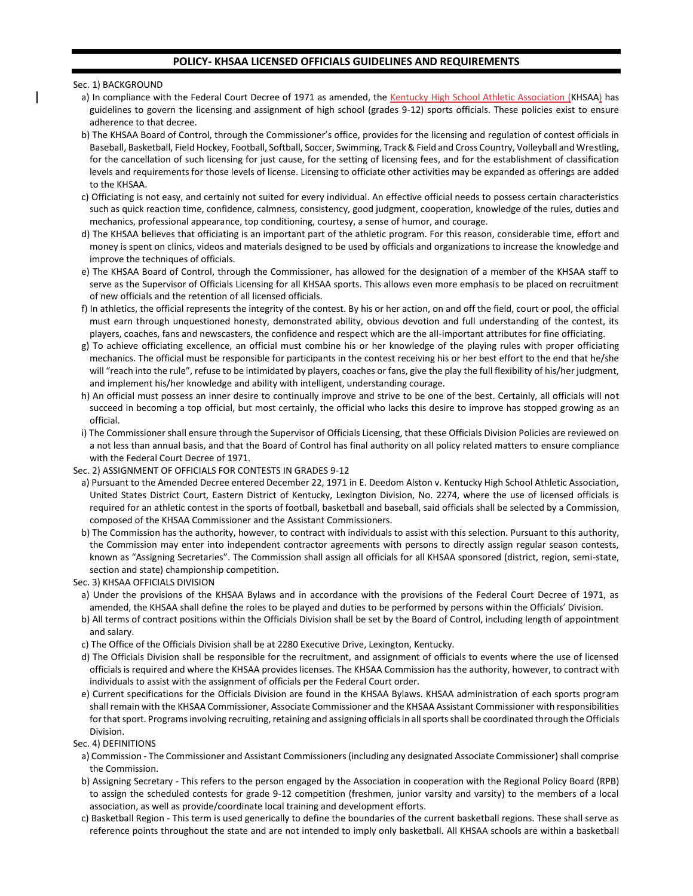## **POLICY- KHSAA LICENSED OFFICIALS GUIDELINES AND REQUIREMENTS**

#### Sec. 1) BACKGROUND

- a) In compliance with the Federal Court Decree of 1971 as amended, the Kentucky High School Athletic Association (KHSAA) has guidelines to govern the licensing and assignment of high school (grades 9-12) sports officials. These policies exist to ensure adherence to that decree.
- b) The KHSAA Board of Control, through the Commissioner's office, provides for the licensing and regulation of contest officials in Baseball, Basketball, Field Hockey, Football, Softball, Soccer, Swimming, Track & Field and Cross Country, Volleyball and Wrestling, for the cancellation of such licensing for just cause, for the setting of licensing fees, and for the establishment of classification levels and requirements for those levels of license. Licensing to officiate other activities may be expanded as offerings are added to the KHSAA.
- c) Officiating is not easy, and certainly not suited for every individual. An effective official needs to possess certain characteristics such as quick reaction time, confidence, calmness, consistency, good judgment, cooperation, knowledge of the rules, duties and mechanics, professional appearance, top conditioning, courtesy, a sense of humor, and courage.
- d) The KHSAA believes that officiating is an important part of the athletic program. For this reason, considerable time, effort and money is spent on clinics, videos and materials designed to be used by officials and organizations to increase the knowledge and improve the techniques of officials.
- e) The KHSAA Board of Control, through the Commissioner, has allowed for the designation of a member of the KHSAA staff to serve as the Supervisor of Officials Licensing for all KHSAA sports. This allows even more emphasis to be placed on recruitment of new officials and the retention of all licensed officials.
- f) In athletics, the official represents the integrity of the contest. By his or her action, on and off the field, court or pool, the official must earn through unquestioned honesty, demonstrated ability, obvious devotion and full understanding of the contest, its players, coaches, fans and newscasters, the confidence and respect which are the all-important attributes for fine officiating.
- g) To achieve officiating excellence, an official must combine his or her knowledge of the playing rules with proper officiating mechanics. The official must be responsible for participants in the contest receiving his or her best effort to the end that he/she will "reach into the rule", refuse to be intimidated by players, coaches or fans, give the play the full flexibility of his/her judgment, and implement his/her knowledge and ability with intelligent, understanding courage.
- h) An official must possess an inner desire to continually improve and strive to be one of the best. Certainly, all officials will not succeed in becoming a top official, but most certainly, the official who lacks this desire to improve has stopped growing as an official.
- i) The Commissioner shall ensure through the Supervisor of Officials Licensing, that these Officials Division Policies are reviewed on a not less than annual basis, and that the Board of Control has final authority on all policy related matters to ensure compliance with the Federal Court Decree of 1971.

## Sec. 2) ASSIGNMENT OF OFFICIALS FOR CONTESTS IN GRADES 9-12

- a) Pursuant to the Amended Decree entered December 22, 1971 in E. Deedom Alston v. Kentucky High School Athletic Association, United States District Court, Eastern District of Kentucky, Lexington Division, No. 2274, where the use of licensed officials is required for an athletic contest in the sports of football, basketball and baseball, said officials shall be selected by a Commission, composed of the KHSAA Commissioner and the Assistant Commissioners.
- b) The Commission has the authority, however, to contract with individuals to assist with this selection. Pursuant to this authority, the Commission may enter into independent contractor agreements with persons to directly assign regular season contests, known as "Assigning Secretaries". The Commission shall assign all officials for all KHSAA sponsored (district, region, semi-state, section and state) championship competition.

### Sec. 3) KHSAA OFFICIALS DIVISION

- a) Under the provisions of the KHSAA Bylaws and in accordance with the provisions of the Federal Court Decree of 1971, as amended, the KHSAA shall define the roles to be played and duties to be performed by persons within the Officials' Division.
- b) All terms of contract positions within the Officials Division shall be set by the Board of Control, including length of appointment and salary.
- c) The Office of the Officials Division shall be at 2280 Executive Drive, Lexington, Kentucky.
- d) The Officials Division shall be responsible for the recruitment, and assignment of officials to events where the use of licensed officials is required and where the KHSAA provides licenses. The KHSAA Commission has the authority, however, to contract with individuals to assist with the assignment of officials per the Federal Court order.
- e) Current specifications for the Officials Division are found in the KHSAA Bylaws. KHSAA administration of each sports program shall remain with the KHSAA Commissioner, Associate Commissioner and the KHSAA Assistant Commissioner with responsibilities for that sport. Programs involving recruiting, retaining and assigning officials in all sports shall be coordinated through the Officials Division.

### Sec. 4) DEFINITIONS

- a) Commission The Commissioner and Assistant Commissioners (including any designated Associate Commissioner) shall comprise the Commission.
- b) Assigning Secretary This refers to the person engaged by the Association in cooperation with the Regional Policy Board (RPB) to assign the scheduled contests for grade 9-12 competition (freshmen, junior varsity and varsity) to the members of a local association, as well as provide/coordinate local training and development efforts.
- c) Basketball Region This term is used generically to define the boundaries of the current basketball regions. These shall serve as reference points throughout the state and are not intended to imply only basketball. All KHSAA schools are within a basketball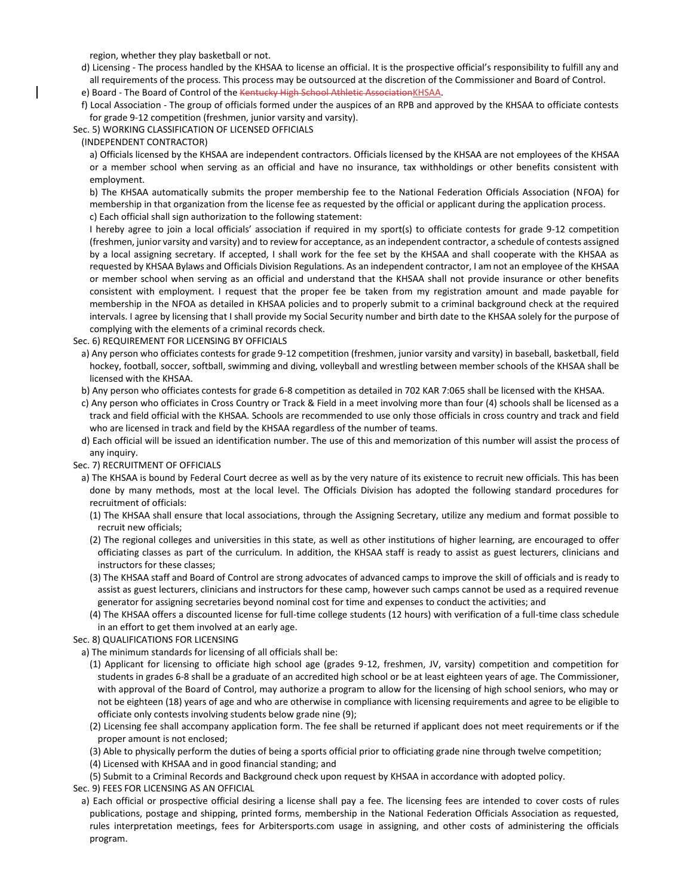region, whether they play basketball or not.

d) Licensing - The process handled by the KHSAA to license an official. It is the prospective official's responsibility to fulfill any and all requirements of the process. This process may be outsourced at the discretion of the Commissioner and Board of Control.

e) Board - The Board of Control of the Kentucky High School Athletic AssociationKHSAA.

f) Local Association - The group of officials formed under the auspices of an RPB and approved by the KHSAA to officiate contests for grade 9-12 competition (freshmen, junior varsity and varsity).

Sec. 5) WORKING CLASSIFICATION OF LICENSED OFFICIALS

(INDEPENDENT CONTRACTOR)

a) Officials licensed by the KHSAA are independent contractors. Officials licensed by the KHSAA are not employees of the KHSAA or a member school when serving as an official and have no insurance, tax withholdings or other benefits consistent with employment.

b) The KHSAA automatically submits the proper membership fee to the National Federation Officials Association (NFOA) for membership in that organization from the license fee as requested by the official or applicant during the application process.

c) Each official shall sign authorization to the following statement:

I hereby agree to join a local officials' association if required in my sport(s) to officiate contests for grade 9-12 competition (freshmen, junior varsity and varsity) and to review for acceptance, as an independent contractor, a schedule of contests assigned by a local assigning secretary. If accepted, I shall work for the fee set by the KHSAA and shall cooperate with the KHSAA as requested by KHSAA Bylaws and Officials Division Regulations. As an independent contractor, I am not an employee of the KHSAA or member school when serving as an official and understand that the KHSAA shall not provide insurance or other benefits consistent with employment. I request that the proper fee be taken from my registration amount and made payable for membership in the NFOA as detailed in KHSAA policies and to properly submit to a criminal background check at the required intervals. I agree by licensing that I shall provide my Social Security number and birth date to the KHSAA solely for the purpose of complying with the elements of a criminal records check.

Sec. 6) REQUIREMENT FOR LICENSING BY OFFICIALS

a) Any person who officiates contests for grade 9-12 competition (freshmen, junior varsity and varsity) in baseball, basketball, field hockey, football, soccer, softball, swimming and diving, volleyball and wrestling between member schools of the KHSAA shall be licensed with the KHSAA.

b) Any person who officiates contests for grade 6-8 competition as detailed in 702 KAR 7:065 shall be licensed with the KHSAA.

- c) Any person who officiates in Cross Country or Track & Field in a meet involving more than four (4) schools shall be licensed as a track and field official with the KHSAA. Schools are recommended to use only those officials in cross country and track and field who are licensed in track and field by the KHSAA regardless of the number of teams.
- d) Each official will be issued an identification number. The use of this and memorization of this number will assist the process of any inquiry.

## Sec. 7) RECRUITMENT OF OFFICIALS

- a) The KHSAA is bound by Federal Court decree as well as by the very nature of its existence to recruit new officials. This has been done by many methods, most at the local level. The Officials Division has adopted the following standard procedures for recruitment of officials:
	- (1) The KHSAA shall ensure that local associations, through the Assigning Secretary, utilize any medium and format possible to recruit new officials;
	- (2) The regional colleges and universities in this state, as well as other institutions of higher learning, are encouraged to offer officiating classes as part of the curriculum. In addition, the KHSAA staff is ready to assist as guest lecturers, clinicians and instructors for these classes;
	- (3) The KHSAA staff and Board of Control are strong advocates of advanced camps to improve the skill of officials and is ready to assist as guest lecturers, clinicians and instructors for these camp, however such camps cannot be used as a required revenue generator for assigning secretaries beyond nominal cost for time and expenses to conduct the activities; and
	- (4) The KHSAA offers a discounted license for full-time college students (12 hours) with verification of a full-time class schedule in an effort to get them involved at an early age.

Sec. 8) QUALIFICATIONS FOR LICENSING

a) The minimum standards for licensing of all officials shall be:

- (1) Applicant for licensing to officiate high school age (grades 9-12, freshmen, JV, varsity) competition and competition for students in grades 6-8 shall be a graduate of an accredited high school or be at least eighteen years of age. The Commissioner, with approval of the Board of Control, may authorize a program to allow for the licensing of high school seniors, who may or not be eighteen (18) years of age and who are otherwise in compliance with licensing requirements and agree to be eligible to officiate only contests involving students below grade nine (9);
- (2) Licensing fee shall accompany application form. The fee shall be returned if applicant does not meet requirements or if the proper amount is not enclosed;
- (3) Able to physically perform the duties of being a sports official prior to officiating grade nine through twelve competition;
- (4) Licensed with KHSAA and in good financial standing; and

(5) Submit to a Criminal Records and Background check upon request by KHSAA in accordance with adopted policy.

Sec. 9) FEES FOR LICENSING AS AN OFFICIAL

a) Each official or prospective official desiring a license shall pay a fee. The licensing fees are intended to cover costs of rules publications, postage and shipping, printed forms, membership in the National Federation Officials Association as requested, rules interpretation meetings, fees for Arbitersports.com usage in assigning, and other costs of administering the officials program.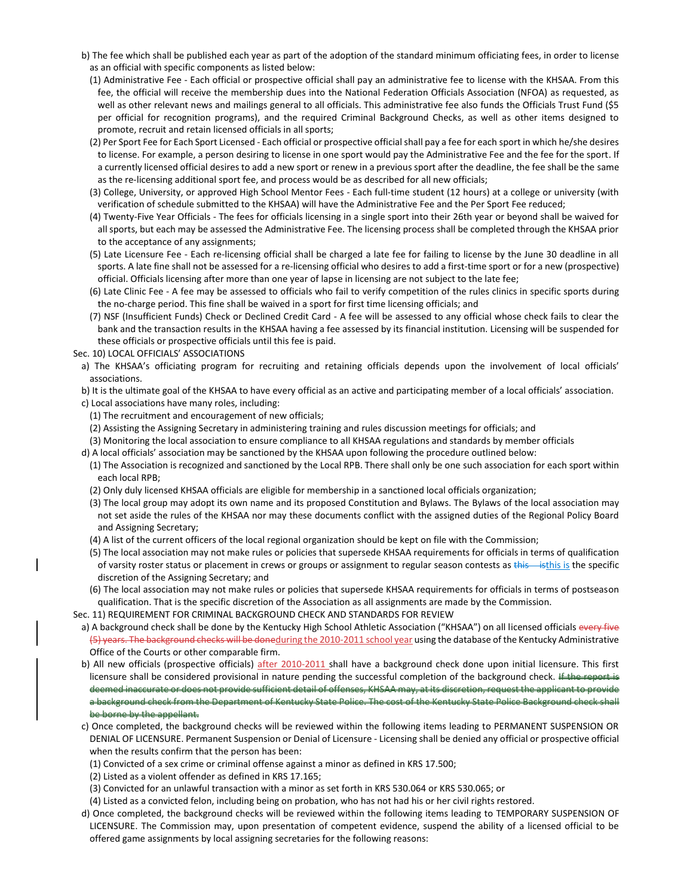- b) The fee which shall be published each year as part of the adoption of the standard minimum officiating fees, in order to license as an official with specific components as listed below:
	- (1) Administrative Fee Each official or prospective official shall pay an administrative fee to license with the KHSAA. From this fee, the official will receive the membership dues into the National Federation Officials Association (NFOA) as requested, as well as other relevant news and mailings general to all officials. This administrative fee also funds the Officials Trust Fund (\$5 per official for recognition programs), and the required Criminal Background Checks, as well as other items designed to promote, recruit and retain licensed officials in all sports;
	- (2) Per Sport Fee for Each Sport Licensed Each official or prospective official shall pay a fee for each sport in which he/she desires to license. For example, a person desiring to license in one sport would pay the Administrative Fee and the fee for the sport. If a currently licensed official desires to add a new sport or renew in a previous sport after the deadline, the fee shall be the same as the re-licensing additional sport fee, and process would be as described for all new officials;
	- (3) College, University, or approved High School Mentor Fees Each full-time student (12 hours) at a college or university (with verification of schedule submitted to the KHSAA) will have the Administrative Fee and the Per Sport Fee reduced;
	- (4) Twenty-Five Year Officials The fees for officials licensing in a single sport into their 26th year or beyond shall be waived for all sports, but each may be assessed the Administrative Fee. The licensing process shall be completed through the KHSAA prior to the acceptance of any assignments;
	- (5) Late Licensure Fee Each re-licensing official shall be charged a late fee for failing to license by the June 30 deadline in all sports. A late fine shall not be assessed for a re-licensing official who desires to add a first-time sport or for a new (prospective) official. Officials licensing after more than one year of lapse in licensing are not subject to the late fee;
	- (6) Late Clinic Fee A fee may be assessed to officials who fail to verify competition of the rules clinics in specific sports during the no-charge period. This fine shall be waived in a sport for first time licensing officials; and
	- (7) NSF (Insufficient Funds) Check or Declined Credit Card A fee will be assessed to any official whose check fails to clear the bank and the transaction results in the KHSAA having a fee assessed by its financial institution. Licensing will be suspended for these officials or prospective officials until this fee is paid.
- Sec. 10) LOCAL OFFICIALS' ASSOCIATIONS
	- a) The KHSAA's officiating program for recruiting and retaining officials depends upon the involvement of local officials' associations.
	- b) It is the ultimate goal of the KHSAA to have every official as an active and participating member of a local officials' association.
	- c) Local associations have many roles, including:
		- (1) The recruitment and encouragement of new officials;
		- (2) Assisting the Assigning Secretary in administering training and rules discussion meetings for officials; and
		- (3) Monitoring the local association to ensure compliance to all KHSAA regulations and standards by member officials
	- d) A local officials' association may be sanctioned by the KHSAA upon following the procedure outlined below:
	- (1) The Association is recognized and sanctioned by the Local RPB. There shall only be one such association for each sport within each local RPB;
	- (2) Only duly licensed KHSAA officials are eligible for membership in a sanctioned local officials organization;
	- (3) The local group may adopt its own name and its proposed Constitution and Bylaws. The Bylaws of the local association may not set aside the rules of the KHSAA nor may these documents conflict with the assigned duties of the Regional Policy Board and Assigning Secretary;
	- (4) A list of the current officers of the local regional organization should be kept on file with the Commission;
	- (5) The local association may not make rules or policies that supersede KHSAA requirements for officials in terms of qualification of varsity roster status or placement in crews or groups or assignment to regular season contests as this is the specific discretion of the Assigning Secretary; and
	- (6) The local association may not make rules or policies that supersede KHSAA requirements for officials in terms of postseason qualification. That is the specific discretion of the Association as all assignments are made by the Commission.
- Sec. 11) REQUIREMENT FOR CRIMINAL BACKGROUND CHECK AND STANDARDS FOR REVIEW
- a) A background check shall be done by the Kentucky High School Athletic Association ("KHSAA") on all licensed officials every five (5) years. The background checks will be doneduring the 2010-2011 school year using the database of the Kentucky Administrative Office of the Courts or other comparable firm.
- b) All new officials (prospective officials) after 2010-2011 shall have a background check done upon initial licensure. This first licensure shall be considered provisional in nature pending the successful completion of the background check. If the report is deemed inaccurate or does not provide sufficient detail of offenses, KHSAA may, at its discretion, request the applicant to provide a background check from the Department of Kentucky State Police. The cost of the Kentucky State Police Background check shall be borne by the appellant.
- c) Once completed, the background checks will be reviewed within the following items leading to PERMANENT SUSPENSION OR DENIAL OF LICENSURE. Permanent Suspension or Denial of Licensure - Licensing shall be denied any official or prospective official when the results confirm that the person has been:
	- (1) Convicted of a sex crime or criminal offense against a minor as defined in KRS 17.500;
	- (2) Listed as a violent offender as defined in KRS 17.165;
	- (3) Convicted for an unlawful transaction with a minor as set forth in KRS 530.064 or KRS 530.065; or
	- (4) Listed as a convicted felon, including being on probation, who has not had his or her civil rights restored.
- d) Once completed, the background checks will be reviewed within the following items leading to TEMPORARY SUSPENSION OF LICENSURE. The Commission may, upon presentation of competent evidence, suspend the ability of a licensed official to be offered game assignments by local assigning secretaries for the following reasons: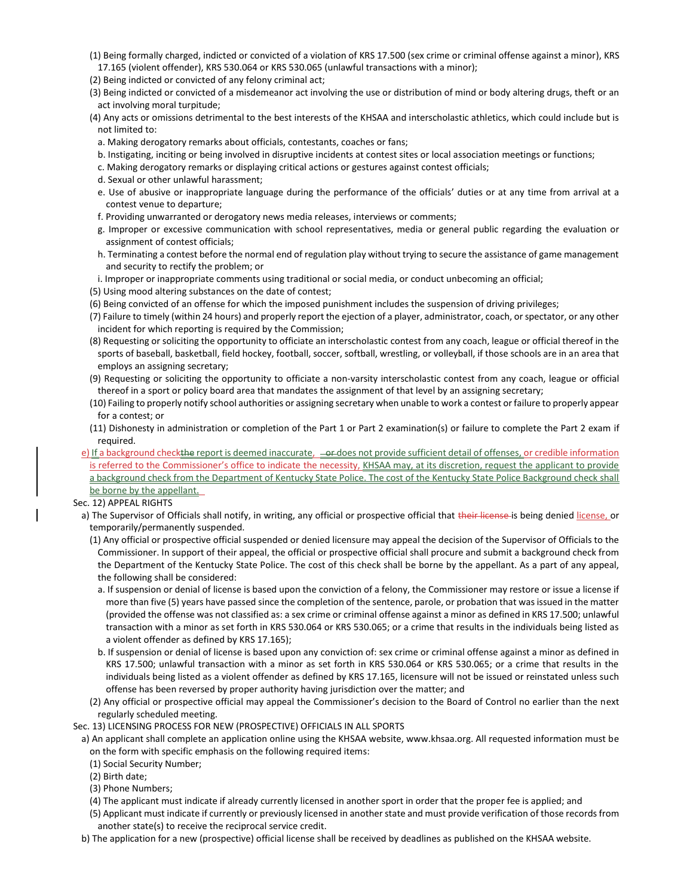- (1) Being formally charged, indicted or convicted of a violation of KRS 17.500 (sex crime or criminal offense against a minor), KRS 17.165 (violent offender), KRS 530.064 or KRS 530.065 (unlawful transactions with a minor);
- (2) Being indicted or convicted of any felony criminal act;
- (3) Being indicted or convicted of a misdemeanor act involving the use or distribution of mind or body altering drugs, theft or an act involving moral turpitude;
- (4) Any acts or omissions detrimental to the best interests of the KHSAA and interscholastic athletics, which could include but is not limited to:
	- a. Making derogatory remarks about officials, contestants, coaches or fans;
	- b. Instigating, inciting or being involved in disruptive incidents at contest sites or local association meetings or functions;
	- c. Making derogatory remarks or displaying critical actions or gestures against contest officials;
	- d. Sexual or other unlawful harassment;
	- e. Use of abusive or inappropriate language during the performance of the officials' duties or at any time from arrival at a contest venue to departure;
	- f. Providing unwarranted or derogatory news media releases, interviews or comments;
	- g. Improper or excessive communication with school representatives, media or general public regarding the evaluation or assignment of contest officials;
	- h. Terminating a contest before the normal end of regulation play without trying to secure the assistance of game management and security to rectify the problem; or
- i. Improper or inappropriate comments using traditional or social media, or conduct unbecoming an official;
- (5) Using mood altering substances on the date of contest;
- (6) Being convicted of an offense for which the imposed punishment includes the suspension of driving privileges;
- (7) Failure to timely (within 24 hours) and properly report the ejection of a player, administrator, coach, or spectator, or any other incident for which reporting is required by the Commission;
- (8) Requesting or soliciting the opportunity to officiate an interscholastic contest from any coach, league or official thereof in the sports of baseball, basketball, field hockey, football, soccer, softball, wrestling, or volleyball, if those schools are in an area that employs an assigning secretary;
- (9) Requesting or soliciting the opportunity to officiate a non-varsity interscholastic contest from any coach, league or official thereof in a sport or policy board area that mandates the assignment of that level by an assigning secretary;
- (10) Failing to properly notify school authorities or assigning secretary when unable to work a contest or failure to properly appear for a contest; or
- (11) Dishonesty in administration or completion of the Part 1 or Part 2 examination(s) or failure to complete the Part 2 exam if required.
- e) If a background checkthe report is deemed inaccurate, entitled soft provide sufficient detail of offenses, or credible information is referred to the Commissioner's office to indicate the necessity, KHSAA may, at its discretion, request the applicant to provide a background check from the Department of Kentucky State Police. The cost of the Kentucky State Police Background check shall be borne by the appellant.
- Sec. 12) APPEAL RIGHTS
	- a) The Supervisor of Officials shall notify, in writing, any official or prospective official that their license is being denied license, or temporarily/permanently suspended.
		- (1) Any official or prospective official suspended or denied licensure may appeal the decision of the Supervisor of Officials to the Commissioner. In support of their appeal, the official or prospective official shall procure and submit a background check from the Department of the Kentucky State Police. The cost of this check shall be borne by the appellant. As a part of any appeal, the following shall be considered:
			- a. If suspension or denial of license is based upon the conviction of a felony, the Commissioner may restore or issue a license if more than five (5) years have passed since the completion of the sentence, parole, or probation that was issued in the matter (provided the offense was not classified as: a sex crime or criminal offense against a minor as defined in KRS 17.500; unlawful transaction with a minor as set forth in KRS 530.064 or KRS 530.065; or a crime that results in the individuals being listed as a violent offender as defined by KRS 17.165);
			- b. If suspension or denial of license is based upon any conviction of: sex crime or criminal offense against a minor as defined in KRS 17.500; unlawful transaction with a minor as set forth in KRS 530.064 or KRS 530.065; or a crime that results in the individuals being listed as a violent offender as defined by KRS 17.165, licensure will not be issued or reinstated unless such offense has been reversed by proper authority having jurisdiction over the matter; and
		- (2) Any official or prospective official may appeal the Commissioner's decision to the Board of Control no earlier than the next regularly scheduled meeting.

Sec. 13) LICENSING PROCESS FOR NEW (PROSPECTIVE) OFFICIALS IN ALL SPORTS

- a) An applicant shall complete an application online using the KHSAA website, www.khsaa.org. All requested information must be on the form with specific emphasis on the following required items:
	- (1) Social Security Number;
- (2) Birth date;
- (3) Phone Numbers;
- (4) The applicant must indicate if already currently licensed in another sport in order that the proper fee is applied; and
- (5) Applicant must indicate if currently or previously licensed in another state and must provide verification of those records from another state(s) to receive the reciprocal service credit.
- b) The application for a new (prospective) official license shall be received by deadlines as published on the KHSAA website.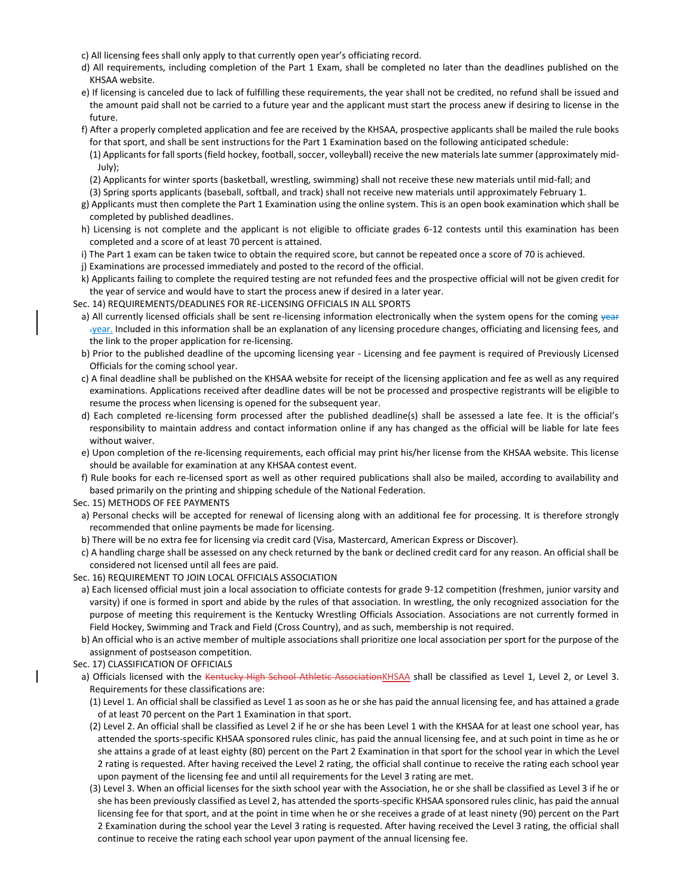- c) All licensing fees shall only apply to that currently open year's officiating record.
- d) All requirements, including completion of the Part 1 Exam, shall be completed no later than the deadlines published on the KHSAA website.
- e) If licensing is canceled due to lack of fulfilling these requirements, the year shall not be credited, no refund shall be issued and the amount paid shall not be carried to a future year and the applicant must start the process anew if desiring to license in the future.
- f) After a properly completed application and fee are received by the KHSAA, prospective applicants shall be mailed the rule books for that sport, and shall be sent instructions for the Part 1 Examination based on the following anticipated schedule:
	- (1) Applicants for fall sports (field hockey, football, soccer, volleyball) receive the new materials late summer (approximately mid-July);
	- (2) Applicants for winter sports (basketball, wrestling, swimming) shall not receive these new materials until mid-fall; and
- (3) Spring sports applicants (baseball, softball, and track) shall not receive new materials until approximately February 1.
- g) Applicants must then complete the Part 1 Examination using the online system. This is an open book examination which shall be completed by published deadlines.
- h) Licensing is not complete and the applicant is not eligible to officiate grades 6-12 contests until this examination has been completed and a score of at least 70 percent is attained.
- i) The Part 1 exam can be taken twice to obtain the required score, but cannot be repeated once a score of 70 is achieved.
- j) Examinations are processed immediately and posted to the record of the official.
- k) Applicants failing to complete the required testing are not refunded fees and the prospective official will not be given credit for the year of service and would have to start the process anew if desired in a later year.
- Sec. 14) REQUIREMENTS/DEADLINES FOR RE-LICENSING OFFICIALS IN ALL SPORTS
- a) All currently licensed officials shall be sent re-licensing information electronically when the system opens for the coming year .year. Included in this information shall be an explanation of any licensing procedure changes, officiating and licensing fees, and the link to the proper application for re-licensing.
- b) Prior to the published deadline of the upcoming licensing year Licensing and fee payment is required of Previously Licensed Officials for the coming school year.
- c) A final deadline shall be published on the KHSAA website for receipt of the licensing application and fee as well as any required examinations. Applications received after deadline dates will be not be processed and prospective registrants will be eligible to resume the process when licensing is opened for the subsequent year.
- d) Each completed re-licensing form processed after the published deadline(s) shall be assessed a late fee. It is the official's responsibility to maintain address and contact information online if any has changed as the official will be liable for late fees without waiver.
- e) Upon completion of the re-licensing requirements, each official may print his/her license from the KHSAA website. This license should be available for examination at any KHSAA contest event.
- f) Rule books for each re-licensed sport as well as other required publications shall also be mailed, according to availability and based primarily on the printing and shipping schedule of the National Federation.
- Sec. 15) METHODS OF FEE PAYMENTS
- a) Personal checks will be accepted for renewal of licensing along with an additional fee for processing. It is therefore strongly recommended that online payments be made for licensing.
- b) There will be no extra fee for licensing via credit card (Visa, Mastercard, American Express or Discover).
- c) A handling charge shall be assessed on any check returned by the bank or declined credit card for any reason. An official shall be considered not licensed until all fees are paid.
- Sec. 16) REQUIREMENT TO JOIN LOCAL OFFICIALS ASSOCIATION
- a) Each licensed official must join a local association to officiate contests for grade 9-12 competition (freshmen, junior varsity and varsity) if one is formed in sport and abide by the rules of that association. In wrestling, the only recognized association for the purpose of meeting this requirement is the Kentucky Wrestling Officials Association. Associations are not currently formed in Field Hockey, Swimming and Track and Field (Cross Country), and as such, membership is not required.
- b) An official who is an active member of multiple associations shall prioritize one local association per sport for the purpose of the assignment of postseason competition.
- Sec. 17) CLASSIFICATION OF OFFICIALS
- a) Officials licensed with the Kentucky High School Athletic AssociationKHSAA shall be classified as Level 1, Level 2, or Level 3. Requirements for these classifications are:
	- (1) Level 1. An official shall be classified as Level 1 as soon as he or she has paid the annual licensing fee, and has attained a grade of at least 70 percent on the Part 1 Examination in that sport.
	- (2) Level 2. An official shall be classified as Level 2 if he or she has been Level 1 with the KHSAA for at least one school year, has attended the sports-specific KHSAA sponsored rules clinic, has paid the annual licensing fee, and at such point in time as he or she attains a grade of at least eighty (80) percent on the Part 2 Examination in that sport for the school year in which the Level 2 rating is requested. After having received the Level 2 rating, the official shall continue to receive the rating each school year upon payment of the licensing fee and until all requirements for the Level 3 rating are met.
	- (3) Level 3. When an official licenses for the sixth school year with the Association, he or she shall be classified as Level 3 if he or she has been previously classified as Level 2, has attended the sports-specific KHSAA sponsored rules clinic, has paid the annual licensing fee for that sport, and at the point in time when he or she receives a grade of at least ninety (90) percent on the Part 2 Examination during the school year the Level 3 rating is requested. After having received the Level 3 rating, the official shall continue to receive the rating each school year upon payment of the annual licensing fee.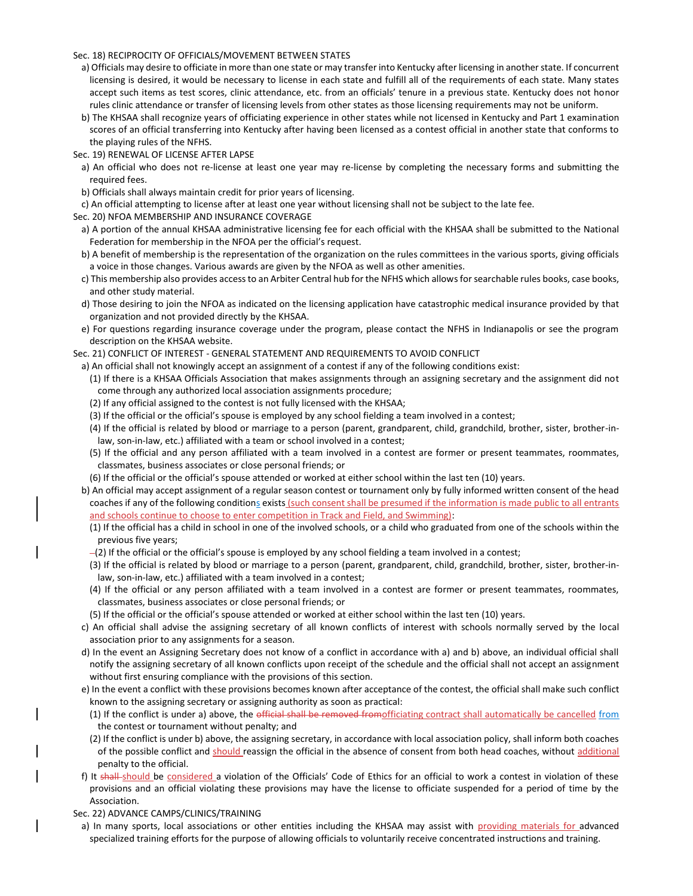#### Sec. 18) RECIPROCITY OF OFFICIALS/MOVEMENT BETWEEN STATES

- a) Officials may desire to officiate in more than one state or may transfer into Kentucky after licensing in another state. If concurrent licensing is desired, it would be necessary to license in each state and fulfill all of the requirements of each state. Many states accept such items as test scores, clinic attendance, etc. from an officials' tenure in a previous state. Kentucky does not honor rules clinic attendance or transfer of licensing levels from other states as those licensing requirements may not be uniform.
- b) The KHSAA shall recognize years of officiating experience in other states while not licensed in Kentucky and Part 1 examination scores of an official transferring into Kentucky after having been licensed as a contest official in another state that conforms to the playing rules of the NFHS.
- Sec. 19) RENEWAL OF LICENSE AFTER LAPSE
	- a) An official who does not re-license at least one year may re-license by completing the necessary forms and submitting the required fees.
	- b) Officials shall always maintain credit for prior years of licensing.
- c) An official attempting to license after at least one year without licensing shall not be subject to the late fee.
- Sec. 20) NFOA MEMBERSHIP AND INSURANCE COVERAGE
- a) A portion of the annual KHSAA administrative licensing fee for each official with the KHSAA shall be submitted to the National Federation for membership in the NFOA per the official's request.
- b) A benefit of membership is the representation of the organization on the rules committees in the various sports, giving officials a voice in those changes. Various awards are given by the NFOA as well as other amenities.
- c) This membership also provides access to an Arbiter Central hub for the NFHS which allows for searchable rules books, case books, and other study material.
- d) Those desiring to join the NFOA as indicated on the licensing application have catastrophic medical insurance provided by that organization and not provided directly by the KHSAA.
- e) For questions regarding insurance coverage under the program, please contact the NFHS in Indianapolis or see the program description on the KHSAA website.
- Sec. 21) CONFLICT OF INTEREST GENERAL STATEMENT AND REQUIREMENTS TO AVOID CONFLICT
- a) An official shall not knowingly accept an assignment of a contest if any of the following conditions exist:
	- (1) If there is a KHSAA Officials Association that makes assignments through an assigning secretary and the assignment did not come through any authorized local association assignments procedure;
	- (2) If any official assigned to the contest is not fully licensed with the KHSAA;
	- (3) If the official or the official's spouse is employed by any school fielding a team involved in a contest;
	- (4) If the official is related by blood or marriage to a person (parent, grandparent, child, grandchild, brother, sister, brother-inlaw, son-in-law, etc.) affiliated with a team or school involved in a contest;
	- (5) If the official and any person affiliated with a team involved in a contest are former or present teammates, roommates, classmates, business associates or close personal friends; or
	- (6) If the official or the official's spouse attended or worked at either school within the last ten (10) years.
- b) An official may accept assignment of a regular season contest or tournament only by fully informed written consent of the head coaches if any of the following conditions exists (such consent shall be presumed if the information is made public to all entrants and schools continue to choose to enter competition in Track and Field, and Swimming):
	- (1) If the official has a child in school in one of the involved schools, or a child who graduated from one of the schools within the previous five years;
	- $-(2)$  If the official or the official's spouse is employed by any school fielding a team involved in a contest;
	- (3) If the official is related by blood or marriage to a person (parent, grandparent, child, grandchild, brother, sister, brother-inlaw, son-in-law, etc.) affiliated with a team involved in a contest;
	- (4) If the official or any person affiliated with a team involved in a contest are former or present teammates, roommates, classmates, business associates or close personal friends; or
	- (5) If the official or the official's spouse attended or worked at either school within the last ten (10) years.
- c) An official shall advise the assigning secretary of all known conflicts of interest with schools normally served by the local association prior to any assignments for a season.
- d) In the event an Assigning Secretary does not know of a conflict in accordance with a) and b) above, an individual official shall notify the assigning secretary of all known conflicts upon receipt of the schedule and the official shall not accept an assignment without first ensuring compliance with the provisions of this section.
- e) In the event a conflict with these provisions becomes known after acceptance of the contest, the official shall make such conflict known to the assigning secretary or assigning authority as soon as practical:
	- (1) If the conflict is under a) above, the official shall be removed fromofficiating contract shall automatically be cancelled from the contest or tournament without penalty; and
- (2) If the conflict is under b) above, the assigning secretary, in accordance with local association policy, shall inform both coaches of the possible conflict and should reassign the official in the absence of consent from both head coaches, without additional penalty to the official.
- f) It shall-should be considered a violation of the Officials' Code of Ethics for an official to work a contest in violation of these provisions and an official violating these provisions may have the license to officiate suspended for a period of time by the Association.
- Sec. 22) ADVANCE CAMPS/CLINICS/TRAINING
	- a) In many sports, local associations or other entities including the KHSAA may assist with providing materials for advanced specialized training efforts for the purpose of allowing officials to voluntarily receive concentrated instructions and training.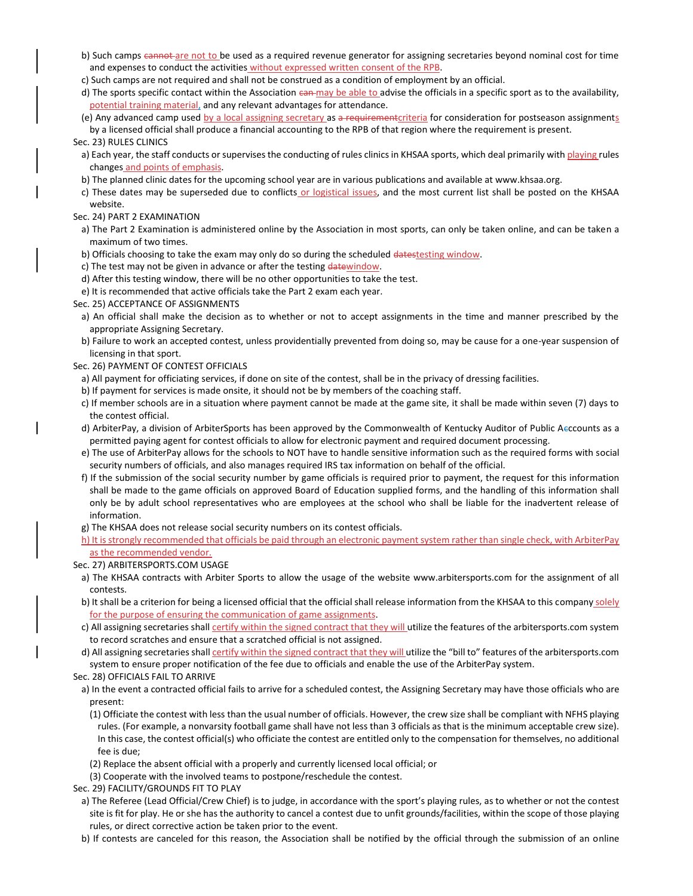- b) Such camps cannot are not to be used as a required revenue generator for assigning secretaries beyond nominal cost for time and expenses to conduct the activities without expressed written consent of the RPB.
- c) Such camps are not required and shall not be construed as a condition of employment by an official.
- d) The sports specific contact within the Association can may be able to advise the officials in a specific sport as to the availability, potential training material, and any relevant advantages for attendance.
- (e) Any advanced camp used by a local assigning secretary as a requirement criteria for consideration for postseason assignments by a licensed official shall produce a financial accounting to the RPB of that region where the requirement is present.

### Sec. 23) RULES CLINICS

- a) Each year, the staff conducts or supervises the conducting of rules clinics in KHSAA sports, which deal primarily with playing rules changes and points of emphasis.
- b) The planned clinic dates for the upcoming school year are in various publications and available at www.khsaa.org.
- c) These dates may be superseded due to conflicts or logistical issues, and the most current list shall be posted on the KHSAA website.

### Sec. 24) PART 2 EXAMINATION

a) The Part 2 Examination is administered online by the Association in most sports, can only be taken online, and can be taken a maximum of two times.

- b) Officials choosing to take the exam may only do so during the scheduled datestesting window.
- c) The test may not be given in advance or after the testing datewindow.
- d) After this testing window, there will be no other opportunities to take the test.
- e) It is recommended that active officials take the Part 2 exam each year.
- Sec. 25) ACCEPTANCE OF ASSIGNMENTS
- a) An official shall make the decision as to whether or not to accept assignments in the time and manner prescribed by the appropriate Assigning Secretary.
- b) Failure to work an accepted contest, unless providentially prevented from doing so, may be cause for a one-year suspension of licensing in that sport.
- Sec. 26) PAYMENT OF CONTEST OFFICIALS
	- a) All payment for officiating services, if done on site of the contest, shall be in the privacy of dressing facilities.
	- b) If payment for services is made onsite, it should not be by members of the coaching staff.
	- c) If member schools are in a situation where payment cannot be made at the game site, it shall be made within seven (7) days to the contest official.
	- d) ArbiterPay, a division of ArbiterSports has been approved by the Commonwealth of Kentucky Auditor of Public Acccounts as a permitted paying agent for contest officials to allow for electronic payment and required document processing.
	- e) The use of ArbiterPay allows for the schools to NOT have to handle sensitive information such as the required forms with social security numbers of officials, and also manages required IRS tax information on behalf of the official.
	- f) If the submission of the social security number by game officials is required prior to payment, the request for this information shall be made to the game officials on approved Board of Education supplied forms, and the handling of this information shall only be by adult school representatives who are employees at the school who shall be liable for the inadvertent release of information.
	- g) The KHSAA does not release social security numbers on its contest officials.
	- h) It is strongly recommended that officials be paid through an electronic payment system rather than single check, with ArbiterPay as the recommended vendor.
- Sec. 27) ARBITERSPORTS.COM USAGE
	- a) The KHSAA contracts with Arbiter Sports to allow the usage of the website www.arbitersports.com for the assignment of all contests.
	- b) It shall be a criterion for being a licensed official that the official shall release information from the KHSAA to this company solely for the purpose of ensuring the communication of game assignments.
	- c) All assigning secretaries shall certify within the signed contract that they will utilize the features of the arbitersports.com system to record scratches and ensure that a scratched official is not assigned.
	- d) All assigning secretaries shall *certify within the signed contract that they will* utilize the "bill to" features of the arbitersports.com system to ensure proper notification of the fee due to officials and enable the use of the ArbiterPay system.
- Sec. 28) OFFICIALS FAIL TO ARRIVE
	- a) In the event a contracted official fails to arrive for a scheduled contest, the Assigning Secretary may have those officials who are present:
	- (1) Officiate the contest with less than the usual number of officials. However, the crew size shall be compliant with NFHS playing rules. (For example, a nonvarsity football game shall have not less than 3 officials as that is the minimum acceptable crew size). In this case, the contest official(s) who officiate the contest are entitled only to the compensation for themselves, no additional fee is due;
	- (2) Replace the absent official with a properly and currently licensed local official; or
	- (3) Cooperate with the involved teams to postpone/reschedule the contest.
- Sec. 29) FACILITY/GROUNDS FIT TO PLAY
	- a) The Referee (Lead Official/Crew Chief) is to judge, in accordance with the sport's playing rules, as to whether or not the contest site is fit for play. He or she has the authority to cancel a contest due to unfit grounds/facilities, within the scope of those playing rules, or direct corrective action be taken prior to the event.
- b) If contests are canceled for this reason, the Association shall be notified by the official through the submission of an online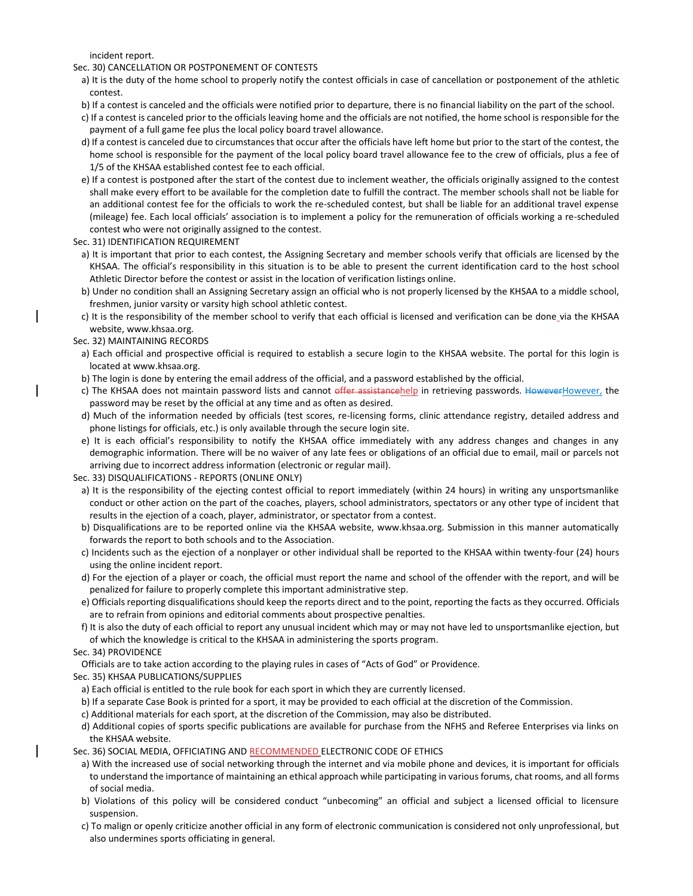incident report.

#### Sec. 30) CANCELLATION OR POSTPONEMENT OF CONTESTS

- a) It is the duty of the home school to properly notify the contest officials in case of cancellation or postponement of the athletic contest.
- b) If a contest is canceled and the officials were notified prior to departure, there is no financial liability on the part of the school.
- c) If a contest is canceled prior to the officials leaving home and the officials are not notified, the home school is responsible for the payment of a full game fee plus the local policy board travel allowance.
- d) If a contest is canceled due to circumstances that occur after the officials have left home but prior to the start of the contest, the home school is responsible for the payment of the local policy board travel allowance fee to the crew of officials, plus a fee of 1/5 of the KHSAA established contest fee to each official.
- e) If a contest is postponed after the start of the contest due to inclement weather, the officials originally assigned to the contest shall make every effort to be available for the completion date to fulfill the contract. The member schools shall not be liable for an additional contest fee for the officials to work the re-scheduled contest, but shall be liable for an additional travel expense (mileage) fee. Each local officials' association is to implement a policy for the remuneration of officials working a re-scheduled contest who were not originally assigned to the contest.
- Sec. 31) IDENTIFICATION REQUIREMENT
	- a) It is important that prior to each contest, the Assigning Secretary and member schools verify that officials are licensed by the KHSAA. The official's responsibility in this situation is to be able to present the current identification card to the host school Athletic Director before the contest or assist in the location of verification listings online.
	- b) Under no condition shall an Assigning Secretary assign an official who is not properly licensed by the KHSAA to a middle school, freshmen, junior varsity or varsity high school athletic contest.
	- c) It is the responsibility of the member school to verify that each official is licensed and verification can be done via the KHSAA website, www.khsaa.org.
- Sec. 32) MAINTAINING RECORDS
- a) Each official and prospective official is required to establish a secure login to the KHSAA website. The portal for this login is located at www.khsaa.org.
- b) The login is done by entering the email address of the official, and a password established by the official.
- c) The KHSAA does not maintain password lists and cannot offer assistancehelp in retrieving passwords. HoweverHowever, the password may be reset by the official at any time and as often as desired.
- d) Much of the information needed by officials (test scores, re-licensing forms, clinic attendance registry, detailed address and phone listings for officials, etc.) is only available through the secure login site.
- e) It is each official's responsibility to notify the KHSAA office immediately with any address changes and changes in any demographic information. There will be no waiver of any late fees or obligations of an official due to email, mail or parcels not arriving due to incorrect address information (electronic or regular mail).

Sec. 33) DISQUALIFICATIONS - REPORTS (ONLINE ONLY)

- a) It is the responsibility of the ejecting contest official to report immediately (within 24 hours) in writing any unsportsmanlike conduct or other action on the part of the coaches, players, school administrators, spectators or any other type of incident that results in the ejection of a coach, player, administrator, or spectator from a contest.
- b) Disqualifications are to be reported online via the KHSAA website, www.khsaa.org. Submission in this manner automatically forwards the report to both schools and to the Association.
- c) Incidents such as the ejection of a nonplayer or other individual shall be reported to the KHSAA within twenty-four (24) hours using the online incident report.
- d) For the ejection of a player or coach, the official must report the name and school of the offender with the report, and will be penalized for failure to properly complete this important administrative step.
- e) Officials reporting disqualifications should keep the reports direct and to the point, reporting the facts as they occurred. Officials are to refrain from opinions and editorial comments about prospective penalties.
- f) It is also the duty of each official to report any unusual incident which may or may not have led to unsportsmanlike ejection, but of which the knowledge is critical to the KHSAA in administering the sports program.

### Sec. 34) PROVIDENCE

- Officials are to take action according to the playing rules in cases of "Acts of God" or Providence.
- Sec. 35) KHSAA PUBLICATIONS/SUPPLIES
- a) Each official is entitled to the rule book for each sport in which they are currently licensed.
- b) If a separate Case Book is printed for a sport, it may be provided to each official at the discretion of the Commission.
- c) Additional materials for each sport, at the discretion of the Commission, may also be distributed.
- d) Additional copies of sports specific publications are available for purchase from the NFHS and Referee Enterprises via links on the KHSAA website.
- Sec. 36) SOCIAL MEDIA, OFFICIATING AND RECOMMENDED ELECTRONIC CODE OF ETHICS
	- a) With the increased use of social networking through the internet and via mobile phone and devices, it is important for officials to understand the importance of maintaining an ethical approach while participating in various forums, chat rooms, and all forms of social media.
	- b) Violations of this policy will be considered conduct "unbecoming" an official and subject a licensed official to licensure suspension.
	- c) To malign or openly criticize another official in any form of electronic communication is considered not only unprofessional, but also undermines sports officiating in general.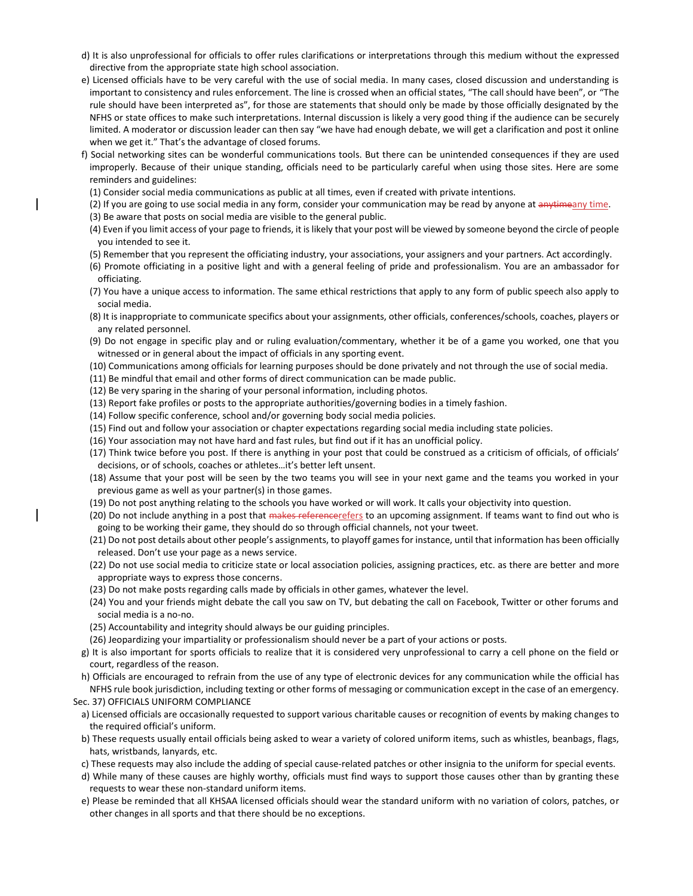- d) It is also unprofessional for officials to offer rules clarifications or interpretations through this medium without the expressed directive from the appropriate state high school association.
- e) Licensed officials have to be very careful with the use of social media. In many cases, closed discussion and understanding is important to consistency and rules enforcement. The line is crossed when an official states, "The call should have been", or "The rule should have been interpreted as", for those are statements that should only be made by those officially designated by the NFHS or state offices to make such interpretations. Internal discussion is likely a very good thing if the audience can be securely limited. A moderator or discussion leader can then say "we have had enough debate, we will get a clarification and post it online when we get it." That's the advantage of closed forums.
- f) Social networking sites can be wonderful communications tools. But there can be unintended consequences if they are used improperly. Because of their unique standing, officials need to be particularly careful when using those sites. Here are some reminders and guidelines:
	- (1) Consider social media communications as public at all times, even if created with private intentions.
	- (2) If you are going to use social media in any form, consider your communication may be read by anyone at anytimeany time.
	- (3) Be aware that posts on social media are visible to the general public.
	- (4) Even if you limit access of your page to friends, it is likely that your post will be viewed by someone beyond the circle of people you intended to see it.
	- (5) Remember that you represent the officiating industry, your associations, your assigners and your partners. Act accordingly.
	- (6) Promote officiating in a positive light and with a general feeling of pride and professionalism. You are an ambassador for officiating.
	- (7) You have a unique access to information. The same ethical restrictions that apply to any form of public speech also apply to social media.
	- (8) It is inappropriate to communicate specifics about your assignments, other officials, conferences/schools, coaches, players or any related personnel.
	- (9) Do not engage in specific play and or ruling evaluation/commentary, whether it be of a game you worked, one that you witnessed or in general about the impact of officials in any sporting event.
	- (10) Communications among officials for learning purposes should be done privately and not through the use of social media.
	- (11) Be mindful that email and other forms of direct communication can be made public.
	- (12) Be very sparing in the sharing of your personal information, including photos.
	- (13) Report fake profiles or posts to the appropriate authorities/governing bodies in a timely fashion.
	- (14) Follow specific conference, school and/or governing body social media policies.
	- (15) Find out and follow your association or chapter expectations regarding social media including state policies.
	- (16) Your association may not have hard and fast rules, but find out if it has an unofficial policy.
	- (17) Think twice before you post. If there is anything in your post that could be construed as a criticism of officials, of officials' decisions, or of schools, coaches or athletes…it's better left unsent.
- (18) Assume that your post will be seen by the two teams you will see in your next game and the teams you worked in your previous game as well as your partner(s) in those games.
- (19) Do not post anything relating to the schools you have worked or will work. It calls your objectivity into question.
- (20) Do not include anything in a post that makes referencerefers to an upcoming assignment. If teams want to find out who is going to be working their game, they should do so through official channels, not your tweet.
- (21) Do not post details about other people's assignments, to playoff games for instance, until that information has been officially released. Don't use your page as a news service.
- (22) Do not use social media to criticize state or local association policies, assigning practices, etc. as there are better and more appropriate ways to express those concerns.
- (23) Do not make posts regarding calls made by officials in other games, whatever the level.
- (24) You and your friends might debate the call you saw on TV, but debating the call on Facebook, Twitter or other forums and social media is a no-no.
- (25) Accountability and integrity should always be our guiding principles.
- (26) Jeopardizing your impartiality or professionalism should never be a part of your actions or posts.
- g) It is also important for sports officials to realize that it is considered very unprofessional to carry a cell phone on the field or court, regardless of the reason.
- h) Officials are encouraged to refrain from the use of any type of electronic devices for any communication while the official has NFHS rule book jurisdiction, including texting or other forms of messaging or communication except in the case of an emergency. Sec. 37) OFFICIALS UNIFORM COMPLIANCE
- a) Licensed officials are occasionally requested to support various charitable causes or recognition of events by making changes to the required official's uniform.
- b) These requests usually entail officials being asked to wear a variety of colored uniform items, such as whistles, beanbags, flags, hats, wristbands, lanyards, etc.
- c) These requests may also include the adding of special cause-related patches or other insignia to the uniform for special events.
- d) While many of these causes are highly worthy, officials must find ways to support those causes other than by granting these requests to wear these non-standard uniform items.
- e) Please be reminded that all KHSAA licensed officials should wear the standard uniform with no variation of colors, patches, or other changes in all sports and that there should be no exceptions.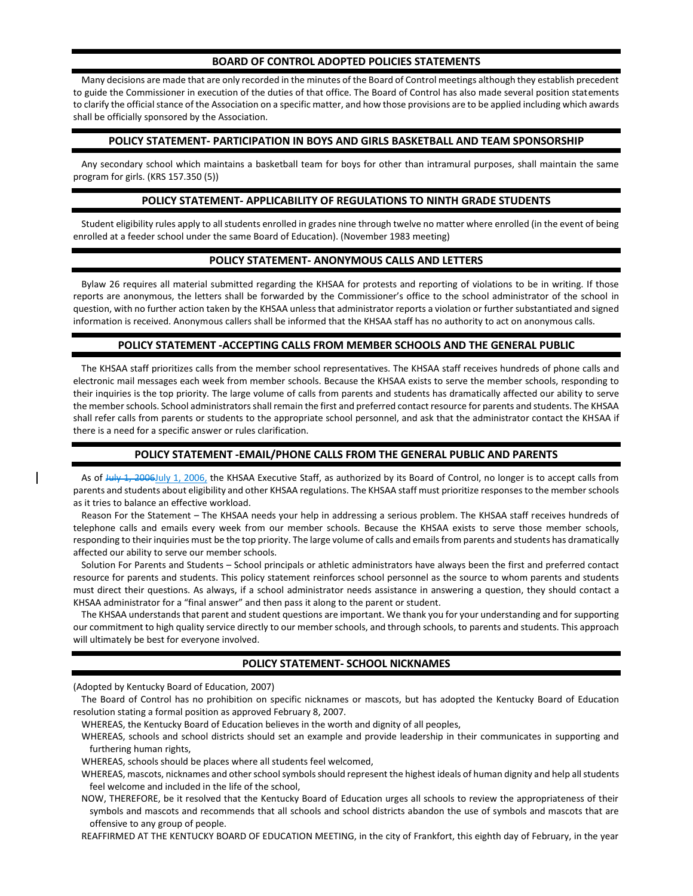### **BOARD OF CONTROL ADOPTED POLICIES STATEMENTS**

Many decisions are made that are only recorded in the minutes of the Board of Control meetings although they establish precedent to guide the Commissioner in execution of the duties of that office. The Board of Control has also made several position statements to clarify the official stance of the Association on a specific matter, and how those provisions are to be applied including which awards shall be officially sponsored by the Association.

### **POLICY STATEMENT- PARTICIPATION IN BOYS AND GIRLS BASKETBALL AND TEAM SPONSORSHIP**

Any secondary school which maintains a basketball team for boys for other than intramural purposes, shall maintain the same program for girls. (KRS 157.350 (5))

### **POLICY STATEMENT- APPLICABILITY OF REGULATIONS TO NINTH GRADE STUDENTS**

Student eligibility rules apply to all students enrolled in grades nine through twelve no matter where enrolled (in the event of being enrolled at a feeder school under the same Board of Education). (November 1983 meeting)

## **POLICY STATEMENT- ANONYMOUS CALLS AND LETTERS**

Bylaw 26 requires all material submitted regarding the KHSAA for protests and reporting of violations to be in writing. If those reports are anonymous, the letters shall be forwarded by the Commissioner's office to the school administrator of the school in question, with no further action taken by the KHSAA unless that administrator reports a violation or further substantiated and signed information is received. Anonymous callers shall be informed that the KHSAA staff has no authority to act on anonymous calls.

### **POLICY STATEMENT -ACCEPTING CALLS FROM MEMBER SCHOOLS AND THE GENERAL PUBLIC**

The KHSAA staff prioritizes calls from the member school representatives. The KHSAA staff receives hundreds of phone calls and electronic mail messages each week from member schools. Because the KHSAA exists to serve the member schools, responding to their inquiries is the top priority. The large volume of calls from parents and students has dramatically affected our ability to serve the member schools. School administrators shall remain the first and preferred contact resource for parents and students. The KHSAA shall refer calls from parents or students to the appropriate school personnel, and ask that the administrator contact the KHSAA if there is a need for a specific answer or rules clarification.

### **POLICY STATEMENT -EMAIL/PHONE CALLS FROM THE GENERAL PUBLIC AND PARENTS**

As of Huly 1, 2006July 1, 2006, the KHSAA Executive Staff, as authorized by its Board of Control, no longer is to accept calls from parents and students about eligibility and other KHSAA regulations. The KHSAA staff must prioritize responses to the member schools as it tries to balance an effective workload.

Reason For the Statement – The KHSAA needs your help in addressing a serious problem. The KHSAA staff receives hundreds of telephone calls and emails every week from our member schools. Because the KHSAA exists to serve those member schools, responding to their inquiries must be the top priority. The large volume of calls and emails from parents and students has dramatically affected our ability to serve our member schools.

Solution For Parents and Students – School principals or athletic administrators have always been the first and preferred contact resource for parents and students. This policy statement reinforces school personnel as the source to whom parents and students must direct their questions. As always, if a school administrator needs assistance in answering a question, they should contact a KHSAA administrator for a "final answer" and then pass it along to the parent or student.

The KHSAA understands that parent and student questions are important. We thank you for your understanding and for supporting our commitment to high quality service directly to our member schools, and through schools, to parents and students. This approach will ultimately be best for everyone involved.

### **POLICY STATEMENT- SCHOOL NICKNAMES**

(Adopted by Kentucky Board of Education, 2007)

The Board of Control has no prohibition on specific nicknames or mascots, but has adopted the Kentucky Board of Education resolution stating a formal position as approved February 8, 2007.

WHEREAS, the Kentucky Board of Education believes in the worth and dignity of all peoples,

WHEREAS, schools and school districts should set an example and provide leadership in their communicates in supporting and furthering human rights,

WHEREAS, schools should be places where all students feel welcomed,

WHEREAS, mascots, nicknames and other school symbols should represent the highest ideals of human dignity and help all students feel welcome and included in the life of the school,

NOW, THEREFORE, be it resolved that the Kentucky Board of Education urges all schools to review the appropriateness of their symbols and mascots and recommends that all schools and school districts abandon the use of symbols and mascots that are offensive to any group of people.

REAFFIRMED AT THE KENTUCKY BOARD OF EDUCATION MEETING, in the city of Frankfort, this eighth day of February, in the year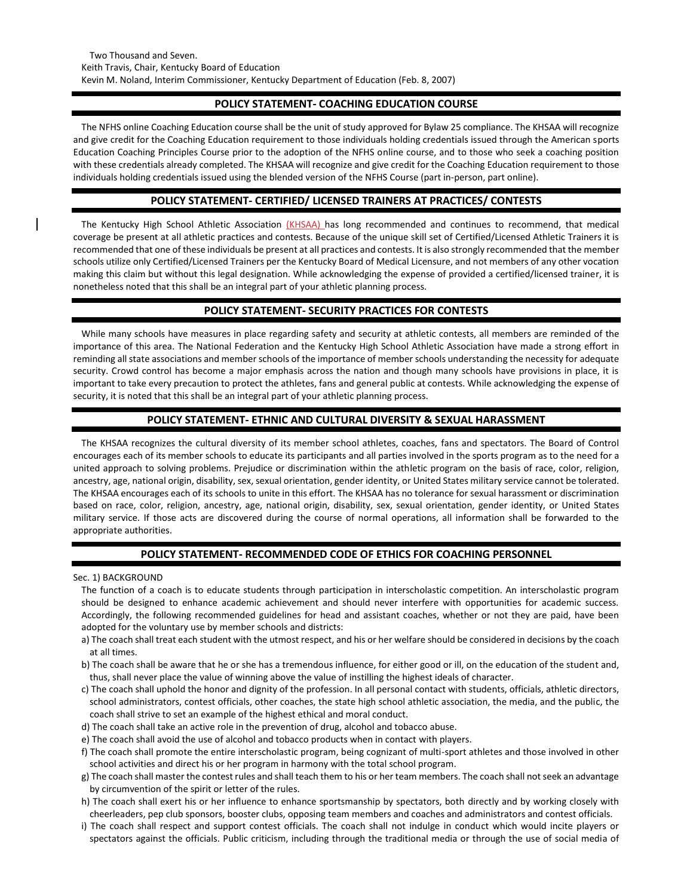## **POLICY STATEMENT- COACHING EDUCATION COURSE**

The NFHS online Coaching Education course shall be the unit of study approved for Bylaw 25 compliance. The KHSAA will recognize and give credit for the Coaching Education requirement to those individuals holding credentials issued through the American sports Education Coaching Principles Course prior to the adoption of the NFHS online course, and to those who seek a coaching position with these credentials already completed. The KHSAA will recognize and give credit for the Coaching Education requirement to those individuals holding credentials issued using the blended version of the NFHS Course (part in-person, part online).

## **POLICY STATEMENT- CERTIFIED/ LICENSED TRAINERS AT PRACTICES/ CONTESTS**

The Kentucky High School Athletic Association (KHSAA) has long recommended and continues to recommend, that medical coverage be present at all athletic practices and contests. Because of the unique skill set of Certified/Licensed Athletic Trainers it is recommended that one of these individuals be present at all practices and contests. It is also strongly recommended that the member schools utilize only Certified/Licensed Trainers per the Kentucky Board of Medical Licensure, and not members of any other vocation making this claim but without this legal designation. While acknowledging the expense of provided a certified/licensed trainer, it is nonetheless noted that this shall be an integral part of your athletic planning process.

# **POLICY STATEMENT- SECURITY PRACTICES FOR CONTESTS**

While many schools have measures in place regarding safety and security at athletic contests, all members are reminded of the importance of this area. The National Federation and the Kentucky High School Athletic Association have made a strong effort in reminding all state associations and member schools of the importance of member schools understanding the necessity for adequate security. Crowd control has become a major emphasis across the nation and though many schools have provisions in place, it is important to take every precaution to protect the athletes, fans and general public at contests. While acknowledging the expense of security, it is noted that this shall be an integral part of your athletic planning process.

## **POLICY STATEMENT- ETHNIC AND CULTURAL DIVERSITY & SEXUAL HARASSMENT**

The KHSAA recognizes the cultural diversity of its member school athletes, coaches, fans and spectators. The Board of Control encourages each of its member schools to educate its participants and all parties involved in the sports program as to the need for a united approach to solving problems. Prejudice or discrimination within the athletic program on the basis of race, color, religion, ancestry, age, national origin, disability, sex, sexual orientation, gender identity, or United States military service cannot be tolerated. The KHSAA encourages each of its schools to unite in this effort. The KHSAA has no tolerance for sexual harassment or discrimination based on race, color, religion, ancestry, age, national origin, disability, sex, sexual orientation, gender identity, or United States military service. If those acts are discovered during the course of normal operations, all information shall be forwarded to the appropriate authorities.

## **POLICY STATEMENT- RECOMMENDED CODE OF ETHICS FOR COACHING PERSONNEL**

Sec. 1) BACKGROUND

The function of a coach is to educate students through participation in interscholastic competition. An interscholastic program should be designed to enhance academic achievement and should never interfere with opportunities for academic success. Accordingly, the following recommended guidelines for head and assistant coaches, whether or not they are paid, have been adopted for the voluntary use by member schools and districts:

- a) The coach shall treat each student with the utmost respect, and his or her welfare should be considered in decisions by the coach at all times.
- b) The coach shall be aware that he or she has a tremendous influence, for either good or ill, on the education of the student and, thus, shall never place the value of winning above the value of instilling the highest ideals of character.
- c) The coach shall uphold the honor and dignity of the profession. In all personal contact with students, officials, athletic directors, school administrators, contest officials, other coaches, the state high school athletic association, the media, and the public, the coach shall strive to set an example of the highest ethical and moral conduct.
- d) The coach shall take an active role in the prevention of drug, alcohol and tobacco abuse.
- e) The coach shall avoid the use of alcohol and tobacco products when in contact with players.
- f) The coach shall promote the entire interscholastic program, being cognizant of multi-sport athletes and those involved in other school activities and direct his or her program in harmony with the total school program.
- g) The coach shall master the contest rules and shall teach them to his or her team members. The coach shall not seek an advantage by circumvention of the spirit or letter of the rules.
- h) The coach shall exert his or her influence to enhance sportsmanship by spectators, both directly and by working closely with cheerleaders, pep club sponsors, booster clubs, opposing team members and coaches and administrators and contest officials.
- i) The coach shall respect and support contest officials. The coach shall not indulge in conduct which would incite players or spectators against the officials. Public criticism, including through the traditional media or through the use of social media of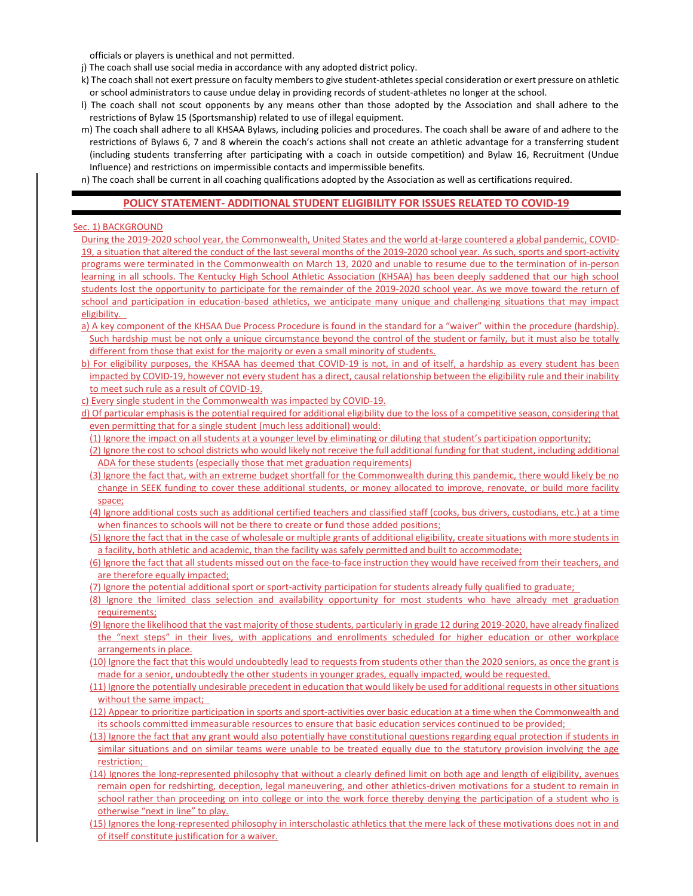officials or players is unethical and not permitted.

- j) The coach shall use social media in accordance with any adopted district policy.
- k) The coach shall not exert pressure on faculty members to give student-athletes special consideration or exert pressure on athletic or school administrators to cause undue delay in providing records of student-athletes no longer at the school.
- l) The coach shall not scout opponents by any means other than those adopted by the Association and shall adhere to the restrictions of Bylaw 15 (Sportsmanship) related to use of illegal equipment.
- m) The coach shall adhere to all KHSAA Bylaws, including policies and procedures. The coach shall be aware of and adhere to the restrictions of Bylaws 6, 7 and 8 wherein the coach's actions shall not create an athletic advantage for a transferring student (including students transferring after participating with a coach in outside competition) and Bylaw 16, Recruitment (Undue Influence) and restrictions on impermissible contacts and impermissible benefits.
- n) The coach shall be current in all coaching qualifications adopted by the Association as well as certifications required.

### **POLICY STATEMENT- ADDITIONAL STUDENT ELIGIBILITY FOR ISSUES RELATED TO COVID-19**

#### Sec. 1) BACKGROUND

- During the 2019-2020 school year, the Commonwealth, United States and the world at-large countered a global pandemic, COVID-19, a situation that altered the conduct of the last several months of the 2019-2020 school year. As such, sports and sport-activity programs were terminated in the Commonwealth on March 13, 2020 and unable to resume due to the termination of in-person learning in all schools. The Kentucky High School Athletic Association (KHSAA) has been deeply saddened that our high school students lost the opportunity to participate for the remainder of the 2019-2020 school year. As we move toward the return of school and participation in education-based athletics, we anticipate many unique and challenging situations that may impact eligibility.
- a) A key component of the KHSAA Due Process Procedure is found in the standard for a "waiver" within the procedure (hardship). Such hardship must be not only a unique circumstance beyond the control of the student or family, but it must also be totally different from those that exist for the majority or even a small minority of students.
- b) For eligibility purposes, the KHSAA has deemed that COVID-19 is not, in and of itself, a hardship as every student has been impacted by COVID-19, however not every student has a direct, causal relationship between the eligibility rule and their inability to meet such rule as a result of COVID-19.
- c) Every single student in the Commonwealth was impacted by COVID-19.
- d) Of particular emphasis is the potential required for additional eligibility due to the loss of a competitive season, considering that even permitting that for a single student (much less additional) would:
	- (1) Ignore the impact on all students at a younger level by eliminating or diluting that student's participation opportunity;
	- (2) Ignore the cost to school districts who would likely not receive the full additional funding for that student, including additional ADA for these students (especially those that met graduation requirements)
	- (3) Ignore the fact that, with an extreme budget shortfall for the Commonwealth during this pandemic, there would likely be no change in SEEK funding to cover these additional students, or money allocated to improve, renovate, or build more facility space;
	- (4) Ignore additional costs such as additional certified teachers and classified staff (cooks, bus drivers, custodians, etc.) at a time when finances to schools will not be there to create or fund those added positions;
	- (5) Ignore the fact that in the case of wholesale or multiple grants of additional eligibility, create situations with more students in a facility, both athletic and academic, than the facility was safely permitted and built to accommodate;
	- (6) Ignore the fact that all students missed out on the face-to-face instruction they would have received from their teachers, and are therefore equally impacted;
	- (7) Ignore the potential additional sport or sport-activity participation for students already fully qualified to graduate;
	- (8) Ignore the limited class selection and availability opportunity for most students who have already met graduation requirements;
	- (9) Ignore the likelihood that the vast majority of those students, particularly in grade 12 during 2019-2020, have already finalized the "next steps" in their lives, with applications and enrollments scheduled for higher education or other workplace arrangements in place.
- (10) Ignore the fact that this would undoubtedly lead to requests from students other than the 2020 seniors, as once the grant is made for a senior, undoubtedly the other students in younger grades, equally impacted, would be requested.
- (11) Ignore the potentially undesirable precedent in education that would likely be used for additional requests in other situations without the same impact;
- (12) Appear to prioritize participation in sports and sport-activities over basic education at a time when the Commonwealth and its schools committed immeasurable resources to ensure that basic education services continued to be provided;
- (13) Ignore the fact that any grant would also potentially have constitutional questions regarding equal protection if students in similar situations and on similar teams were unable to be treated equally due to the statutory provision involving the age restriction;
- (14) Ignores the long-represented philosophy that without a clearly defined limit on both age and length of eligibility, avenues remain open for redshirting, deception, legal maneuvering, and other athletics-driven motivations for a student to remain in school rather than proceeding on into college or into the work force thereby denying the participation of a student who is otherwise "next in line" to play.
- (15) Ignores the long-represented philosophy in interscholastic athletics that the mere lack of these motivations does not in and of itself constitute justification for a waiver.